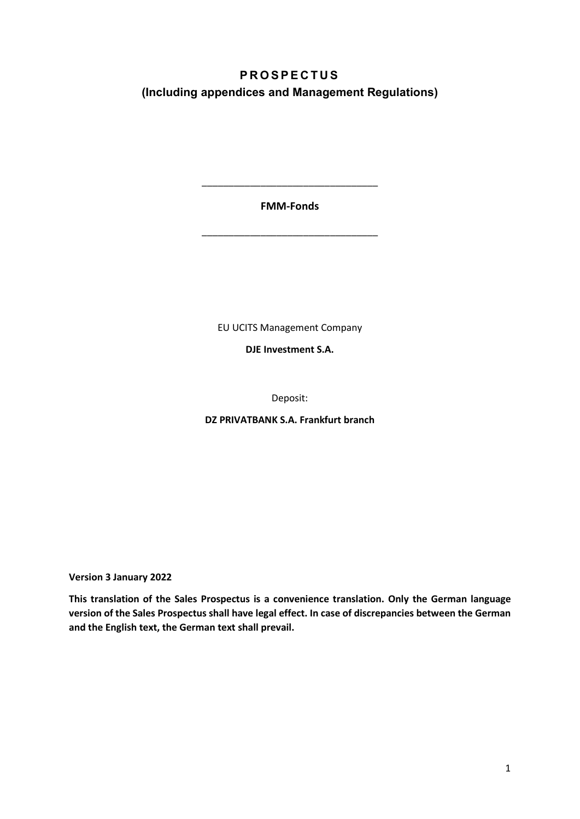# **PROSPECTUS (Including appendices and Management Regulations)**

## **FMM-Fonds**

\_\_\_\_\_\_\_\_\_\_\_\_\_\_\_\_\_\_\_\_\_\_\_\_\_\_\_\_\_\_\_\_\_

\_\_\_\_\_\_\_\_\_\_\_\_\_\_\_\_\_\_\_\_\_\_\_\_\_\_\_\_\_\_\_\_\_

EU UCITS Management Company

**DJE Investment S.A.**

Deposit:

**DZ PRIVATBANK S.A. Frankfurt branch**

**Version 3 January 2022**

**This translation of the Sales Prospectus is a convenience translation. Only the German language version of the Sales Prospectus shall have legal effect. In case of discrepancies between the German and the English text, the German text shall prevail.**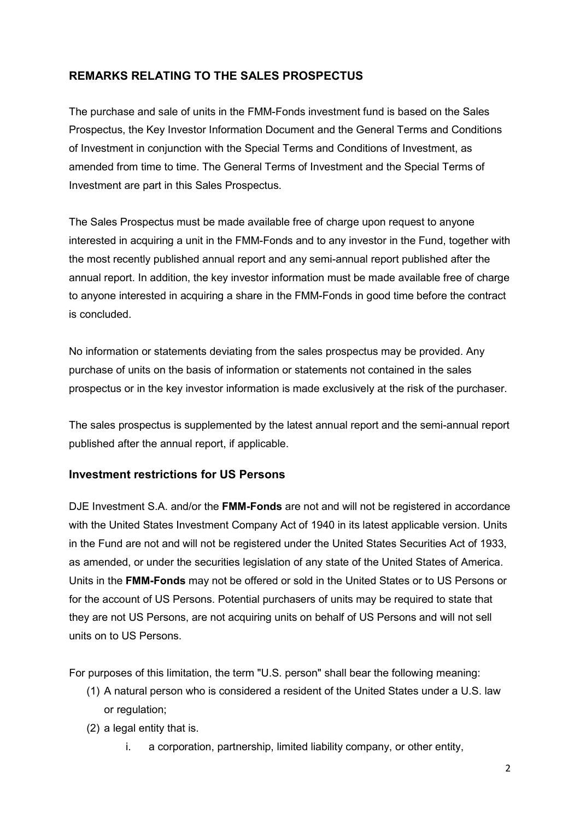# <span id="page-1-0"></span>**REMARKS RELATING TO THE SALES PROSPECTUS**

The purchase and sale of units in the FMM-Fonds investment fund is based on the Sales Prospectus, the Key Investor Information Document and the General Terms and Conditions of Investment in conjunction with the Special Terms and Conditions of Investment, as amended from time to time. The General Terms of Investment and the Special Terms of Investment are part in this Sales Prospectus.

The Sales Prospectus must be made available free of charge upon request to anyone interested in acquiring a unit in the FMM-Fonds and to any investor in the Fund, together with the most recently published annual report and any semi-annual report published after the annual report. In addition, the key investor information must be made available free of charge to anyone interested in acquiring a share in the FMM-Fonds in good time before the contract is concluded.

No information or statements deviating from the sales prospectus may be provided. Any purchase of units on the basis of information or statements not contained in the sales prospectus or in the key investor information is made exclusively at the risk of the purchaser.

The sales prospectus is supplemented by the latest annual report and the semi-annual report published after the annual report, if applicable.

## <span id="page-1-1"></span>**Investment restrictions for US Persons**

DJE Investment S.A. and/or the **FMM-Fonds** are not and will not be registered in accordance with the United States Investment Company Act of 1940 in its latest applicable version. Units in the Fund are not and will not be registered under the United States Securities Act of 1933, as amended, or under the securities legislation of any state of the United States of America. Units in the **FMM-Fonds** may not be offered or sold in the United States or to US Persons or for the account of US Persons. Potential purchasers of units may be required to state that they are not US Persons, are not acquiring units on behalf of US Persons and will not sell units on to US Persons.

For purposes of this limitation, the term "U.S. person" shall bear the following meaning:

- (1) A natural person who is considered a resident of the United States under a U.S. law or regulation;
- (2) a legal entity that is.
	- i. a corporation, partnership, limited liability company, or other entity,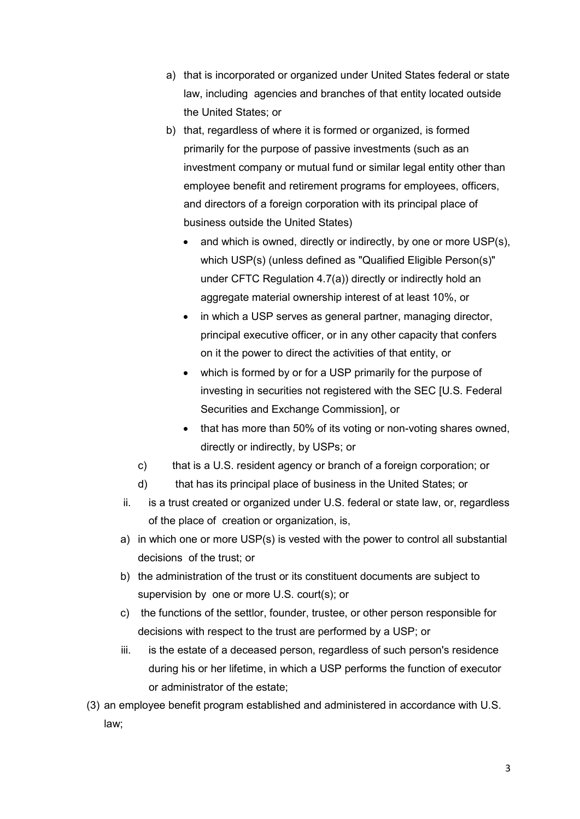- a) that is incorporated or organized under United States federal or state law, including agencies and branches of that entity located outside the United States; or
- b) that, regardless of where it is formed or organized, is formed primarily for the purpose of passive investments (such as an investment company or mutual fund or similar legal entity other than employee benefit and retirement programs for employees, officers, and directors of a foreign corporation with its principal place of business outside the United States)
	- and which is owned, directly or indirectly, by one or more USP(s), which USP(s) (unless defined as "Qualified Eligible Person(s)" under CFTC Regulation 4.7(a)) directly or indirectly hold an aggregate material ownership interest of at least 10%, or
	- in which a USP serves as general partner, managing director, principal executive officer, or in any other capacity that confers on it the power to direct the activities of that entity, or
	- which is formed by or for a USP primarily for the purpose of investing in securities not registered with the SEC IU.S. Federal Securities and Exchange Commission], or
	- that has more than 50% of its voting or non-voting shares owned, directly or indirectly, by USPs; or
- c) that is a U.S. resident agency or branch of a foreign corporation; or
- d) that has its principal place of business in the United States; or
- ii. is a trust created or organized under U.S. federal or state law, or, regardless of the place of creation or organization, is,
- a) in which one or more USP(s) is vested with the power to control all substantial decisions of the trust; or
- b) the administration of the trust or its constituent documents are subject to supervision by one or more U.S. court(s); or
- c) the functions of the settlor, founder, trustee, or other person responsible for decisions with respect to the trust are performed by a USP; or
- iii. is the estate of a deceased person, regardless of such person's residence during his or her lifetime, in which a USP performs the function of executor or administrator of the estate;
- (3) an employee benefit program established and administered in accordance with U.S. law;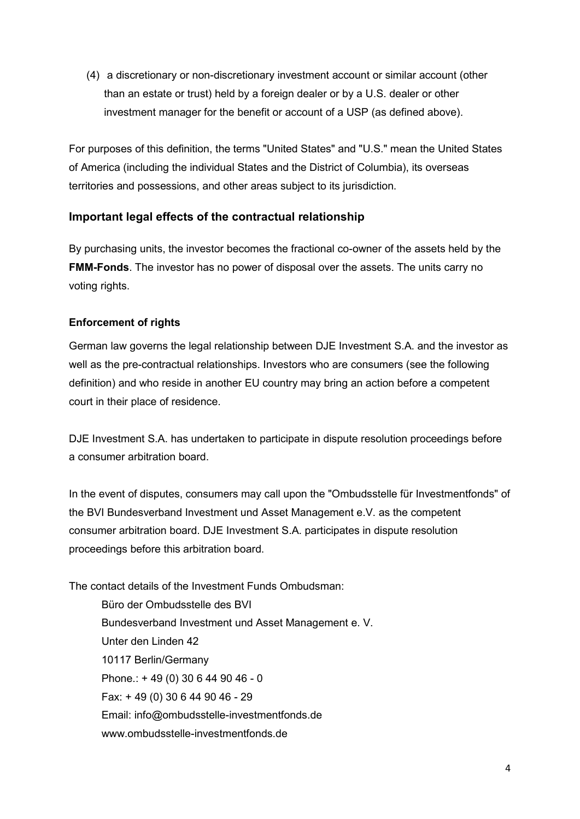(4) a discretionary or non-discretionary investment account or similar account (other than an estate or trust) held by a foreign dealer or by a U.S. dealer or other investment manager for the benefit or account of a USP (as defined above).

For purposes of this definition, the terms "United States" and "U.S." mean the United States of America (including the individual States and the District of Columbia), its overseas territories and possessions, and other areas subject to its jurisdiction.

## <span id="page-3-0"></span>**Important legal effects of the contractual relationship**

By purchasing units, the investor becomes the fractional co-owner of the assets held by the **FMM-Fonds**. The investor has no power of disposal over the assets. The units carry no voting rights.

## <span id="page-3-1"></span>**Enforcement of rights**

German law governs the legal relationship between DJE Investment S.A. and the investor as well as the pre-contractual relationships. Investors who are consumers (see the following definition) and who reside in another EU country may bring an action before a competent court in their place of residence.

DJE Investment S.A. has undertaken to participate in dispute resolution proceedings before a consumer arbitration board.

In the event of disputes, consumers may call upon the "Ombudsstelle für Investmentfonds" of the BVI Bundesverband Investment und Asset Management e.V. as the competent consumer arbitration board. DJE Investment S.A. participates in dispute resolution proceedings before this arbitration board.

The contact details of the Investment Funds Ombudsman:

Büro der Ombudsstelle des BVI Bundesverband Investment und Asset Management e. V. Unter den Linden 42 10117 Berlin/Germany Phone.: + 49 (0) 30 6 44 90 46 - 0 Fax: + 49 (0) 30 6 44 90 46 - 29 Email: info@ombudsstelle-investmentfonds.de [www.ombudsstelle-investmentfonds.de](http://www.ombudsstelle-investmentfonds.de/)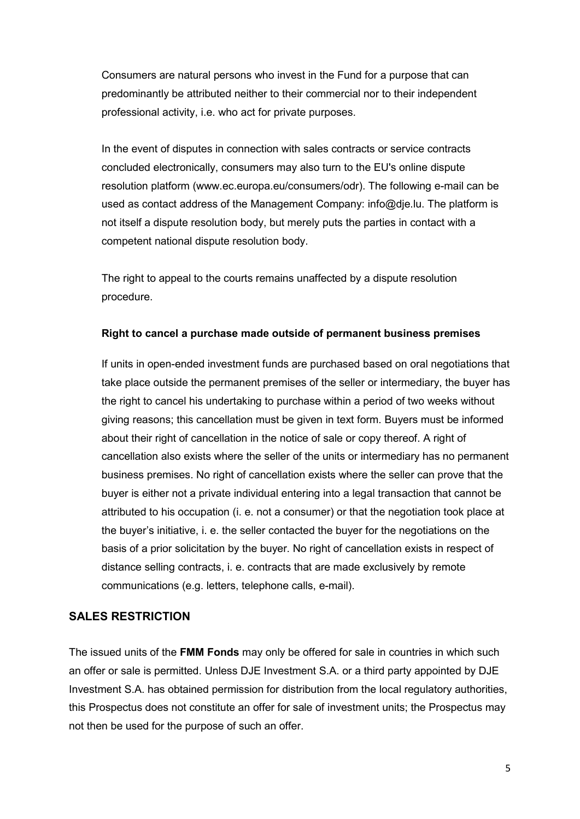Consumers are natural persons who invest in the Fund for a purpose that can predominantly be attributed neither to their commercial nor to their independent professional activity, i.e. who act for private purposes.

In the event of disputes in connection with sales contracts or service contracts concluded electronically, consumers may also turn to the EU's online dispute resolution platform (www.ec.europa.eu/consumers/odr). The following e-mail can be used as contact address of the Management Company: info@dje.lu. The platform is not itself a dispute resolution body, but merely puts the parties in contact with a competent national dispute resolution body.

The right to appeal to the courts remains unaffected by a dispute resolution procedure.

## <span id="page-4-0"></span>**Right to cancel a purchase made outside of permanent business premises**

If units in open-ended investment funds are purchased based on oral negotiations that take place outside the permanent premises of the seller or intermediary, the buyer has the right to cancel his undertaking to purchase within a period of two weeks without giving reasons; this cancellation must be given in text form. Buyers must be informed about their right of cancellation in the notice of sale or copy thereof. A right of cancellation also exists where the seller of the units or intermediary has no permanent business premises. No right of cancellation exists where the seller can prove that the buyer is either not a private individual entering into a legal transaction that cannot be attributed to his occupation (i. e. not a consumer) or that the negotiation took place at the buyer's initiative, i. e. the seller contacted the buyer for the negotiations on the basis of a prior solicitation by the buyer. No right of cancellation exists in respect of distance selling contracts, i. e. contracts that are made exclusively by remote communications (e.g. letters, telephone calls, e-mail).

## <span id="page-4-1"></span>**SALES RESTRICTION**

The issued units of the **FMM Fonds** may only be offered for sale in countries in which such an offer or sale is permitted. Unless DJE Investment S.A. or a third party appointed by DJE Investment S.A. has obtained permission for distribution from the local regulatory authorities, this Prospectus does not constitute an offer for sale of investment units; the Prospectus may not then be used for the purpose of such an offer.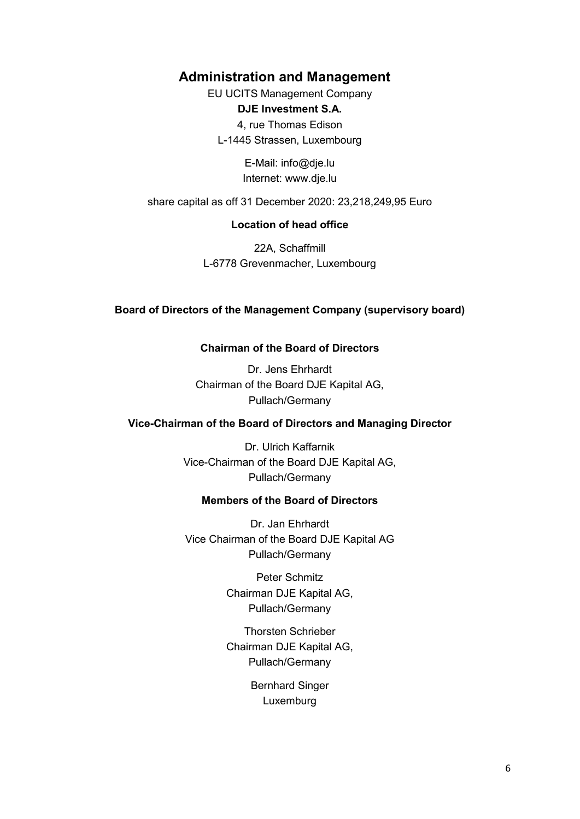# <span id="page-5-0"></span> **Administration and Management**

EU UCITS Management Company **DJE Investment S.A.**  4, rue Thomas Edison L-1445 Strassen, Luxembourg

> E-Mail: info@dje.lu Internet: www.dje.lu

share capital as off 31 December 2020: 23,218,249,95 Euro

## **Location of head office**

22A, Schaffmill L-6778 Grevenmacher, Luxembourg

#### **Board of Directors of the Management Company (supervisory board)**

## **Chairman of the Board of Directors**

Dr. Jens Ehrhardt Chairman of the Board DJE Kapital AG, Pullach/Germany

## **Vice-Chairman of the Board of Directors and Managing Director**

Dr. Ulrich Kaffarnik Vice-Chairman of the Board DJE Kapital AG, Pullach/Germany

## **Members of the Board of Directors**

Dr. Jan Ehrhardt Vice Chairman of the Board DJE Kapital AG Pullach/Germany

> Peter Schmitz Chairman DJE Kapital AG, Pullach/Germany

> Thorsten Schrieber Chairman DJE Kapital AG, Pullach/Germany

> > Bernhard Singer Luxemburg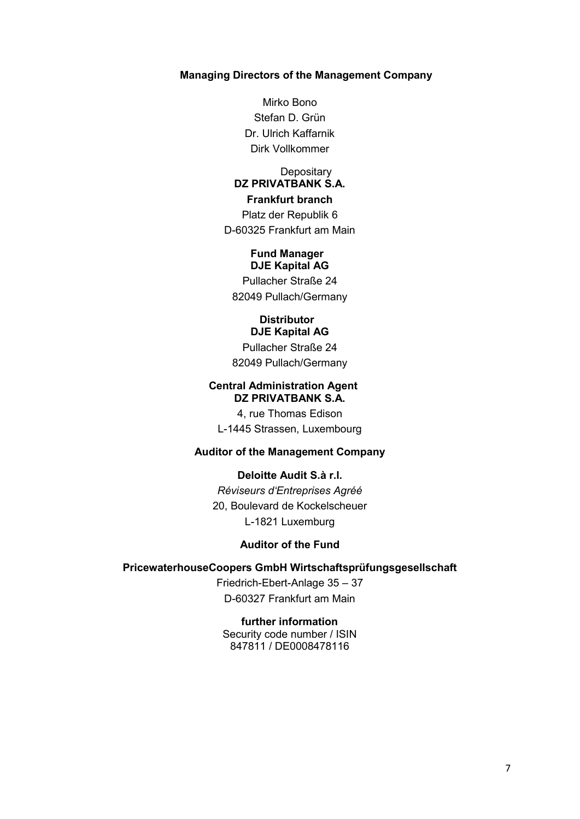#### <span id="page-6-1"></span><span id="page-6-0"></span>**Managing Directors of the Management Company**

Mirko Bono Stefan D. Grün Dr. Ulrich Kaffarnik Dirk Vollkommer

#### **Depositary DZ PRIVATBANK S.A. Frankfurt branch**

Platz der Republik 6 D-60325 Frankfurt am Main

#### <span id="page-6-2"></span> **Fund Manager DJE Kapital AG**

Pullacher Straße 24 82049 Pullach/Germany

## <span id="page-6-3"></span> **Distributor DJE Kapital AG**

Pullacher Straße 24 82049 Pullach/Germany

#### <span id="page-6-4"></span> **Central Administration Agent DZ PRIVATBANK S.A.**

4, rue Thomas Edison L-1445 Strassen, Luxembourg

## **Auditor of the Management Company**

## **Deloitte Audit S.à r.l.**

*Réviseurs d'Entreprises Agréé* 20, Boulevard de Kockelscheuer L-1821 Luxemburg

## **Auditor of the Fund**

#### <span id="page-6-5"></span>**PricewaterhouseCoopers GmbH Wirtschaftsprüfungsgesellschaft**

Friedrich-Ebert-Anlage 35 – 37 D-60327 Frankfurt am Main

#### **further information**

Security code number / ISIN 847811 / DE0008478116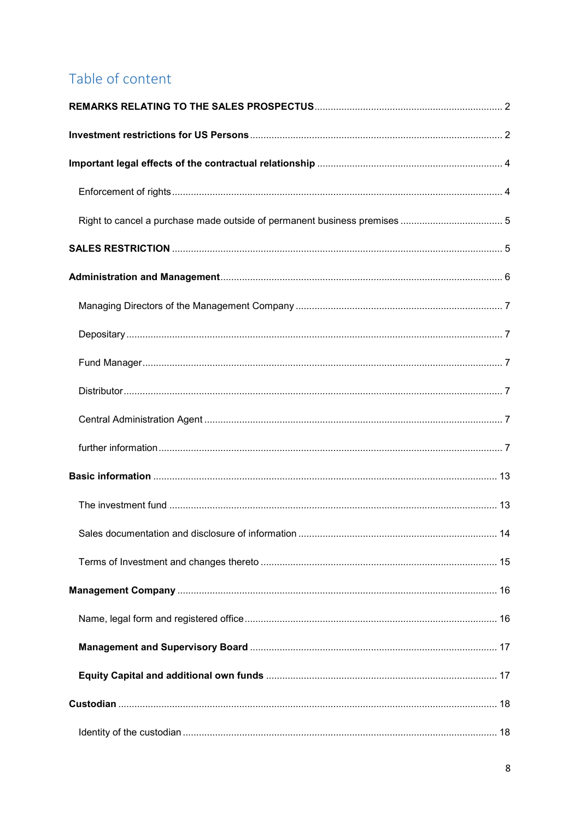# Table of content

| Sales documentation and disclosure of information | . 14 |
|---------------------------------------------------|------|
|                                                   |      |
|                                                   |      |
|                                                   |      |
|                                                   |      |
|                                                   |      |
|                                                   |      |
|                                                   |      |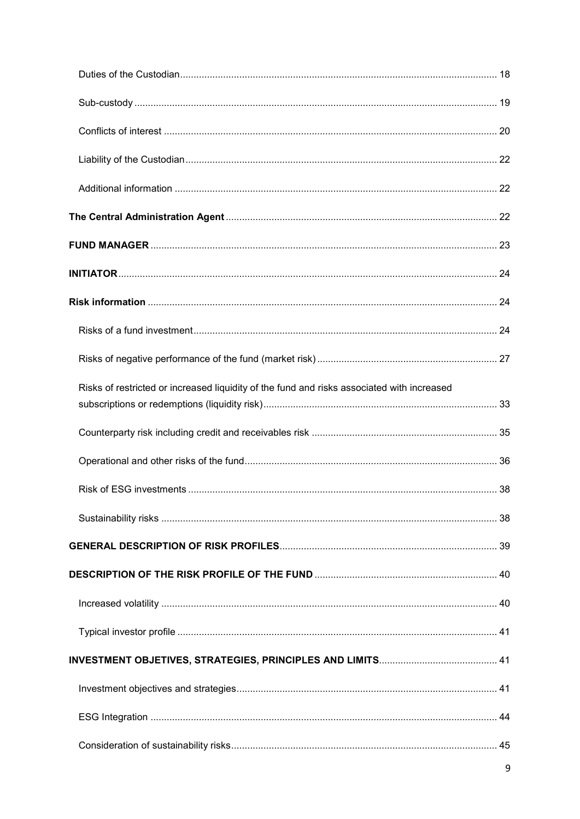| Risks of restricted or increased liquidity of the fund and risks associated with increased |  |
|--------------------------------------------------------------------------------------------|--|
|                                                                                            |  |
|                                                                                            |  |
|                                                                                            |  |
|                                                                                            |  |
|                                                                                            |  |
|                                                                                            |  |
|                                                                                            |  |
|                                                                                            |  |
|                                                                                            |  |
|                                                                                            |  |
|                                                                                            |  |
|                                                                                            |  |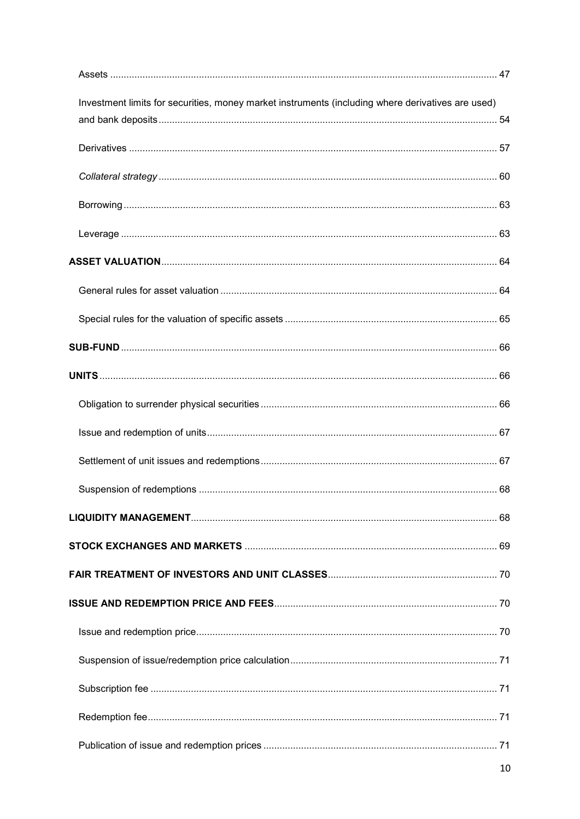| Investment limits for securities, money market instruments (including where derivatives are used) |  |
|---------------------------------------------------------------------------------------------------|--|
|                                                                                                   |  |
|                                                                                                   |  |
|                                                                                                   |  |
|                                                                                                   |  |
|                                                                                                   |  |
|                                                                                                   |  |
|                                                                                                   |  |
|                                                                                                   |  |
|                                                                                                   |  |
|                                                                                                   |  |
|                                                                                                   |  |
|                                                                                                   |  |
|                                                                                                   |  |
|                                                                                                   |  |
|                                                                                                   |  |
|                                                                                                   |  |
|                                                                                                   |  |
|                                                                                                   |  |
|                                                                                                   |  |
|                                                                                                   |  |
|                                                                                                   |  |
|                                                                                                   |  |
|                                                                                                   |  |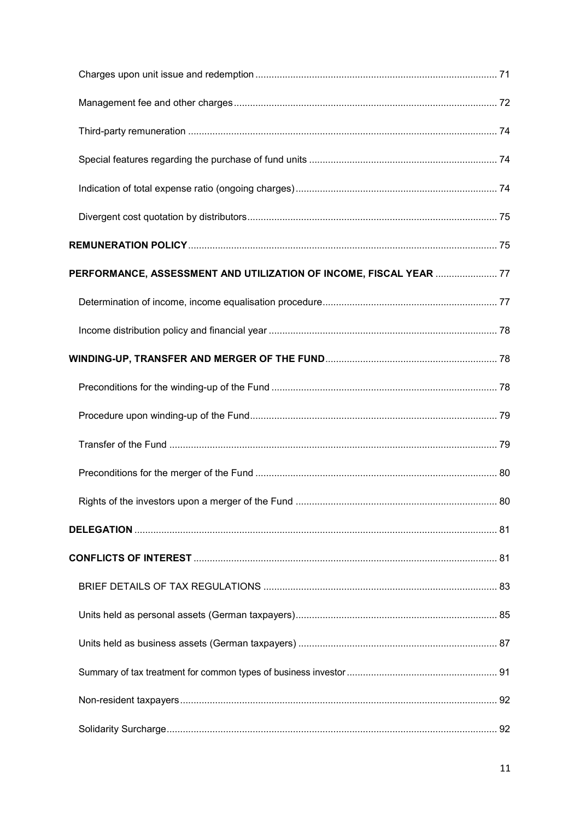| PERFORMANCE, ASSESSMENT AND UTILIZATION OF INCOME, FISCAL YEAR  77 |  |
|--------------------------------------------------------------------|--|
|                                                                    |  |
|                                                                    |  |
|                                                                    |  |
|                                                                    |  |
|                                                                    |  |
|                                                                    |  |
|                                                                    |  |
|                                                                    |  |
|                                                                    |  |
|                                                                    |  |
|                                                                    |  |
|                                                                    |  |
|                                                                    |  |
|                                                                    |  |
|                                                                    |  |
|                                                                    |  |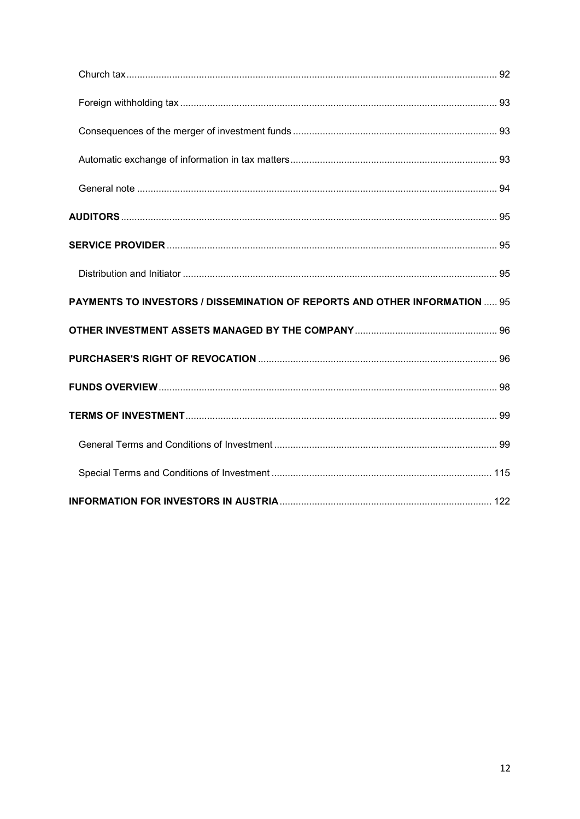| PAYMENTS TO INVESTORS / DISSEMINATION OF REPORTS AND OTHER INFORMATION  95 |  |
|----------------------------------------------------------------------------|--|
|                                                                            |  |
|                                                                            |  |
|                                                                            |  |
|                                                                            |  |
|                                                                            |  |
|                                                                            |  |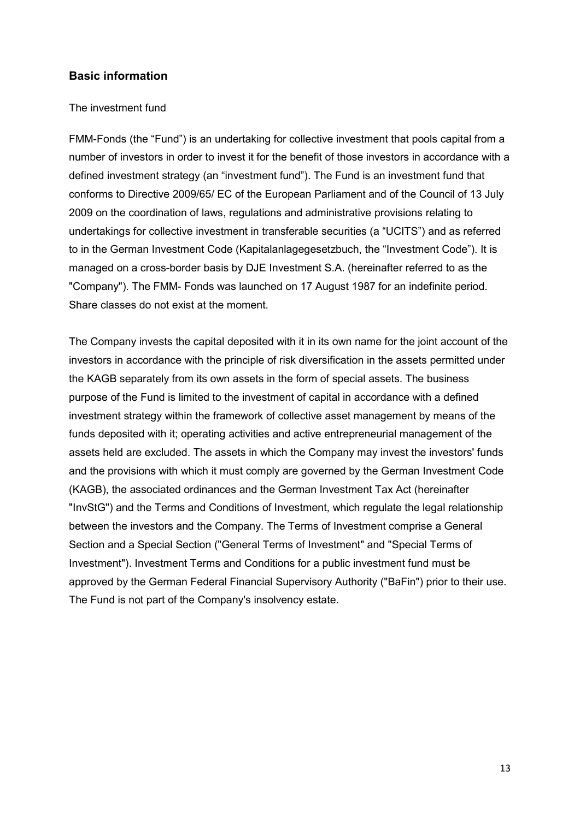## <span id="page-12-0"></span>**Basic information**

#### <span id="page-12-1"></span>The investment fund

FMM-Fonds (the "Fund") is an undertaking for collective investment that pools capital from a number of investors in order to invest it for the benefit of those investors in accordance with a defined investment strategy (an "investment fund"). The Fund is an investment fund that conforms to Directive 2009/65/ EC of the European Parliament and of the Council of 13 July 2009 on the coordination of laws, regulations and administrative provisions relating to undertakings for collective investment in transferable securities (a "UCITS") and as referred to in the German Investment Code (Kapitalanlagegesetzbuch, the "Investment Code"). It is managed on a cross-border basis by DJE Investment S.A. (hereinafter referred to as the "Company"). The FMM- Fonds was launched on 17 August 1987 for an indefinite period. Share classes do not exist at the moment.

The Company invests the capital deposited with it in its own name for the joint account of the investors in accordance with the principle of risk diversification in the assets permitted under the KAGB separately from its own assets in the form of special assets. The business purpose of the Fund is limited to the investment of capital in accordance with a defined investment strategy within the framework of collective asset management by means of the funds deposited with it; operating activities and active entrepreneurial management of the assets held are excluded. The assets in which the Company may invest the investors' funds and the provisions with which it must comply are governed by the German Investment Code (KAGB), the associated ordinances and the German Investment Tax Act (hereinafter "InvStG") and the Terms and Conditions of Investment, which regulate the legal relationship between the investors and the Company. The Terms of Investment comprise a General Section and a Special Section ("General Terms of Investment" and "Special Terms of Investment"). Investment Terms and Conditions for a public investment fund must be approved by the German Federal Financial Supervisory Authority ("BaFin") prior to their use. The Fund is not part of the Company's insolvency estate.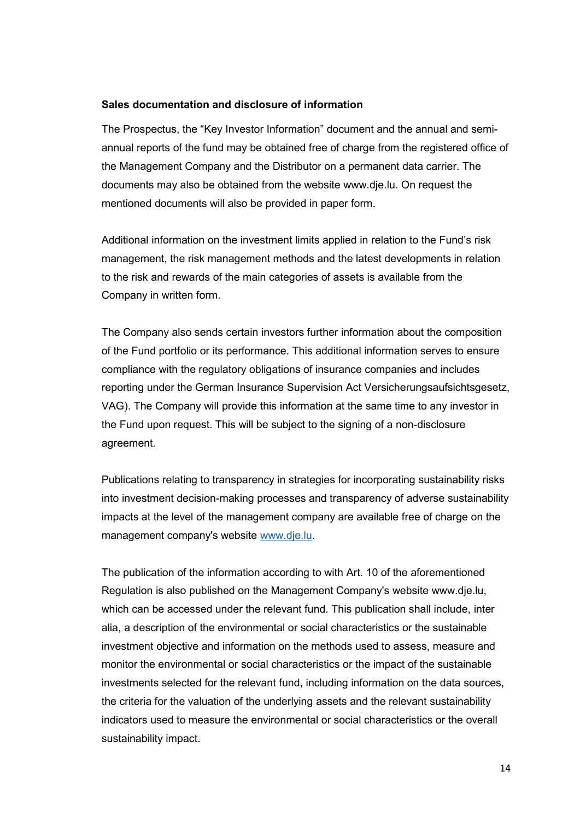#### <span id="page-13-0"></span>**Sales documentation and disclosure of information**

The Prospectus, the "Key Investor Information" document and the annual and semiannual reports of the fund may be obtained free of charge from the registered office of the Management Company and the Distributor on a permanent data carrier. The documents may also be obtained from the website www.dje.lu. On request the mentioned documents will also be provided in paper form.

Additional information on the investment limits applied in relation to the Fund's risk management, the risk management methods and the latest developments in relation to the risk and rewards of the main categories of assets is available from the Company in written form.

The Company also sends certain investors further information about the composition of the Fund portfolio or its performance. This additional information serves to ensure compliance with the regulatory obligations of insurance companies and includes reporting under the German Insurance Supervision Act Versicherungsaufsichtsgesetz, VAG). The Company will provide this information at the same time to any investor in the Fund upon request. This will be subject to the signing of a non-disclosure agreement.

Publications relating to transparency in strategies for incorporating sustainability risks into investment decision-making processes and transparency of adverse sustainability impacts at the level of the management company are available free of charge on the management company's website [www.dje.lu.](http://www.dje.lu/)

The publication of the information according to with Art. 10 of the aforementioned Regulation is also published on the Management Company's website www.dje.lu, which can be accessed under the relevant fund. This publication shall include, inter alia, a description of the environmental or social characteristics or the sustainable investment objective and information on the methods used to assess, measure and monitor the environmental or social characteristics or the impact of the sustainable investments selected for the relevant fund, including information on the data sources, the criteria for the valuation of the underlying assets and the relevant sustainability indicators used to measure the environmental or social characteristics or the overall sustainability impact.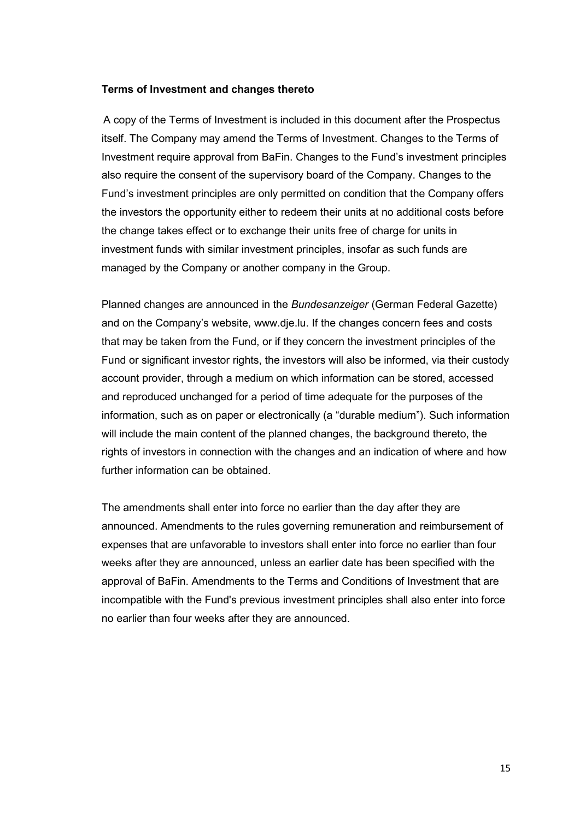#### <span id="page-14-0"></span>**Terms of Investment and changes thereto**

A copy of the Terms of Investment is included in this document after the Prospectus itself. The Company may amend the Terms of Investment. Changes to the Terms of Investment require approval from BaFin. Changes to the Fund's investment principles also require the consent of the supervisory board of the Company. Changes to the Fund's investment principles are only permitted on condition that the Company offers the investors the opportunity either to redeem their units at no additional costs before the change takes effect or to exchange their units free of charge for units in investment funds with similar investment principles, insofar as such funds are managed by the Company or another company in the Group.

Planned changes are announced in the *Bundesanzeiger* (German Federal Gazette) and on the Company's website, www.dje.lu. If the changes concern fees and costs that may be taken from the Fund, or if they concern the investment principles of the Fund or significant investor rights, the investors will also be informed, via their custody account provider, through a medium on which information can be stored, accessed and reproduced unchanged for a period of time adequate for the purposes of the information, such as on paper or electronically (a "durable medium"). Such information will include the main content of the planned changes, the background thereto, the rights of investors in connection with the changes and an indication of where and how further information can be obtained.

The amendments shall enter into force no earlier than the day after they are announced. Amendments to the rules governing remuneration and reimbursement of expenses that are unfavorable to investors shall enter into force no earlier than four weeks after they are announced, unless an earlier date has been specified with the approval of BaFin. Amendments to the Terms and Conditions of Investment that are incompatible with the Fund's previous investment principles shall also enter into force no earlier than four weeks after they are announced.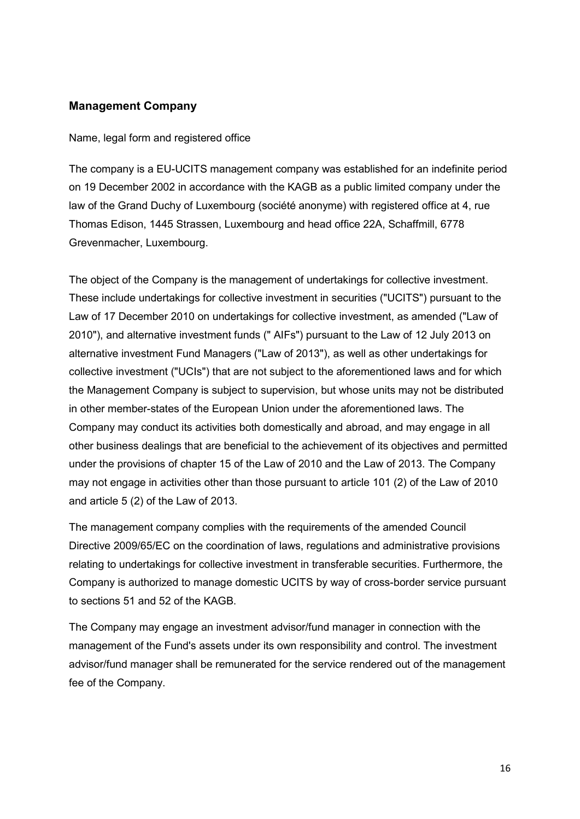## <span id="page-15-0"></span>**Management Company**

<span id="page-15-1"></span>Name, legal form and registered office

The company is a EU-UCITS management company was established for an indefinite period on 19 December 2002 in accordance with the KAGB as a public limited company under the law of the Grand Duchy of Luxembourg (société anonyme) with registered office at 4, rue Thomas Edison, 1445 Strassen, Luxembourg and head office 22A, Schaffmill, 6778 Grevenmacher, Luxembourg.

The object of the Company is the management of undertakings for collective investment. These include undertakings for collective investment in securities ("UCITS") pursuant to the Law of 17 December 2010 on undertakings for collective investment, as amended ("Law of 2010"), and alternative investment funds (" AIFs") pursuant to the Law of 12 July 2013 on alternative investment Fund Managers ("Law of 2013"), as well as other undertakings for collective investment ("UCIs") that are not subject to the aforementioned laws and for which the Management Company is subject to supervision, but whose units may not be distributed in other member-states of the European Union under the aforementioned laws. The Company may conduct its activities both domestically and abroad, and may engage in all other business dealings that are beneficial to the achievement of its objectives and permitted under the provisions of chapter 15 of the Law of 2010 and the Law of 2013. The Company may not engage in activities other than those pursuant to article 101 (2) of the Law of 2010 and article 5 (2) of the Law of 2013.

The management company complies with the requirements of the amended Council Directive 2009/65/EC on the coordination of laws, regulations and administrative provisions relating to undertakings for collective investment in transferable securities. Furthermore, the Company is authorized to manage domestic UCITS by way of cross-border service pursuant to sections 51 and 52 of the KAGB.

The Company may engage an investment advisor/fund manager in connection with the management of the Fund's assets under its own responsibility and control. The investment advisor/fund manager shall be remunerated for the service rendered out of the management fee of the Company.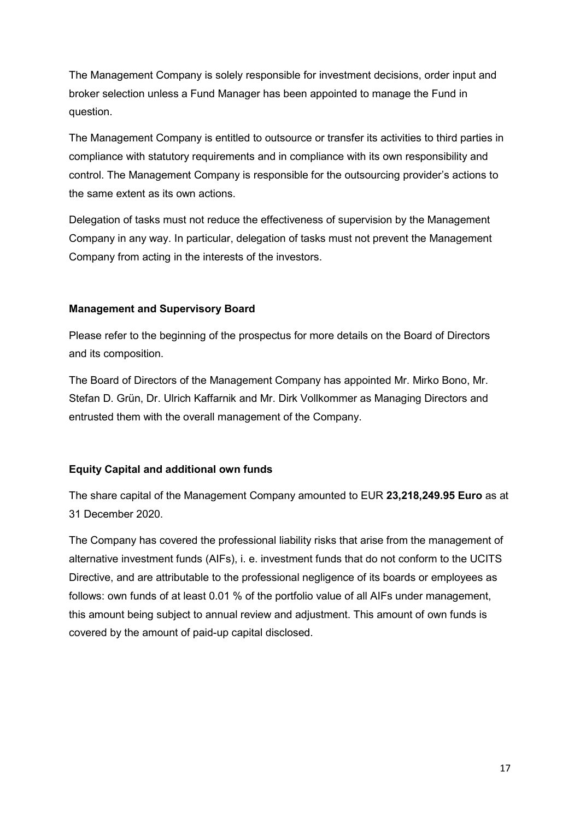The Management Company is solely responsible for investment decisions, order input and broker selection unless a Fund Manager has been appointed to manage the Fund in question.

The Management Company is entitled to outsource or transfer its activities to third parties in compliance with statutory requirements and in compliance with its own responsibility and control. The Management Company is responsible for the outsourcing provider's actions to the same extent as its own actions.

Delegation of tasks must not reduce the effectiveness of supervision by the Management Company in any way. In particular, delegation of tasks must not prevent the Management Company from acting in the interests of the investors.

## <span id="page-16-0"></span>**Management and Supervisory Board**

Please refer to the beginning of the prospectus for more details on the Board of Directors and its composition.

The Board of Directors of the Management Company has appointed Mr. Mirko Bono, Mr. Stefan D. Grün, Dr. Ulrich Kaffarnik and Mr. Dirk Vollkommer as Managing Directors and entrusted them with the overall management of the Company.

# <span id="page-16-1"></span>**Equity Capital and additional own funds**

The share capital of the Management Company amounted to EUR **23,218,249.95 Euro** as at 31 December 2020.

The Company has covered the professional liability risks that arise from the management of alternative investment funds (AIFs), i. e. investment funds that do not conform to the UCITS Directive, and are attributable to the professional negligence of its boards or employees as follows: own funds of at least 0.01 % of the portfolio value of all AIFs under management, this amount being subject to annual review and adjustment. This amount of own funds is covered by the amount of paid-up capital disclosed.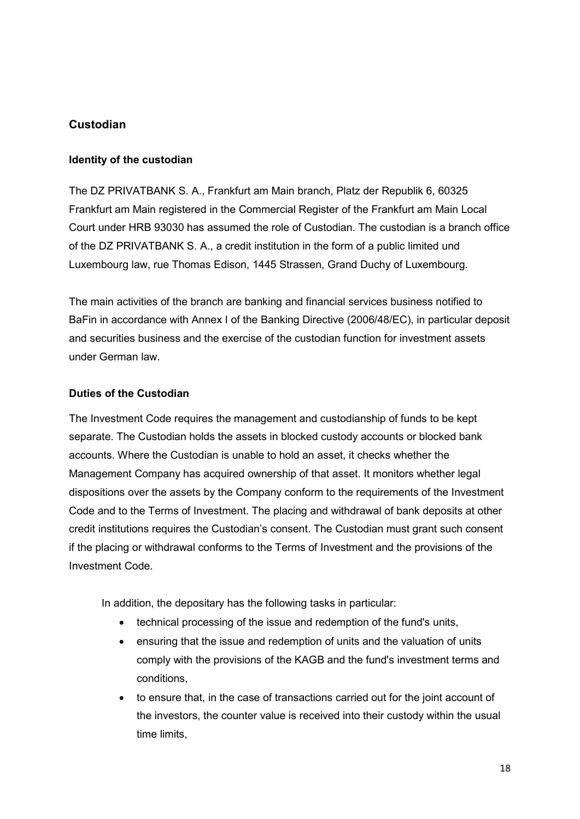# <span id="page-17-0"></span>**Custodian**

## <span id="page-17-1"></span>**Identity of the custodian**

The DZ PRIVATBANK S. A., Frankfurt am Main branch, Platz der Republik 6, 60325 Frankfurt am Main registered in the Commercial Register of the Frankfurt am Main Local Court under HRB 93030 has assumed the role of Custodian. The custodian is a branch office of the DZ PRIVATBANK S. A., a credit institution in the form of a public limited und Luxembourg law, rue Thomas Edison, 1445 Strassen, Grand Duchy of Luxembourg.

The main activities of the branch are banking and financial services business notified to BaFin in accordance with Annex I of the Banking Directive (2006/48/EC), in particular deposit and securities business and the exercise of the custodian function for investment assets under German law.

## <span id="page-17-2"></span>**Duties of the Custodian**

The Investment Code requires the management and custodianship of funds to be kept separate. The Custodian holds the assets in blocked custody accounts or blocked bank accounts. Where the Custodian is unable to hold an asset, it checks whether the Management Company has acquired ownership of that asset. It monitors whether legal dispositions over the assets by the Company conform to the requirements of the Investment Code and to the Terms of Investment. The placing and withdrawal of bank deposits at other credit institutions requires the Custodian's consent. The Custodian must grant such consent if the placing or withdrawal conforms to the Terms of Investment and the provisions of the Investment Code.

In addition, the depositary has the following tasks in particular:

- technical processing of the issue and redemption of the fund's units,
- ensuring that the issue and redemption of units and the valuation of units comply with the provisions of the KAGB and the fund's investment terms and conditions,
- to ensure that, in the case of transactions carried out for the joint account of the investors, the counter value is received into their custody within the usual time limits,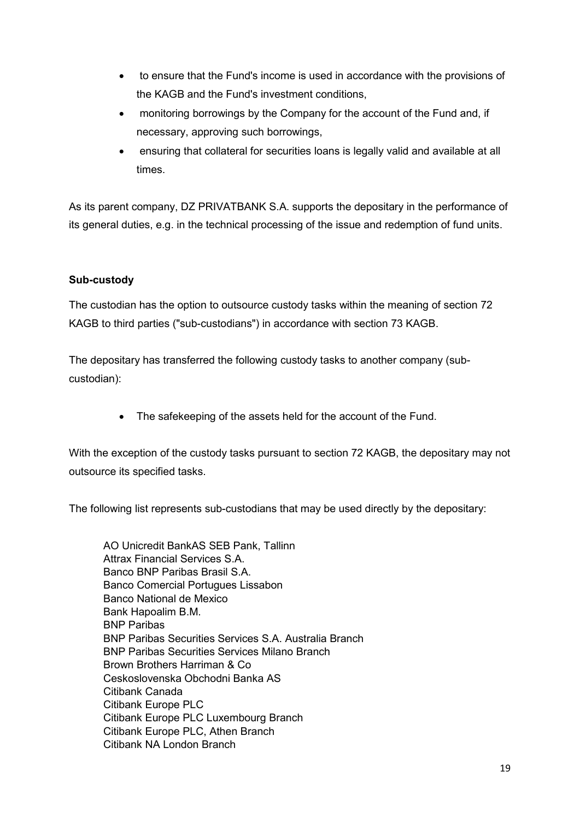- to ensure that the Fund's income is used in accordance with the provisions of the KAGB and the Fund's investment conditions,
- monitoring borrowings by the Company for the account of the Fund and, if necessary, approving such borrowings,
- ensuring that collateral for securities loans is legally valid and available at all times.

As its parent company, DZ PRIVATBANK S.A. supports the depositary in the performance of its general duties, e.g. in the technical processing of the issue and redemption of fund units.

# <span id="page-18-0"></span>**Sub-custody**

The custodian has the option to outsource custody tasks within the meaning of section 72 KAGB to third parties ("sub-custodians") in accordance with section 73 KAGB.

The depositary has transferred the following custody tasks to another company (subcustodian):

• The safekeeping of the assets held for the account of the Fund.

With the exception of the custody tasks pursuant to section 72 KAGB, the depositary may not outsource its specified tasks.

The following list represents sub-custodians that may be used directly by the depositary:

AO Unicredit BankAS SEB Pank, Tallinn Attrax Financial Services S.A. Banco BNP Paribas Brasil S.A. Banco Comercial Portugues Lissabon Banco National de Mexico Bank Hapoalim B.M. BNP Paribas BNP Paribas Securities Services S.A. Australia Branch BNP Paribas Securities Services Milano Branch Brown Brothers Harriman & Co Ceskoslovenska Obchodni Banka AS Citibank Canada Citibank Europe PLC Citibank Europe PLC Luxembourg Branch Citibank Europe PLC, Athen Branch Citibank NA London Branch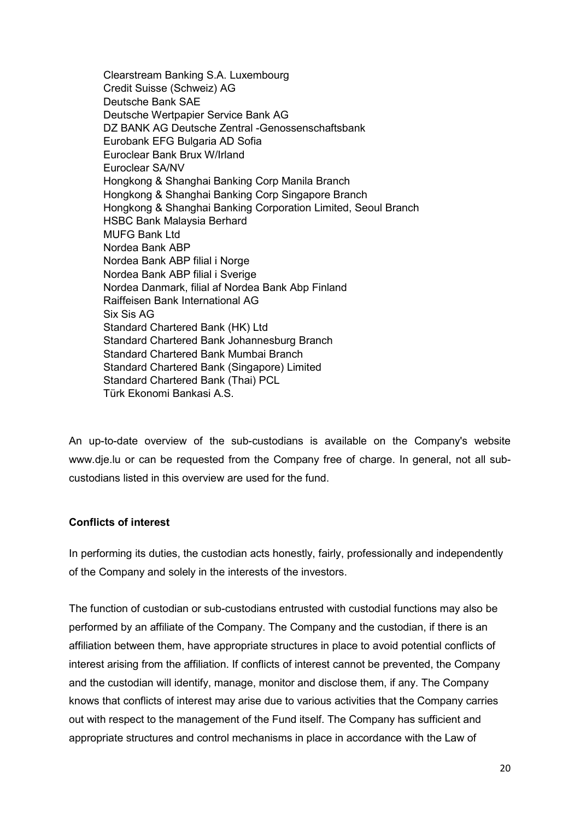Clearstream Banking S.A. Luxembourg Credit Suisse (Schweiz) AG Deutsche Bank SAE Deutsche Wertpapier Service Bank AG DZ BANK AG Deutsche Zentral -Genossenschaftsbank Eurobank EFG Bulgaria AD Sofia Euroclear Bank Brux W/Irland Euroclear SA/NV Hongkong & Shanghai Banking Corp Manila Branch Hongkong & Shanghai Banking Corp Singapore Branch Hongkong & Shanghai Banking Corporation Limited, Seoul Branch HSBC Bank Malaysia Berhard MUFG Bank Ltd Nordea Bank ABP Nordea Bank ABP filial i Norge Nordea Bank ABP filial i Sverige Nordea Danmark, filial af Nordea Bank Abp Finland Raiffeisen Bank International AG Six Sis AG Standard Chartered Bank (HK) Ltd Standard Chartered Bank Johannesburg Branch Standard Chartered Bank Mumbai Branch Standard Chartered Bank (Singapore) Limited Standard Chartered Bank (Thai) PCL Türk Ekonomi Bankasi A.S.

An up-to-date overview of the sub-custodians is available on the Company's website www.dje.lu or can be requested from the Company free of charge. In general, not all subcustodians listed in this overview are used for the fund.

### <span id="page-19-0"></span>**Conflicts of interest**

In performing its duties, the custodian acts honestly, fairly, professionally and independently of the Company and solely in the interests of the investors.

The function of custodian or sub-custodians entrusted with custodial functions may also be performed by an affiliate of the Company. The Company and the custodian, if there is an affiliation between them, have appropriate structures in place to avoid potential conflicts of interest arising from the affiliation. If conflicts of interest cannot be prevented, the Company and the custodian will identify, manage, monitor and disclose them, if any. The Company knows that conflicts of interest may arise due to various activities that the Company carries out with respect to the management of the Fund itself. The Company has sufficient and appropriate structures and control mechanisms in place in accordance with the Law of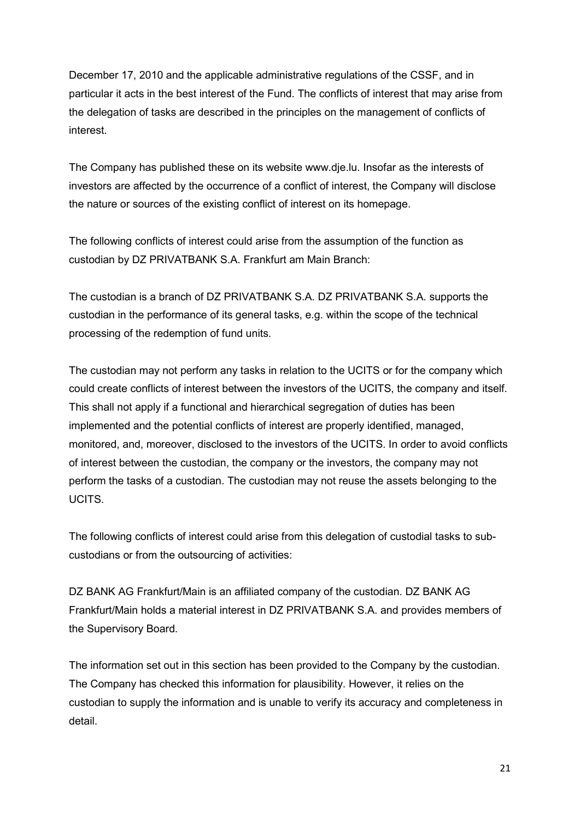December 17, 2010 and the applicable administrative regulations of the CSSF, and in particular it acts in the best interest of the Fund. The conflicts of interest that may arise from the delegation of tasks are described in the principles on the management of conflicts of interest.

The Company has published these on its website www.dje.lu. Insofar as the interests of investors are affected by the occurrence of a conflict of interest, the Company will disclose the nature or sources of the existing conflict of interest on its homepage.

The following conflicts of interest could arise from the assumption of the function as custodian by DZ PRIVATBANK S.A. Frankfurt am Main Branch:

The custodian is a branch of DZ PRIVATBANK S.A. DZ PRIVATBANK S.A. supports the custodian in the performance of its general tasks, e.g. within the scope of the technical processing of the redemption of fund units.

The custodian may not perform any tasks in relation to the UCITS or for the company which could create conflicts of interest between the investors of the UCITS, the company and itself. This shall not apply if a functional and hierarchical segregation of duties has been implemented and the potential conflicts of interest are properly identified, managed, monitored, and, moreover, disclosed to the investors of the UCITS. In order to avoid conflicts of interest between the custodian, the company or the investors, the company may not perform the tasks of a custodian. The custodian may not reuse the assets belonging to the **UCITS** 

The following conflicts of interest could arise from this delegation of custodial tasks to subcustodians or from the outsourcing of activities:

DZ BANK AG Frankfurt/Main is an affiliated company of the custodian. DZ BANK AG Frankfurt/Main holds a material interest in DZ PRIVATBANK S.A. and provides members of the Supervisory Board.

The information set out in this section has been provided to the Company by the custodian. The Company has checked this information for plausibility. However, it relies on the custodian to supply the information and is unable to verify its accuracy and completeness in detail.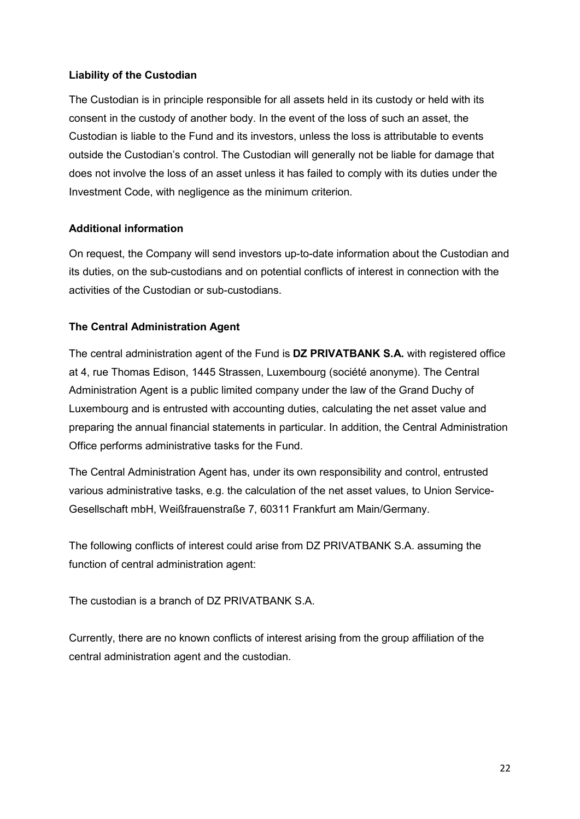## <span id="page-21-0"></span>**Liability of the Custodian**

The Custodian is in principle responsible for all assets held in its custody or held with its consent in the custody of another body. In the event of the loss of such an asset, the Custodian is liable to the Fund and its investors, unless the loss is attributable to events outside the Custodian's control. The Custodian will generally not be liable for damage that does not involve the loss of an asset unless it has failed to comply with its duties under the Investment Code, with negligence as the minimum criterion.

## <span id="page-21-1"></span>**Additional information**

On request, the Company will send investors up-to-date information about the Custodian and its duties, on the sub-custodians and on potential conflicts of interest in connection with the activities of the Custodian or sub-custodians.

## <span id="page-21-2"></span>**The Central Administration Agent**

The central administration agent of the Fund is **DZ PRIVATBANK S.A.** with registered office at 4, rue Thomas Edison, 1445 Strassen, Luxembourg (société anonyme). The Central Administration Agent is a public limited company under the law of the Grand Duchy of Luxembourg and is entrusted with accounting duties, calculating the net asset value and preparing the annual financial statements in particular. In addition, the Central Administration Office performs administrative tasks for the Fund.

The Central Administration Agent has, under its own responsibility and control, entrusted various administrative tasks, e.g. the calculation of the net asset values, to Union Service-Gesellschaft mbH, Weißfrauenstraße 7, 60311 Frankfurt am Main/Germany.

The following conflicts of interest could arise from DZ PRIVATBANK S.A. assuming the function of central administration agent:

The custodian is a branch of DZ PRIVATBANK S.A.

Currently, there are no known conflicts of interest arising from the group affiliation of the central administration agent and the custodian.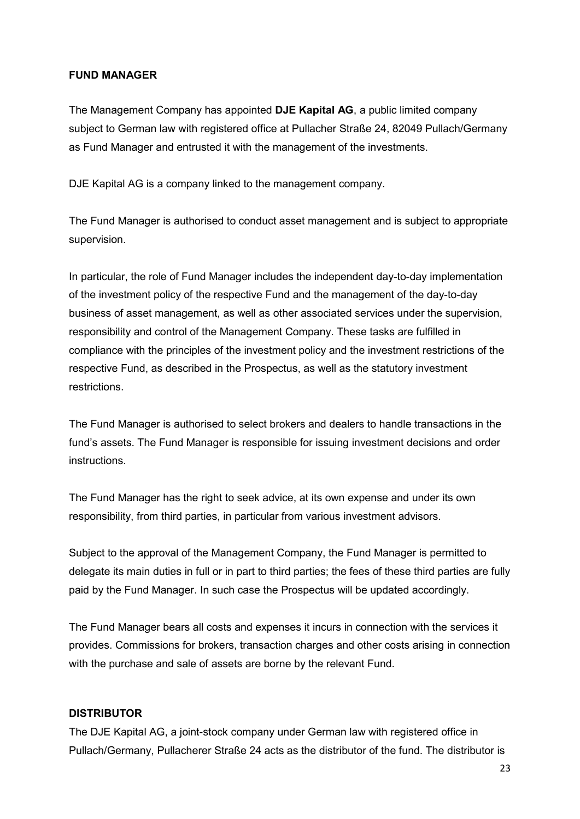#### <span id="page-22-0"></span>**FUND MANAGER**

The Management Company has appointed **DJE Kapital AG**, a public limited company subject to German law with registered office at Pullacher Straße 24, 82049 Pullach/Germany as Fund Manager and entrusted it with the management of the investments.

DJE Kapital AG is a company linked to the management company.

The Fund Manager is authorised to conduct asset management and is subject to appropriate supervision.

In particular, the role of Fund Manager includes the independent day-to-day implementation of the investment policy of the respective Fund and the management of the day-to-day business of asset management, as well as other associated services under the supervision, responsibility and control of the Management Company. These tasks are fulfilled in compliance with the principles of the investment policy and the investment restrictions of the respective Fund, as described in the Prospectus, as well as the statutory investment restrictions.

The Fund Manager is authorised to select brokers and dealers to handle transactions in the fund's assets. The Fund Manager is responsible for issuing investment decisions and order instructions.

The Fund Manager has the right to seek advice, at its own expense and under its own responsibility, from third parties, in particular from various investment advisors.

Subject to the approval of the Management Company, the Fund Manager is permitted to delegate its main duties in full or in part to third parties; the fees of these third parties are fully paid by the Fund Manager. In such case the Prospectus will be updated accordingly.

The Fund Manager bears all costs and expenses it incurs in connection with the services it provides. Commissions for brokers, transaction charges and other costs arising in connection with the purchase and sale of assets are borne by the relevant Fund.

#### **DISTRIBUTOR**

The DJE Kapital AG, a joint-stock company under German law with registered office in Pullach/Germany, Pullacherer Straße 24 acts as the distributor of the fund. The distributor is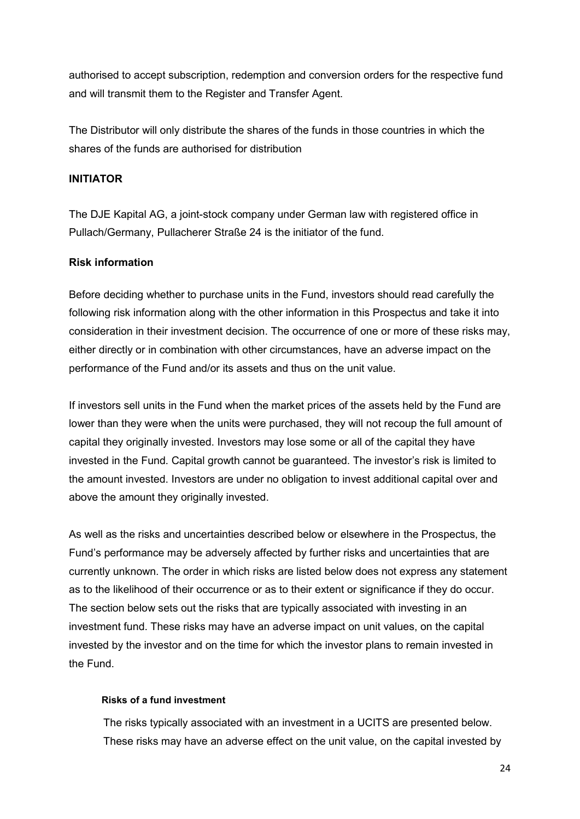authorised to accept subscription, redemption and conversion orders for the respective fund and will transmit them to the Register and Transfer Agent.

The Distributor will only distribute the shares of the funds in those countries in which the shares of the funds are authorised for distribution

## <span id="page-23-0"></span>**INITIATOR**

The DJE Kapital AG, a joint-stock company under German law with registered office in Pullach/Germany, Pullacherer Straße 24 is the initiator of the fund.

## <span id="page-23-1"></span>**Risk information**

Before deciding whether to purchase units in the Fund, investors should read carefully the following risk information along with the other information in this Prospectus and take it into consideration in their investment decision. The occurrence of one or more of these risks may, either directly or in combination with other circumstances, have an adverse impact on the performance of the Fund and/or its assets and thus on the unit value.

If investors sell units in the Fund when the market prices of the assets held by the Fund are lower than they were when the units were purchased, they will not recoup the full amount of capital they originally invested. Investors may lose some or all of the capital they have invested in the Fund. Capital growth cannot be guaranteed. The investor's risk is limited to the amount invested. Investors are under no obligation to invest additional capital over and above the amount they originally invested.

As well as the risks and uncertainties described below or elsewhere in the Prospectus, the Fund's performance may be adversely affected by further risks and uncertainties that are currently unknown. The order in which risks are listed below does not express any statement as to the likelihood of their occurrence or as to their extent or significance if they do occur. The section below sets out the risks that are typically associated with investing in an investment fund. These risks may have an adverse impact on unit values, on the capital invested by the investor and on the time for which the investor plans to remain invested in the Fund.

### <span id="page-23-2"></span>**Risks of a fund investment**

The risks typically associated with an investment in a UCITS are presented below. These risks may have an adverse effect on the unit value, on the capital invested by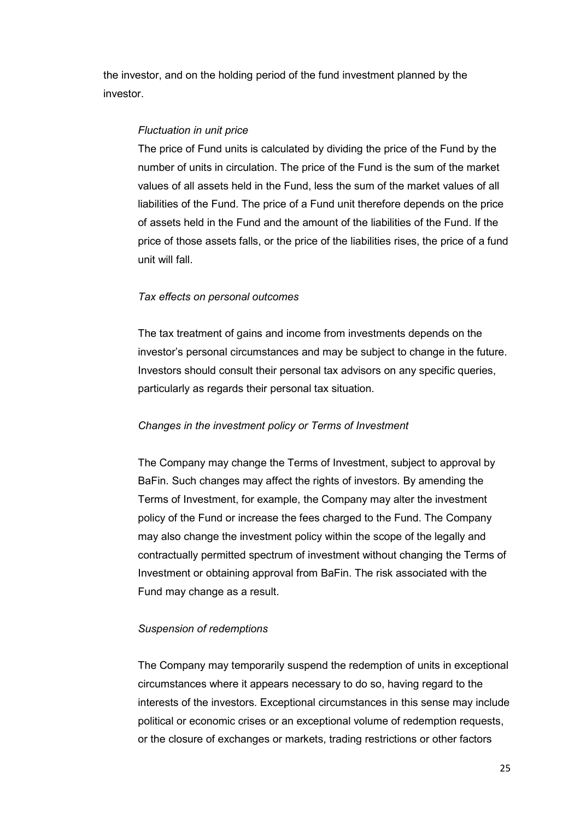the investor, and on the holding period of the fund investment planned by the investor.

## *Fluctuation in unit price*

The price of Fund units is calculated by dividing the price of the Fund by the number of units in circulation. The price of the Fund is the sum of the market values of all assets held in the Fund, less the sum of the market values of all liabilities of the Fund. The price of a Fund unit therefore depends on the price of assets held in the Fund and the amount of the liabilities of the Fund. If the price of those assets falls, or the price of the liabilities rises, the price of a fund unit will fall.

## *Tax effects on personal outcomes*

The tax treatment of gains and income from investments depends on the investor's personal circumstances and may be subject to change in the future. Investors should consult their personal tax advisors on any specific queries, particularly as regards their personal tax situation.

## *Changes in the investment policy or Terms of Investment*

The Company may change the Terms of Investment, subject to approval by BaFin. Such changes may affect the rights of investors. By amending the Terms of Investment, for example, the Company may alter the investment policy of the Fund or increase the fees charged to the Fund. The Company may also change the investment policy within the scope of the legally and contractually permitted spectrum of investment without changing the Terms of Investment or obtaining approval from BaFin. The risk associated with the Fund may change as a result.

## *Suspension of redemptions*

The Company may temporarily suspend the redemption of units in exceptional circumstances where it appears necessary to do so, having regard to the interests of the investors. Exceptional circumstances in this sense may include political or economic crises or an exceptional volume of redemption requests, or the closure of exchanges or markets, trading restrictions or other factors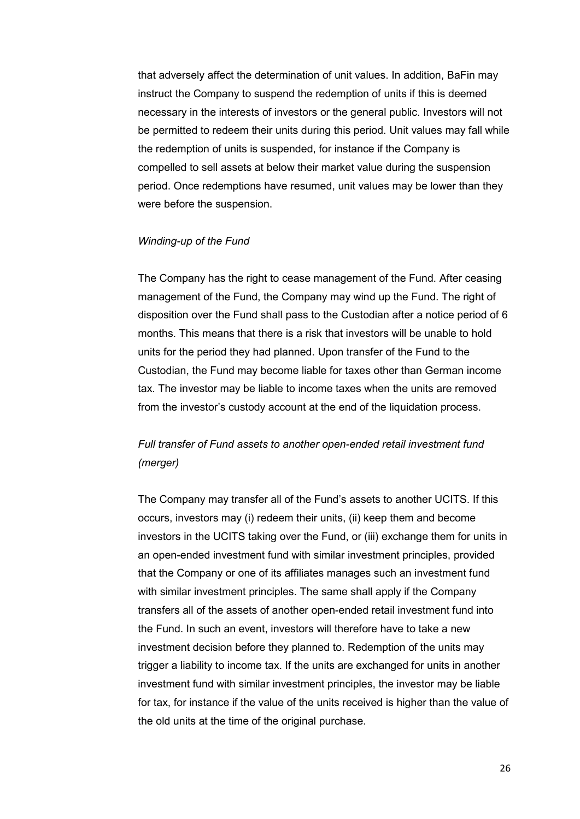that adversely affect the determination of unit values. In addition, BaFin may instruct the Company to suspend the redemption of units if this is deemed necessary in the interests of investors or the general public. Investors will not be permitted to redeem their units during this period. Unit values may fall while the redemption of units is suspended, for instance if the Company is compelled to sell assets at below their market value during the suspension period. Once redemptions have resumed, unit values may be lower than they were before the suspension.

#### *Winding-up of the Fund*

The Company has the right to cease management of the Fund. After ceasing management of the Fund, the Company may wind up the Fund. The right of disposition over the Fund shall pass to the Custodian after a notice period of 6 months. This means that there is a risk that investors will be unable to hold units for the period they had planned. Upon transfer of the Fund to the Custodian, the Fund may become liable for taxes other than German income tax. The investor may be liable to income taxes when the units are removed from the investor's custody account at the end of the liquidation process.

# *Full transfer of Fund assets to another open-ended retail investment fund (merger)*

The Company may transfer all of the Fund's assets to another UCITS. If this occurs, investors may (i) redeem their units, (ii) keep them and become investors in the UCITS taking over the Fund, or (iii) exchange them for units in an open-ended investment fund with similar investment principles, provided that the Company or one of its affiliates manages such an investment fund with similar investment principles. The same shall apply if the Company transfers all of the assets of another open-ended retail investment fund into the Fund. In such an event, investors will therefore have to take a new investment decision before they planned to. Redemption of the units may trigger a liability to income tax. If the units are exchanged for units in another investment fund with similar investment principles, the investor may be liable for tax, for instance if the value of the units received is higher than the value of the old units at the time of the original purchase.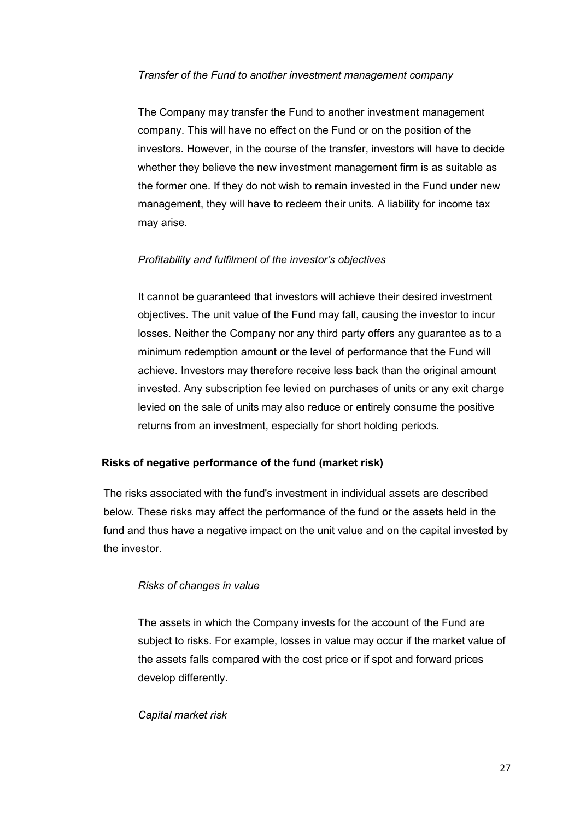### *Transfer of the Fund to another investment management company*

The Company may transfer the Fund to another investment management company. This will have no effect on the Fund or on the position of the investors. However, in the course of the transfer, investors will have to decide whether they believe the new investment management firm is as suitable as the former one. If they do not wish to remain invested in the Fund under new management, they will have to redeem their units. A liability for income tax may arise.

#### *Profitability and fulfilment of the investor's objectives*

It cannot be guaranteed that investors will achieve their desired investment objectives. The unit value of the Fund may fall, causing the investor to incur losses. Neither the Company nor any third party offers any guarantee as to a minimum redemption amount or the level of performance that the Fund will achieve. Investors may therefore receive less back than the original amount invested. Any subscription fee levied on purchases of units or any exit charge levied on the sale of units may also reduce or entirely consume the positive returns from an investment, especially for short holding periods.

#### <span id="page-26-0"></span>**Risks of negative performance of the fund (market risk)**

The risks associated with the fund's investment in individual assets are described below. These risks may affect the performance of the fund or the assets held in the fund and thus have a negative impact on the unit value and on the capital invested by the investor.

#### *Risks of changes in value*

The assets in which the Company invests for the account of the Fund are subject to risks. For example, losses in value may occur if the market value of the assets falls compared with the cost price or if spot and forward prices develop differently.

#### *Capital market risk*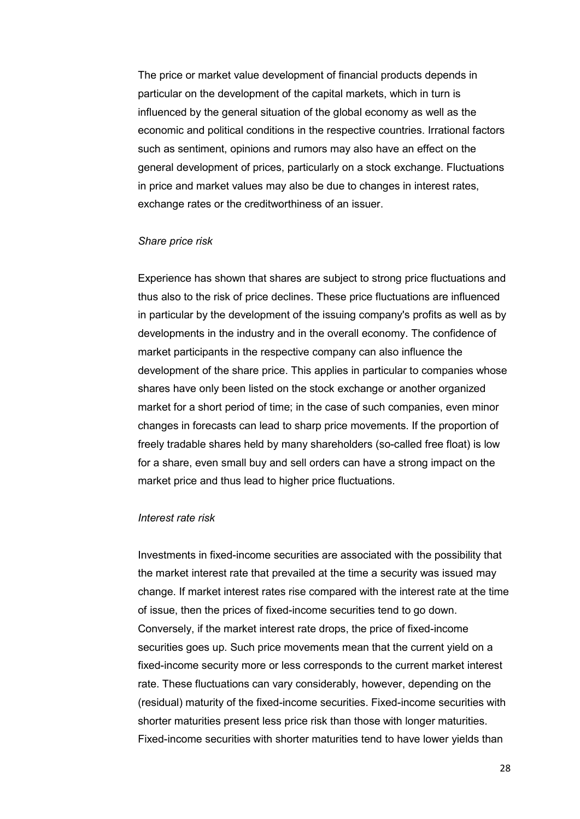The price or market value development of financial products depends in particular on the development of the capital markets, which in turn is influenced by the general situation of the global economy as well as the economic and political conditions in the respective countries. Irrational factors such as sentiment, opinions and rumors may also have an effect on the general development of prices, particularly on a stock exchange. Fluctuations in price and market values may also be due to changes in interest rates, exchange rates or the creditworthiness of an issuer.

#### *Share price risk*

Experience has shown that shares are subject to strong price fluctuations and thus also to the risk of price declines. These price fluctuations are influenced in particular by the development of the issuing company's profits as well as by developments in the industry and in the overall economy. The confidence of market participants in the respective company can also influence the development of the share price. This applies in particular to companies whose shares have only been listed on the stock exchange or another organized market for a short period of time; in the case of such companies, even minor changes in forecasts can lead to sharp price movements. If the proportion of freely tradable shares held by many shareholders (so-called free float) is low for a share, even small buy and sell orders can have a strong impact on the market price and thus lead to higher price fluctuations.

#### *Interest rate risk*

Investments in fixed-income securities are associated with the possibility that the market interest rate that prevailed at the time a security was issued may change. If market interest rates rise compared with the interest rate at the time of issue, then the prices of fixed-income securities tend to go down. Conversely, if the market interest rate drops, the price of fixed-income securities goes up. Such price movements mean that the current yield on a fixed-income security more or less corresponds to the current market interest rate. These fluctuations can vary considerably, however, depending on the (residual) maturity of the fixed-income securities. Fixed-income securities with shorter maturities present less price risk than those with longer maturities. Fixed-income securities with shorter maturities tend to have lower yields than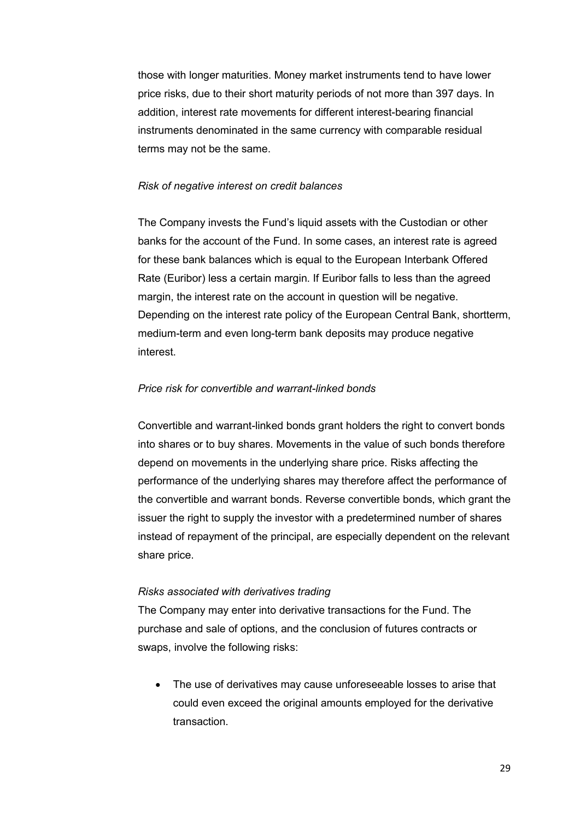those with longer maturities. Money market instruments tend to have lower price risks, due to their short maturity periods of not more than 397 days. In addition, interest rate movements for different interest-bearing financial instruments denominated in the same currency with comparable residual terms may not be the same.

#### *Risk of negative interest on credit balances*

The Company invests the Fund's liquid assets with the Custodian or other banks for the account of the Fund. In some cases, an interest rate is agreed for these bank balances which is equal to the European Interbank Offered Rate (Euribor) less a certain margin. If Euribor falls to less than the agreed margin, the interest rate on the account in question will be negative. Depending on the interest rate policy of the European Central Bank, shortterm, medium-term and even long-term bank deposits may produce negative interest.

#### *Price risk for convertible and warrant-linked bonds*

Convertible and warrant-linked bonds grant holders the right to convert bonds into shares or to buy shares. Movements in the value of such bonds therefore depend on movements in the underlying share price. Risks affecting the performance of the underlying shares may therefore affect the performance of the convertible and warrant bonds. Reverse convertible bonds, which grant the issuer the right to supply the investor with a predetermined number of shares instead of repayment of the principal, are especially dependent on the relevant share price.

#### *Risks associated with derivatives trading*

The Company may enter into derivative transactions for the Fund. The purchase and sale of options, and the conclusion of futures contracts or swaps, involve the following risks:

• The use of derivatives may cause unforeseeable losses to arise that could even exceed the original amounts employed for the derivative transaction.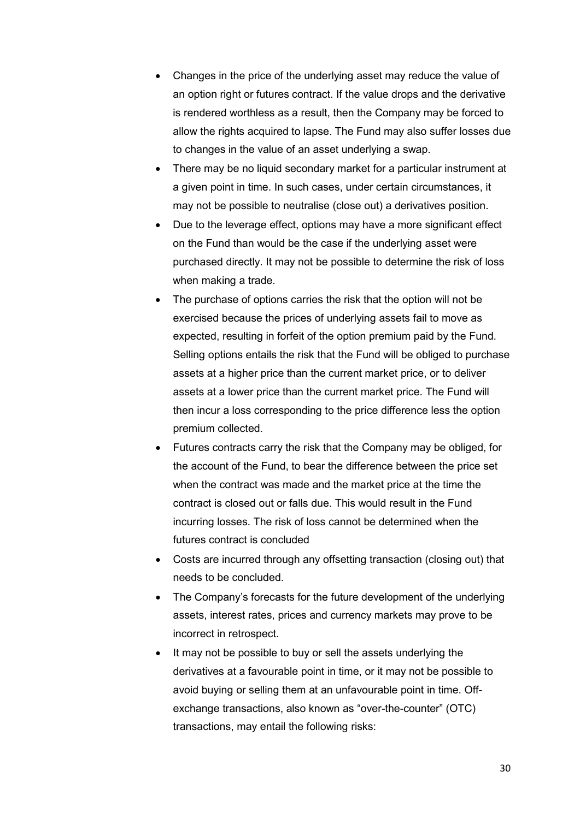- Changes in the price of the underlying asset may reduce the value of an option right or futures contract. If the value drops and the derivative is rendered worthless as a result, then the Company may be forced to allow the rights acquired to lapse. The Fund may also suffer losses due to changes in the value of an asset underlying a swap.
- There may be no liquid secondary market for a particular instrument at a given point in time. In such cases, under certain circumstances, it may not be possible to neutralise (close out) a derivatives position.
- Due to the leverage effect, options may have a more significant effect on the Fund than would be the case if the underlying asset were purchased directly. It may not be possible to determine the risk of loss when making a trade.
- The purchase of options carries the risk that the option will not be exercised because the prices of underlying assets fail to move as expected, resulting in forfeit of the option premium paid by the Fund. Selling options entails the risk that the Fund will be obliged to purchase assets at a higher price than the current market price, or to deliver assets at a lower price than the current market price. The Fund will then incur a loss corresponding to the price difference less the option premium collected.
- Futures contracts carry the risk that the Company may be obliged, for the account of the Fund, to bear the difference between the price set when the contract was made and the market price at the time the contract is closed out or falls due. This would result in the Fund incurring losses. The risk of loss cannot be determined when the futures contract is concluded
- Costs are incurred through any offsetting transaction (closing out) that needs to be concluded.
- The Company's forecasts for the future development of the underlying assets, interest rates, prices and currency markets may prove to be incorrect in retrospect.
- It may not be possible to buy or sell the assets underlying the derivatives at a favourable point in time, or it may not be possible to avoid buying or selling them at an unfavourable point in time. Offexchange transactions, also known as "over-the-counter" (OTC) transactions, may entail the following risks: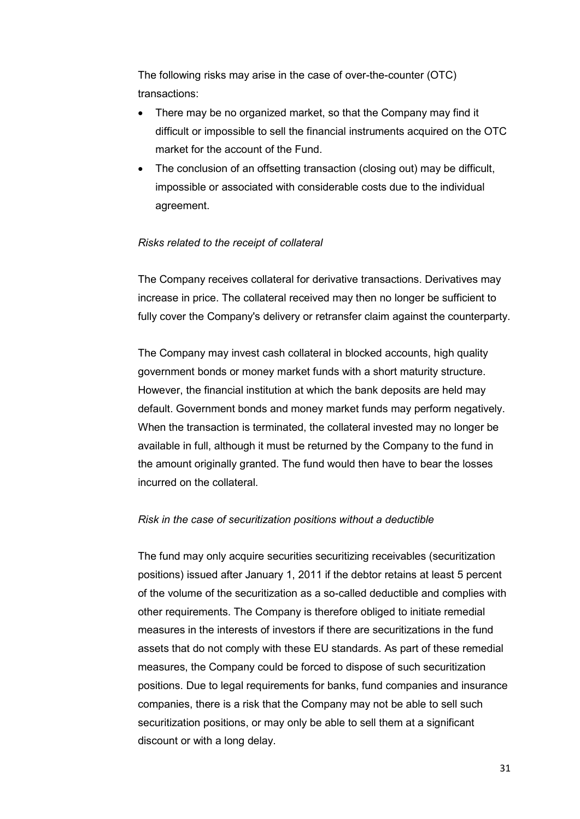The following risks may arise in the case of over-the-counter (OTC) transactions:

- There may be no organized market, so that the Company may find it difficult or impossible to sell the financial instruments acquired on the OTC market for the account of the Fund.
- The conclusion of an offsetting transaction (closing out) may be difficult, impossible or associated with considerable costs due to the individual agreement.

#### *Risks related to the receipt of collateral*

The Company receives collateral for derivative transactions. Derivatives may increase in price. The collateral received may then no longer be sufficient to fully cover the Company's delivery or retransfer claim against the counterparty.

The Company may invest cash collateral in blocked accounts, high quality government bonds or money market funds with a short maturity structure. However, the financial institution at which the bank deposits are held may default. Government bonds and money market funds may perform negatively. When the transaction is terminated, the collateral invested may no longer be available in full, although it must be returned by the Company to the fund in the amount originally granted. The fund would then have to bear the losses incurred on the collateral.

#### *Risk in the case of securitization positions without a deductible*

The fund may only acquire securities securitizing receivables (securitization positions) issued after January 1, 2011 if the debtor retains at least 5 percent of the volume of the securitization as a so-called deductible and complies with other requirements. The Company is therefore obliged to initiate remedial measures in the interests of investors if there are securitizations in the fund assets that do not comply with these EU standards. As part of these remedial measures, the Company could be forced to dispose of such securitization positions. Due to legal requirements for banks, fund companies and insurance companies, there is a risk that the Company may not be able to sell such securitization positions, or may only be able to sell them at a significant discount or with a long delay.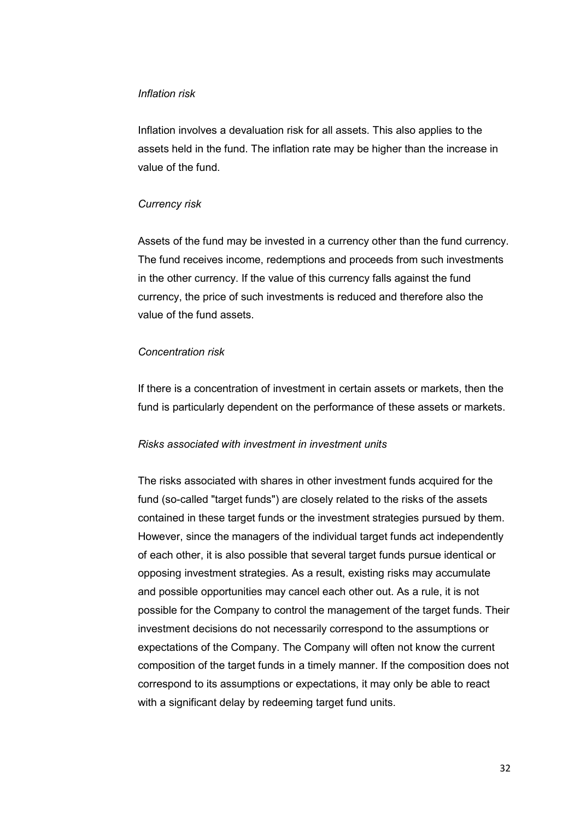#### *Inflation risk*

Inflation involves a devaluation risk for all assets. This also applies to the assets held in the fund. The inflation rate may be higher than the increase in value of the fund.

### *Currency risk*

Assets of the fund may be invested in a currency other than the fund currency. The fund receives income, redemptions and proceeds from such investments in the other currency. If the value of this currency falls against the fund currency, the price of such investments is reduced and therefore also the value of the fund assets.

#### *Concentration risk*

If there is a concentration of investment in certain assets or markets, then the fund is particularly dependent on the performance of these assets or markets.

#### *Risks associated with investment in investment units*

The risks associated with shares in other investment funds acquired for the fund (so-called "target funds") are closely related to the risks of the assets contained in these target funds or the investment strategies pursued by them. However, since the managers of the individual target funds act independently of each other, it is also possible that several target funds pursue identical or opposing investment strategies. As a result, existing risks may accumulate and possible opportunities may cancel each other out. As a rule, it is not possible for the Company to control the management of the target funds. Their investment decisions do not necessarily correspond to the assumptions or expectations of the Company. The Company will often not know the current composition of the target funds in a timely manner. If the composition does not correspond to its assumptions or expectations, it may only be able to react with a significant delay by redeeming target fund units.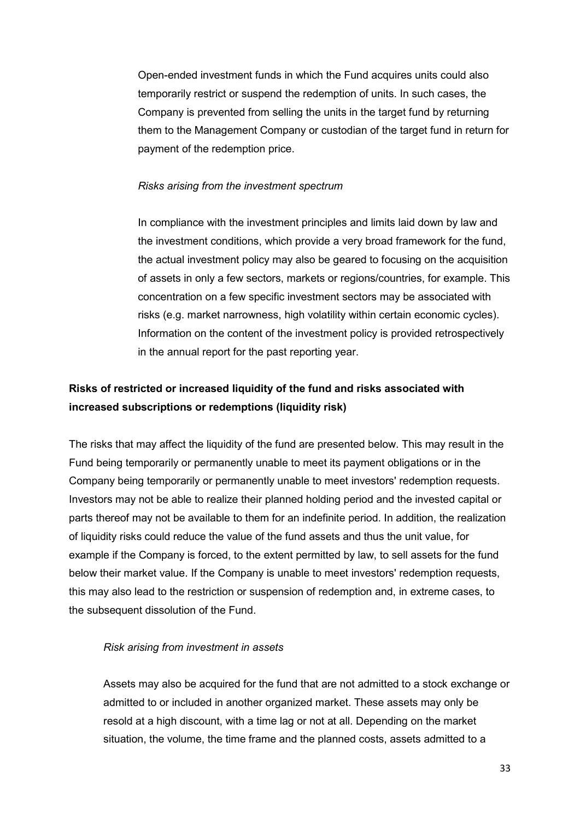Open-ended investment funds in which the Fund acquires units could also temporarily restrict or suspend the redemption of units. In such cases, the Company is prevented from selling the units in the target fund by returning them to the Management Company or custodian of the target fund in return for payment of the redemption price.

#### *Risks arising from the investment spectrum*

In compliance with the investment principles and limits laid down by law and the investment conditions, which provide a very broad framework for the fund, the actual investment policy may also be geared to focusing on the acquisition of assets in only a few sectors, markets or regions/countries, for example. This concentration on a few specific investment sectors may be associated with risks (e.g. market narrowness, high volatility within certain economic cycles). Information on the content of the investment policy is provided retrospectively in the annual report for the past reporting year.

# <span id="page-32-0"></span>**Risks of restricted or increased liquidity of the fund and risks associated with increased subscriptions or redemptions (liquidity risk)**

The risks that may affect the liquidity of the fund are presented below. This may result in the Fund being temporarily or permanently unable to meet its payment obligations or in the Company being temporarily or permanently unable to meet investors' redemption requests. Investors may not be able to realize their planned holding period and the invested capital or parts thereof may not be available to them for an indefinite period. In addition, the realization of liquidity risks could reduce the value of the fund assets and thus the unit value, for example if the Company is forced, to the extent permitted by law, to sell assets for the fund below their market value. If the Company is unable to meet investors' redemption requests, this may also lead to the restriction or suspension of redemption and, in extreme cases, to the subsequent dissolution of the Fund.

#### *Risk arising from investment in assets*

Assets may also be acquired for the fund that are not admitted to a stock exchange or admitted to or included in another organized market. These assets may only be resold at a high discount, with a time lag or not at all. Depending on the market situation, the volume, the time frame and the planned costs, assets admitted to a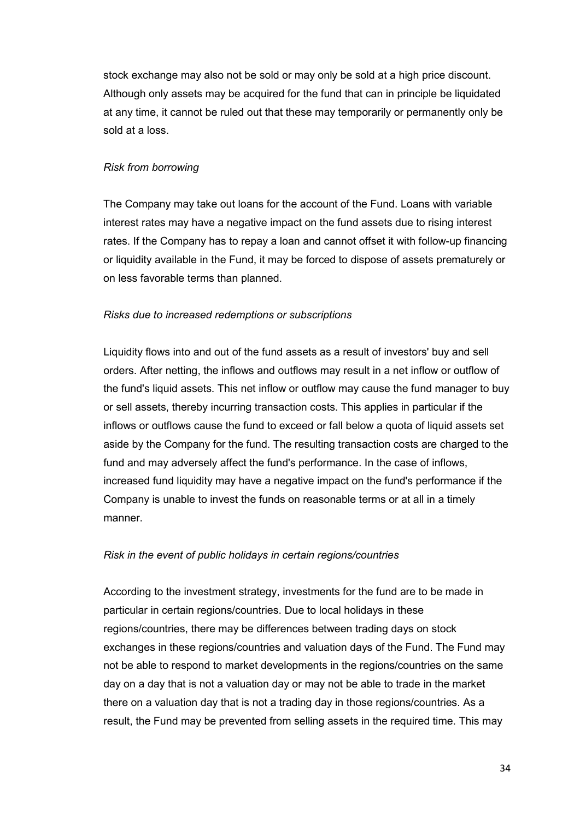stock exchange may also not be sold or may only be sold at a high price discount. Although only assets may be acquired for the fund that can in principle be liquidated at any time, it cannot be ruled out that these may temporarily or permanently only be sold at a loss.

## *Risk from borrowing*

The Company may take out loans for the account of the Fund. Loans with variable interest rates may have a negative impact on the fund assets due to rising interest rates. If the Company has to repay a loan and cannot offset it with follow-up financing or liquidity available in the Fund, it may be forced to dispose of assets prematurely or on less favorable terms than planned.

## *Risks due to increased redemptions or subscriptions*

Liquidity flows into and out of the fund assets as a result of investors' buy and sell orders. After netting, the inflows and outflows may result in a net inflow or outflow of the fund's liquid assets. This net inflow or outflow may cause the fund manager to buy or sell assets, thereby incurring transaction costs. This applies in particular if the inflows or outflows cause the fund to exceed or fall below a quota of liquid assets set aside by the Company for the fund. The resulting transaction costs are charged to the fund and may adversely affect the fund's performance. In the case of inflows, increased fund liquidity may have a negative impact on the fund's performance if the Company is unable to invest the funds on reasonable terms or at all in a timely manner.

### *Risk in the event of public holidays in certain regions/countries*

According to the investment strategy, investments for the fund are to be made in particular in certain regions/countries. Due to local holidays in these regions/countries, there may be differences between trading days on stock exchanges in these regions/countries and valuation days of the Fund. The Fund may not be able to respond to market developments in the regions/countries on the same day on a day that is not a valuation day or may not be able to trade in the market there on a valuation day that is not a trading day in those regions/countries. As a result, the Fund may be prevented from selling assets in the required time. This may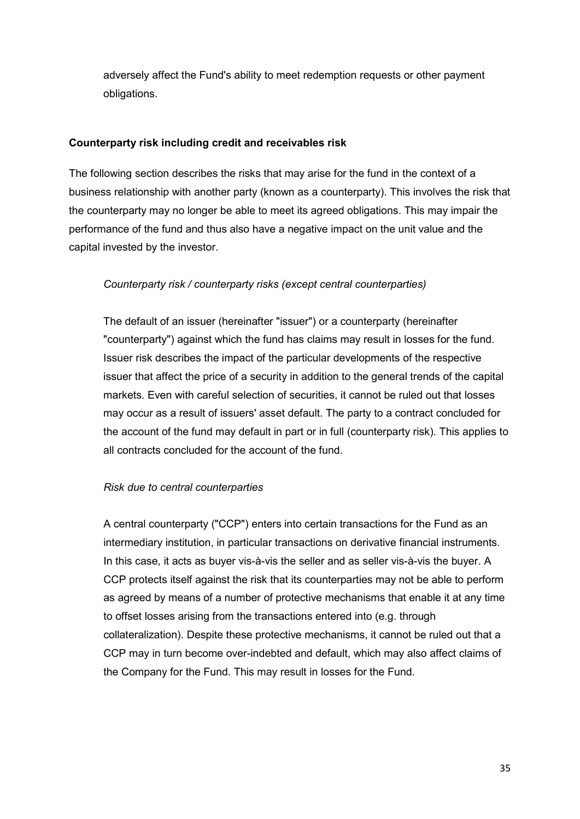adversely affect the Fund's ability to meet redemption requests or other payment obligations.

## <span id="page-34-0"></span>**Counterparty risk including credit and receivables risk**

The following section describes the risks that may arise for the fund in the context of a business relationship with another party (known as a counterparty). This involves the risk that the counterparty may no longer be able to meet its agreed obligations. This may impair the performance of the fund and thus also have a negative impact on the unit value and the capital invested by the investor.

## *Counterparty risk / counterparty risks (except central counterparties)*

The default of an issuer (hereinafter "issuer") or a counterparty (hereinafter "counterparty") against which the fund has claims may result in losses for the fund. Issuer risk describes the impact of the particular developments of the respective issuer that affect the price of a security in addition to the general trends of the capital markets. Even with careful selection of securities, it cannot be ruled out that losses may occur as a result of issuers' asset default. The party to a contract concluded for the account of the fund may default in part or in full (counterparty risk). This applies to all contracts concluded for the account of the fund.

### *Risk due to central counterparties*

A central counterparty ("CCP") enters into certain transactions for the Fund as an intermediary institution, in particular transactions on derivative financial instruments. In this case, it acts as buyer vis-à-vis the seller and as seller vis-à-vis the buyer. A CCP protects itself against the risk that its counterparties may not be able to perform as agreed by means of a number of protective mechanisms that enable it at any time to offset losses arising from the transactions entered into (e.g. through collateralization). Despite these protective mechanisms, it cannot be ruled out that a CCP may in turn become over-indebted and default, which may also affect claims of the Company for the Fund. This may result in losses for the Fund.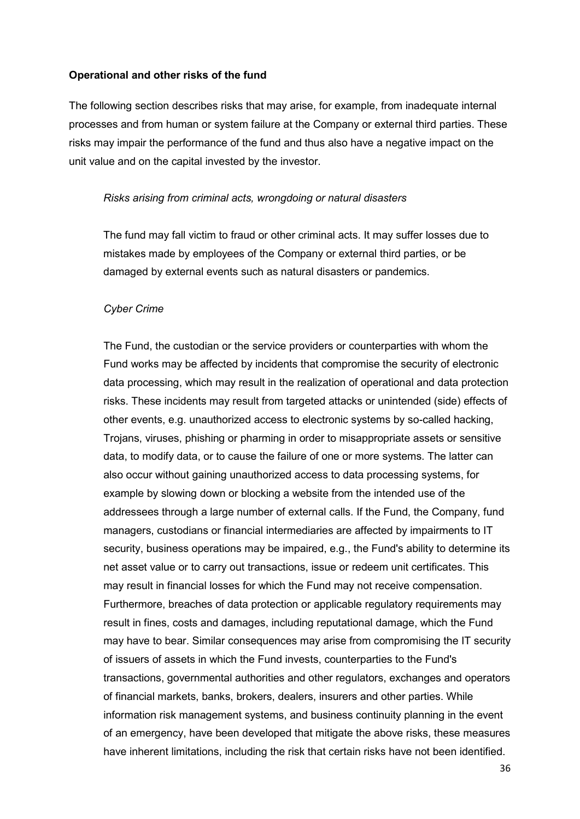#### <span id="page-35-0"></span>**Operational and other risks of the fund**

The following section describes risks that may arise, for example, from inadequate internal processes and from human or system failure at the Company or external third parties. These risks may impair the performance of the fund and thus also have a negative impact on the unit value and on the capital invested by the investor.

#### *Risks arising from criminal acts, wrongdoing or natural disasters*

The fund may fall victim to fraud or other criminal acts. It may suffer losses due to mistakes made by employees of the Company or external third parties, or be damaged by external events such as natural disasters or pandemics.

#### *Cyber Crime*

The Fund, the custodian or the service providers or counterparties with whom the Fund works may be affected by incidents that compromise the security of electronic data processing, which may result in the realization of operational and data protection risks. These incidents may result from targeted attacks or unintended (side) effects of other events, e.g. unauthorized access to electronic systems by so-called hacking, Trojans, viruses, phishing or pharming in order to misappropriate assets or sensitive data, to modify data, or to cause the failure of one or more systems. The latter can also occur without gaining unauthorized access to data processing systems, for example by slowing down or blocking a website from the intended use of the addressees through a large number of external calls. If the Fund, the Company, fund managers, custodians or financial intermediaries are affected by impairments to IT security, business operations may be impaired, e.g., the Fund's ability to determine its net asset value or to carry out transactions, issue or redeem unit certificates. This may result in financial losses for which the Fund may not receive compensation. Furthermore, breaches of data protection or applicable regulatory requirements may result in fines, costs and damages, including reputational damage, which the Fund may have to bear. Similar consequences may arise from compromising the IT security of issuers of assets in which the Fund invests, counterparties to the Fund's transactions, governmental authorities and other regulators, exchanges and operators of financial markets, banks, brokers, dealers, insurers and other parties. While information risk management systems, and business continuity planning in the event of an emergency, have been developed that mitigate the above risks, these measures have inherent limitations, including the risk that certain risks have not been identified.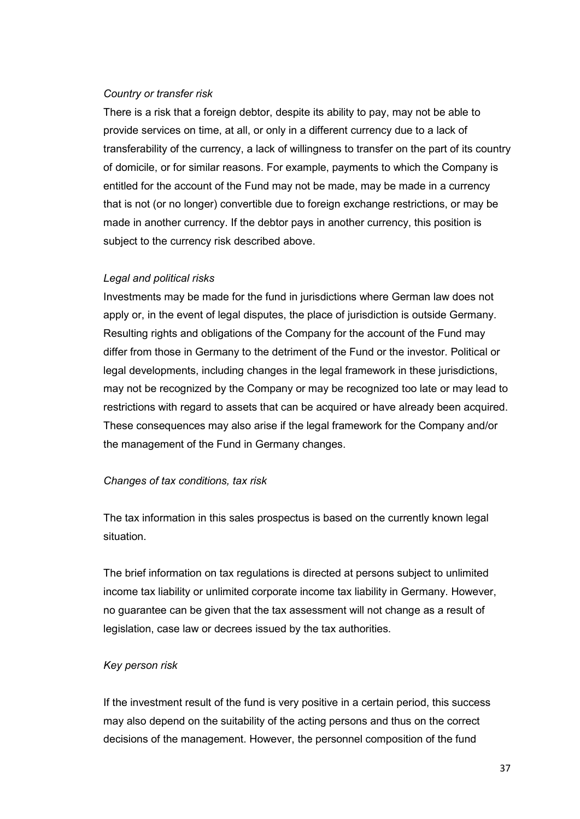#### *Country or transfer risk*

There is a risk that a foreign debtor, despite its ability to pay, may not be able to provide services on time, at all, or only in a different currency due to a lack of transferability of the currency, a lack of willingness to transfer on the part of its country of domicile, or for similar reasons. For example, payments to which the Company is entitled for the account of the Fund may not be made, may be made in a currency that is not (or no longer) convertible due to foreign exchange restrictions, or may be made in another currency. If the debtor pays in another currency, this position is subject to the currency risk described above.

#### *Legal and political risks*

Investments may be made for the fund in jurisdictions where German law does not apply or, in the event of legal disputes, the place of jurisdiction is outside Germany. Resulting rights and obligations of the Company for the account of the Fund may differ from those in Germany to the detriment of the Fund or the investor. Political or legal developments, including changes in the legal framework in these jurisdictions, may not be recognized by the Company or may be recognized too late or may lead to restrictions with regard to assets that can be acquired or have already been acquired. These consequences may also arise if the legal framework for the Company and/or the management of the Fund in Germany changes.

#### *Changes of tax conditions, tax risk*

The tax information in this sales prospectus is based on the currently known legal situation.

The brief information on tax regulations is directed at persons subject to unlimited income tax liability or unlimited corporate income tax liability in Germany. However, no guarantee can be given that the tax assessment will not change as a result of legislation, case law or decrees issued by the tax authorities.

#### *Key person risk*

If the investment result of the fund is very positive in a certain period, this success may also depend on the suitability of the acting persons and thus on the correct decisions of the management. However, the personnel composition of the fund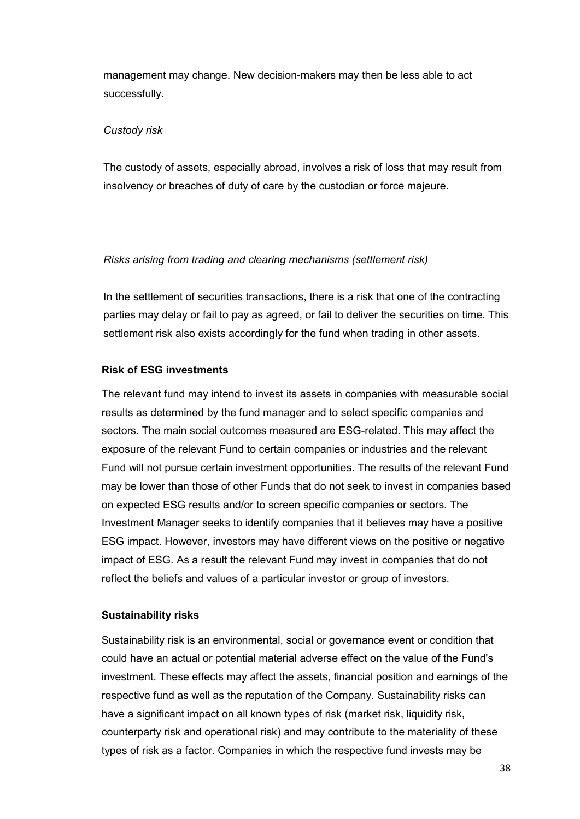management may change. New decision-makers may then be less able to act successfully.

#### *Custody risk*

The custody of assets, especially abroad, involves a risk of loss that may result from insolvency or breaches of duty of care by the custodian or force majeure.

# *Risks arising from trading and clearing mechanisms (settlement risk)*

In the settlement of securities transactions, there is a risk that one of the contracting parties may delay or fail to pay as agreed, or fail to deliver the securities on time. This settlement risk also exists accordingly for the fund when trading in other assets.

# **Risk of ESG investments**

The relevant fund may intend to invest its assets in companies with measurable social results as determined by the fund manager and to select specific companies and sectors. The main social outcomes measured are ESG-related. This may affect the exposure of the relevant Fund to certain companies or industries and the relevant Fund will not pursue certain investment opportunities. The results of the relevant Fund may be lower than those of other Funds that do not seek to invest in companies based on expected ESG results and/or to screen specific companies or sectors. The Investment Manager seeks to identify companies that it believes may have a positive ESG impact. However, investors may have different views on the positive or negative impact of ESG. As a result the relevant Fund may invest in companies that do not reflect the beliefs and values of a particular investor or group of investors.

#### **Sustainability risks**

Sustainability risk is an environmental, social or governance event or condition that could have an actual or potential material adverse effect on the value of the Fund's investment. These effects may affect the assets, financial position and earnings of the respective fund as well as the reputation of the Company. Sustainability risks can have a significant impact on all known types of risk (market risk, liquidity risk, counterparty risk and operational risk) and may contribute to the materiality of these types of risk as a factor. Companies in which the respective fund invests may be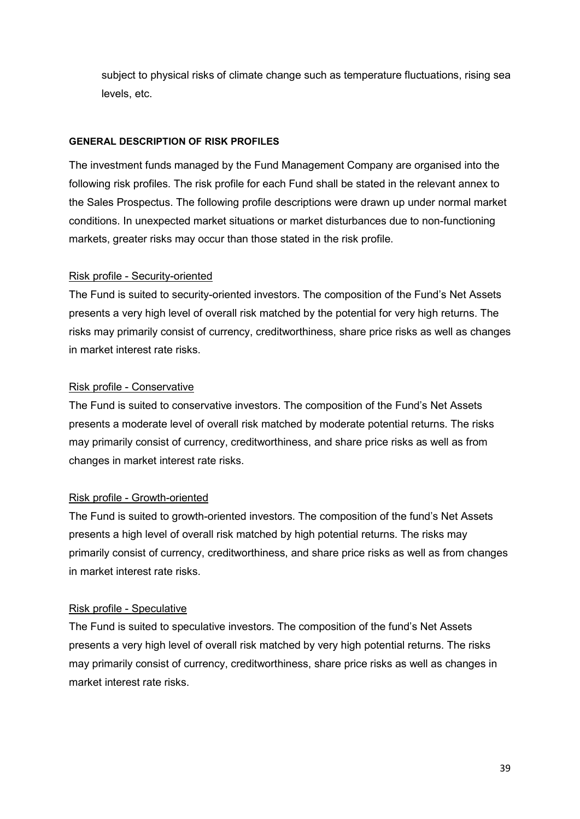subject to physical risks of climate change such as temperature fluctuations, rising sea levels, etc.

#### **GENERAL DESCRIPTION OF RISK PROFILES**

The investment funds managed by the Fund Management Company are organised into the following risk profiles. The risk profile for each Fund shall be stated in the relevant annex to the Sales Prospectus. The following profile descriptions were drawn up under normal market conditions. In unexpected market situations or market disturbances due to non-functioning markets, greater risks may occur than those stated in the risk profile.

# Risk profile - Security-oriented

The Fund is suited to security-oriented investors. The composition of the Fund's Net Assets presents a very high level of overall risk matched by the potential for very high returns. The risks may primarily consist of currency, creditworthiness, share price risks as well as changes in market interest rate risks.

# Risk profile - Conservative

The Fund is suited to conservative investors. The composition of the Fund's Net Assets presents a moderate level of overall risk matched by moderate potential returns. The risks may primarily consist of currency, creditworthiness, and share price risks as well as from changes in market interest rate risks.

# Risk profile - Growth-oriented

The Fund is suited to growth-oriented investors. The composition of the fund's Net Assets presents a high level of overall risk matched by high potential returns. The risks may primarily consist of currency, creditworthiness, and share price risks as well as from changes in market interest rate risks.

#### Risk profile - Speculative

The Fund is suited to speculative investors. The composition of the fund's Net Assets presents a very high level of overall risk matched by very high potential returns. The risks may primarily consist of currency, creditworthiness, share price risks as well as changes in market interest rate risks.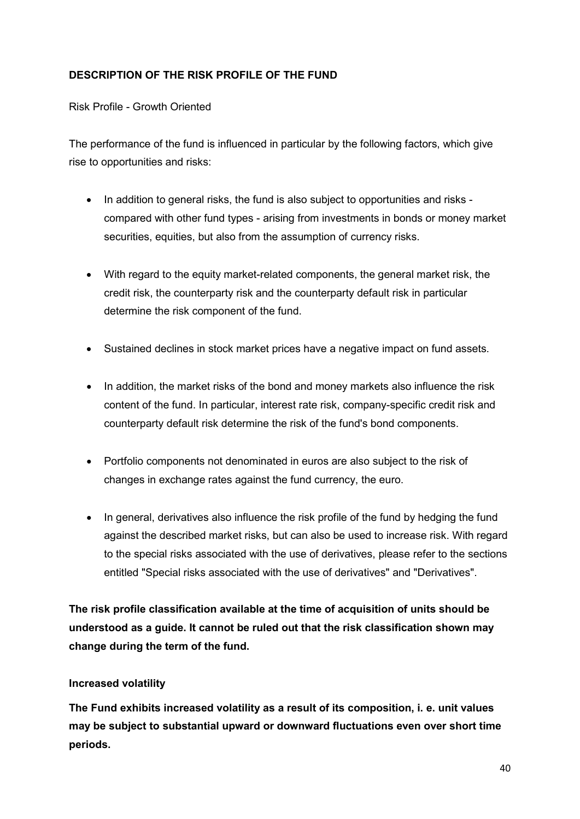# **DESCRIPTION OF THE RISK PROFILE OF THE FUND**

Risk Profile - Growth Oriented

The performance of the fund is influenced in particular by the following factors, which give rise to opportunities and risks:

- In addition to general risks, the fund is also subject to opportunities and risks compared with other fund types - arising from investments in bonds or money market securities, equities, but also from the assumption of currency risks.
- With regard to the equity market-related components, the general market risk, the credit risk, the counterparty risk and the counterparty default risk in particular determine the risk component of the fund.
- Sustained declines in stock market prices have a negative impact on fund assets.
- In addition, the market risks of the bond and money markets also influence the risk content of the fund. In particular, interest rate risk, company-specific credit risk and counterparty default risk determine the risk of the fund's bond components.
- Portfolio components not denominated in euros are also subject to the risk of changes in exchange rates against the fund currency, the euro.
- In general, derivatives also influence the risk profile of the fund by hedging the fund against the described market risks, but can also be used to increase risk. With regard to the special risks associated with the use of derivatives, please refer to the sections entitled "Special risks associated with the use of derivatives" and "Derivatives".

**The risk profile classification available at the time of acquisition of units should be understood as a guide. It cannot be ruled out that the risk classification shown may change during the term of the fund.**

# **Increased volatility**

**The Fund exhibits increased volatility as a result of its composition, i. e. unit values may be subject to substantial upward or downward fluctuations even over short time periods.**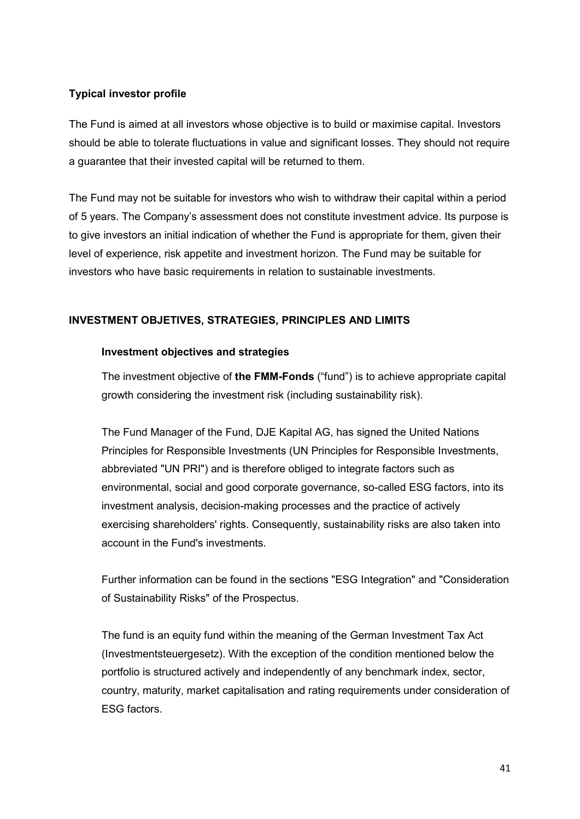# **Typical investor profile**

The Fund is aimed at all investors whose objective is to build or maximise capital. Investors should be able to tolerate fluctuations in value and significant losses. They should not require a guarantee that their invested capital will be returned to them.

The Fund may not be suitable for investors who wish to withdraw their capital within a period of 5 years. The Company's assessment does not constitute investment advice. Its purpose is to give investors an initial indication of whether the Fund is appropriate for them, given their level of experience, risk appetite and investment horizon. The Fund may be suitable for investors who have basic requirements in relation to sustainable investments.

# **INVESTMENT OBJETIVES, STRATEGIES, PRINCIPLES AND LIMITS**

# **Investment objectives and strategies**

The investment objective of **the FMM-Fonds** ("fund") is to achieve appropriate capital growth considering the investment risk (including sustainability risk).

The Fund Manager of the Fund, DJE Kapital AG, has signed the United Nations Principles for Responsible Investments (UN Principles for Responsible Investments, abbreviated "UN PRI") and is therefore obliged to integrate factors such as environmental, social and good corporate governance, so-called ESG factors, into its investment analysis, decision-making processes and the practice of actively exercising shareholders' rights. Consequently, sustainability risks are also taken into account in the Fund's investments.

Further information can be found in the sections "ESG Integration" and "Consideration of Sustainability Risks" of the Prospectus.

The fund is an equity fund within the meaning of the German Investment Tax Act (Investmentsteuergesetz). With the exception of the condition mentioned below the portfolio is structured actively and independently of any benchmark index, sector, country, maturity, market capitalisation and rating requirements under consideration of ESG factors.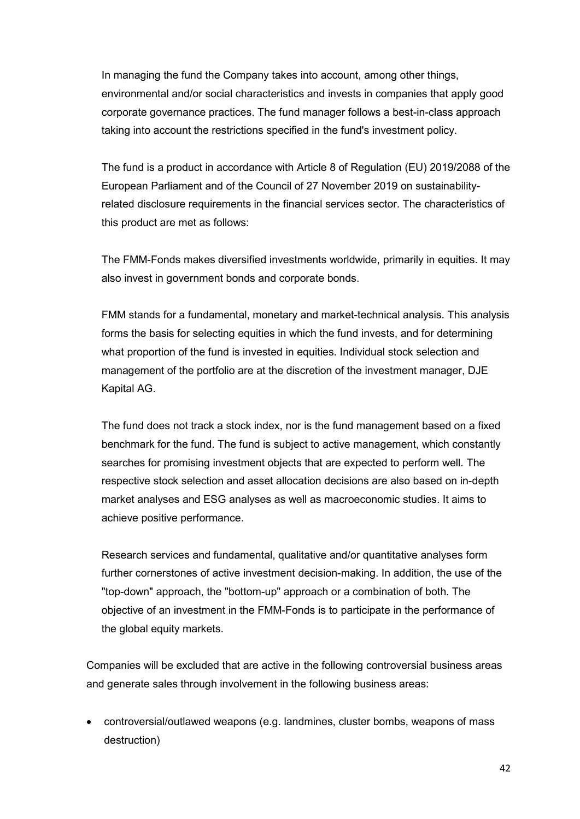In managing the fund the Company takes into account, among other things, environmental and/or social characteristics and invests in companies that apply good corporate governance practices. The fund manager follows a best-in-class approach taking into account the restrictions specified in the fund's investment policy.

The fund is a product in accordance with Article 8 of Regulation (EU) 2019/2088 of the European Parliament and of the Council of 27 November 2019 on sustainabilityrelated disclosure requirements in the financial services sector. The characteristics of this product are met as follows:

The FMM-Fonds makes diversified investments worldwide, primarily in equities. It may also invest in government bonds and corporate bonds.

FMM stands for a fundamental, monetary and market-technical analysis. This analysis forms the basis for selecting equities in which the fund invests, and for determining what proportion of the fund is invested in equities. Individual stock selection and management of the portfolio are at the discretion of the investment manager, DJE Kapital AG.

The fund does not track a stock index, nor is the fund management based on a fixed benchmark for the fund. The fund is subject to active management, which constantly searches for promising investment objects that are expected to perform well. The respective stock selection and asset allocation decisions are also based on in-depth market analyses and ESG analyses as well as macroeconomic studies. It aims to achieve positive performance.

Research services and fundamental, qualitative and/or quantitative analyses form further cornerstones of active investment decision-making. In addition, the use of the "top-down" approach, the "bottom-up" approach or a combination of both. The objective of an investment in the FMM-Fonds is to participate in the performance of the global equity markets.

Companies will be excluded that are active in the following controversial business areas and generate sales through involvement in the following business areas:

• controversial/outlawed weapons (e.g. landmines, cluster bombs, weapons of mass destruction)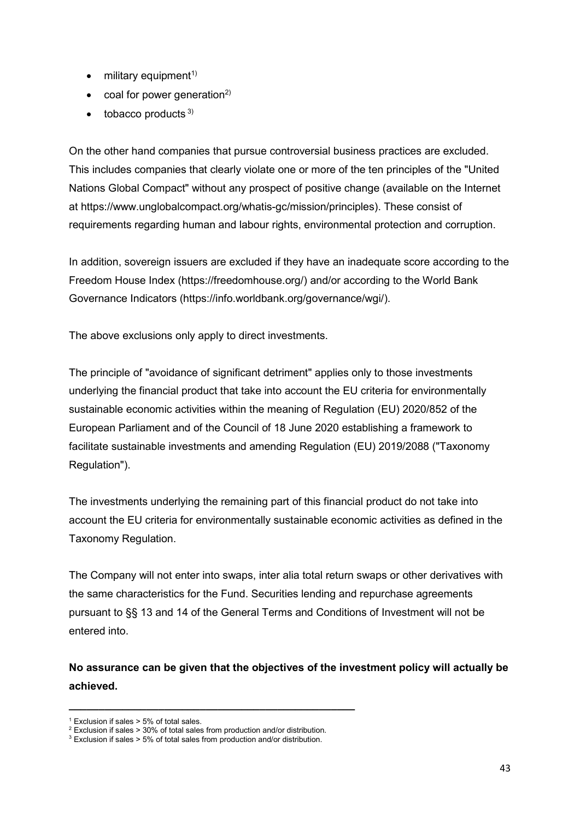- $\bullet$  military equipment<sup>1)</sup>
- coal for power generation<sup>2)</sup>
- $\bullet$  tobacco products  $3)$

On the other hand companies that pursue controversial business practices are excluded. This includes companies that clearly violate one or more of the ten principles of the "United Nations Global Compact" without any prospect of positive change (available on the Internet at https://www.unglobalcompact.org/whatis-gc/mission/principles). These consist of requirements regarding human and labour rights, environmental protection and corruption.

In addition, sovereign issuers are excluded if they have an inadequate score according to the Freedom House Index (https://freedomhouse.org/) and/or according to the World Bank Governance Indicators [\(https://info.worldbank.org/governance/wgi/\)](https://info.worldbank.org/governance/wgi/).

The above exclusions only apply to direct investments.

The principle of "avoidance of significant detriment" applies only to those investments underlying the financial product that take into account the EU criteria for environmentally sustainable economic activities within the meaning of Regulation (EU) 2020/852 of the European Parliament and of the Council of 18 June 2020 establishing a framework to facilitate sustainable investments and amending Regulation (EU) 2019/2088 ("Taxonomy Regulation").

The investments underlying the remaining part of this financial product do not take into account the EU criteria for environmentally sustainable economic activities as defined in the Taxonomy Regulation.

The Company will not enter into swaps, inter alia total return swaps or other derivatives with the same characteristics for the Fund. Securities lending and repurchase agreements pursuant to §§ 13 and 14 of the General Terms and Conditions of Investment will not be entered into.

**No assurance can be given that the objectives of the investment policy will actually be achieved.**

**\_\_\_\_\_\_\_\_\_\_\_\_\_\_\_\_\_\_\_\_\_\_\_\_\_\_\_\_\_\_\_\_\_\_\_\_\_\_\_\_\_\_\_\_\_\_\_\_**

 $1$  Exclusion if sales  $> 5\%$  of total sales.

<sup>2</sup> Exclusion if sales > 30% of total sales from production and/or distribution.

<sup>3</sup> Exclusion if sales > 5% of total sales from production and/or distribution.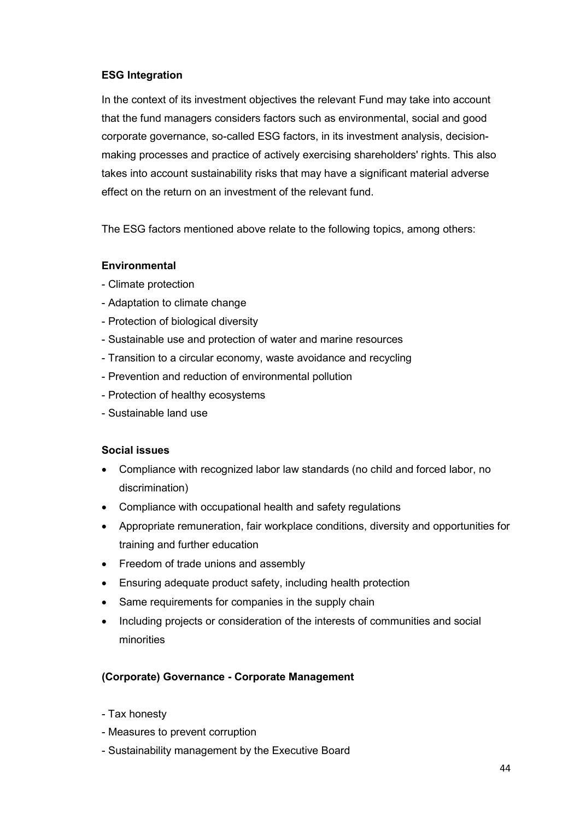# **ESG Integration**

In the context of its investment objectives the relevant Fund may take into account that the fund managers considers factors such as environmental, social and good corporate governance, so-called ESG factors, in its investment analysis, decisionmaking processes and practice of actively exercising shareholders' rights. This also takes into account sustainability risks that may have a significant material adverse effect on the return on an investment of the relevant fund.

The ESG factors mentioned above relate to the following topics, among others:

#### **Environmental**

- Climate protection
- Adaptation to climate change
- Protection of biological diversity
- Sustainable use and protection of water and marine resources
- Transition to a circular economy, waste avoidance and recycling
- Prevention and reduction of environmental pollution
- Protection of healthy ecosystems
- Sustainable land use

#### **Social issues**

- Compliance with recognized labor law standards (no child and forced labor, no discrimination)
- Compliance with occupational health and safety regulations
- Appropriate remuneration, fair workplace conditions, diversity and opportunities for training and further education
- Freedom of trade unions and assembly
- Ensuring adequate product safety, including health protection
- Same requirements for companies in the supply chain
- Including projects or consideration of the interests of communities and social minorities

#### **(Corporate) Governance - Corporate Management**

- Tax honesty
- Measures to prevent corruption
- Sustainability management by the Executive Board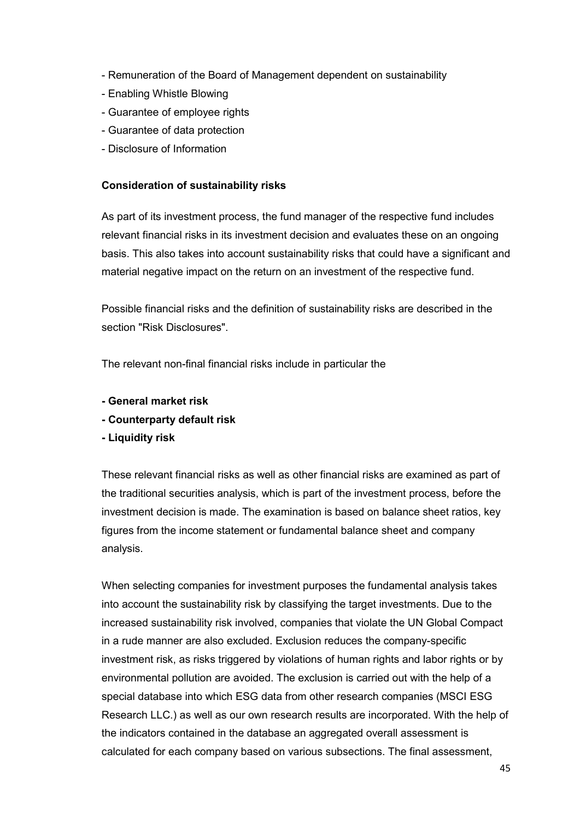- Remuneration of the Board of Management dependent on sustainability
- Enabling Whistle Blowing
- Guarantee of employee rights
- Guarantee of data protection
- Disclosure of Information

#### **Consideration of sustainability risks**

As part of its investment process, the fund manager of the respective fund includes relevant financial risks in its investment decision and evaluates these on an ongoing basis. This also takes into account sustainability risks that could have a significant and material negative impact on the return on an investment of the respective fund.

Possible financial risks and the definition of sustainability risks are described in the section "Risk Disclosures".

The relevant non-final financial risks include in particular the

- **- General market risk**
- **- Counterparty default risk**
- **- Liquidity risk**

These relevant financial risks as well as other financial risks are examined as part of the traditional securities analysis, which is part of the investment process, before the investment decision is made. The examination is based on balance sheet ratios, key figures from the income statement or fundamental balance sheet and company analysis.

When selecting companies for investment purposes the fundamental analysis takes into account the sustainability risk by classifying the target investments. Due to the increased sustainability risk involved, companies that violate the UN Global Compact in a rude manner are also excluded. Exclusion reduces the company-specific investment risk, as risks triggered by violations of human rights and labor rights or by environmental pollution are avoided. The exclusion is carried out with the help of a special database into which ESG data from other research companies (MSCI ESG Research LLC.) as well as our own research results are incorporated. With the help of the indicators contained in the database an aggregated overall assessment is calculated for each company based on various subsections. The final assessment,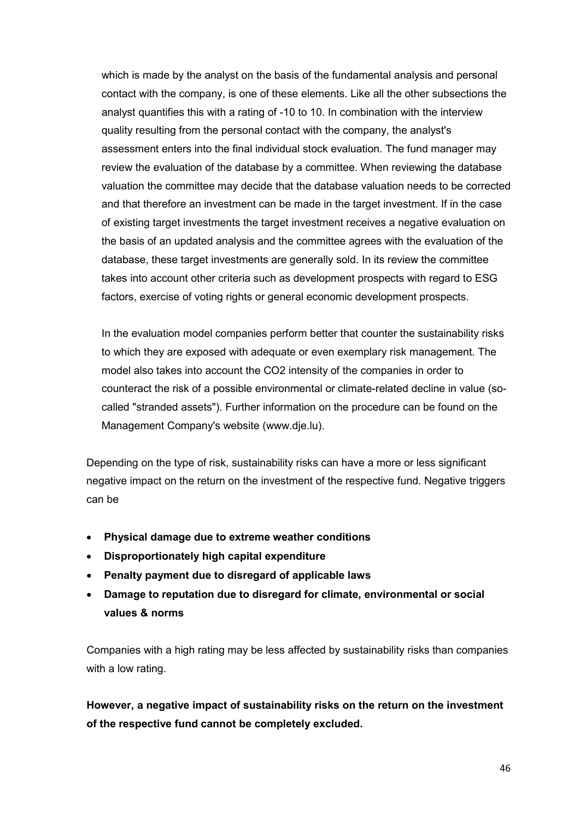which is made by the analyst on the basis of the fundamental analysis and personal contact with the company, is one of these elements. Like all the other subsections the analyst quantifies this with a rating of -10 to 10. In combination with the interview quality resulting from the personal contact with the company, the analyst's assessment enters into the final individual stock evaluation. The fund manager may review the evaluation of the database by a committee. When reviewing the database valuation the committee may decide that the database valuation needs to be corrected and that therefore an investment can be made in the target investment. If in the case of existing target investments the target investment receives a negative evaluation on the basis of an updated analysis and the committee agrees with the evaluation of the database, these target investments are generally sold. In its review the committee takes into account other criteria such as development prospects with regard to ESG factors, exercise of voting rights or general economic development prospects.

In the evaluation model companies perform better that counter the sustainability risks to which they are exposed with adequate or even exemplary risk management. The model also takes into account the CO2 intensity of the companies in order to counteract the risk of a possible environmental or climate-related decline in value (socalled "stranded assets"). Further information on the procedure can be found on the Management Company's website [\(www.dje.lu\)](http://www.dje.lu/).

Depending on the type of risk, sustainability risks can have a more or less significant negative impact on the return on the investment of the respective fund. Negative triggers can be

- **Physical damage due to extreme weather conditions**
- **Disproportionately high capital expenditure**
- **Penalty payment due to disregard of applicable laws**
- **Damage to reputation due to disregard for climate, environmental or social values & norms**

Companies with a high rating may be less affected by sustainability risks than companies with a low rating.

**However, a negative impact of sustainability risks on the return on the investment of the respective fund cannot be completely excluded.**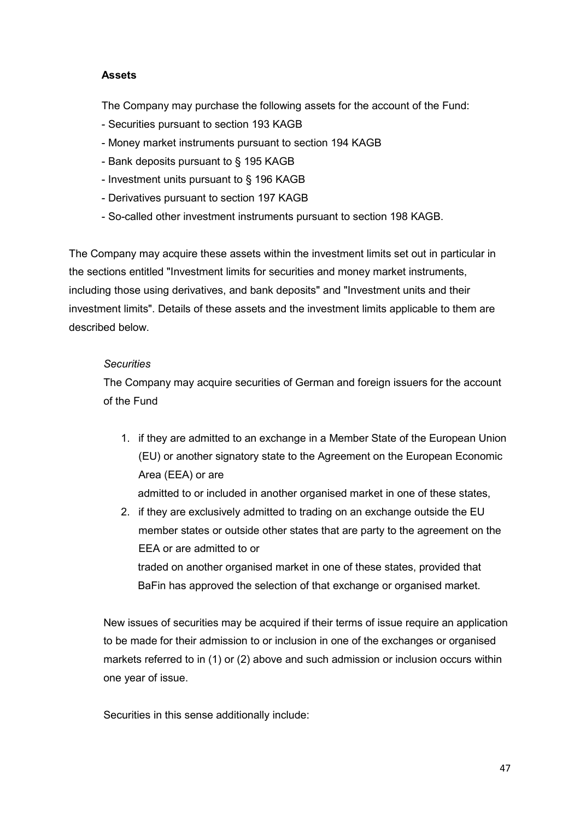# **Assets**

The Company may purchase the following assets for the account of the Fund:

- Securities pursuant to section 193 KAGB
- Money market instruments pursuant to section 194 KAGB
- Bank deposits pursuant to § 195 KAGB
- Investment units pursuant to § 196 KAGB
- Derivatives pursuant to section 197 KAGB
- So-called other investment instruments pursuant to section 198 KAGB.

The Company may acquire these assets within the investment limits set out in particular in the sections entitled "Investment limits for securities and money market instruments, including those using derivatives, and bank deposits" and "Investment units and their investment limits". Details of these assets and the investment limits applicable to them are described below.

# *Securities*

The Company may acquire securities of German and foreign issuers for the account of the Fund

1. if they are admitted to an exchange in a Member State of the European Union (EU) or another signatory state to the Agreement on the European Economic Area (EEA) or are

admitted to or included in another organised market in one of these states,

2. if they are exclusively admitted to trading on an exchange outside the EU member states or outside other states that are party to the agreement on the EEA or are admitted to or traded on another organised market in one of these states, provided that BaFin has approved the selection of that exchange or organised market.

New issues of securities may be acquired if their terms of issue require an application to be made for their admission to or inclusion in one of the exchanges or organised markets referred to in (1) or (2) above and such admission or inclusion occurs within one year of issue.

Securities in this sense additionally include: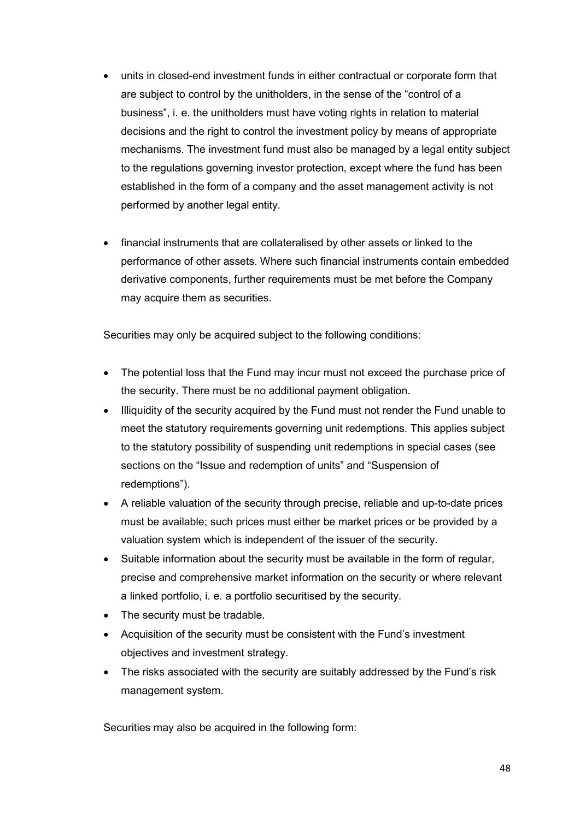- units in closed-end investment funds in either contractual or corporate form that are subject to control by the unitholders, in the sense of the "control of a business", i. e. the unitholders must have voting rights in relation to material decisions and the right to control the investment policy by means of appropriate mechanisms. The investment fund must also be managed by a legal entity subject to the regulations governing investor protection, except where the fund has been established in the form of a company and the asset management activity is not performed by another legal entity.
- financial instruments that are collateralised by other assets or linked to the performance of other assets. Where such financial instruments contain embedded derivative components, further requirements must be met before the Company may acquire them as securities.

Securities may only be acquired subject to the following conditions:

- The potential loss that the Fund may incur must not exceed the purchase price of the security. There must be no additional payment obligation.
- Illiquidity of the security acquired by the Fund must not render the Fund unable to meet the statutory requirements governing unit redemptions. This applies subject to the statutory possibility of suspending unit redemptions in special cases (see sections on the "Issue and redemption of units" and "Suspension of redemptions").
- A reliable valuation of the security through precise, reliable and up-to-date prices must be available; such prices must either be market prices or be provided by a valuation system which is independent of the issuer of the security.
- Suitable information about the security must be available in the form of regular, precise and comprehensive market information on the security or where relevant a linked portfolio, i. e. a portfolio securitised by the security.
- The security must be tradable.
- Acquisition of the security must be consistent with the Fund's investment objectives and investment strategy.
- The risks associated with the security are suitably addressed by the Fund's risk management system.

Securities may also be acquired in the following form: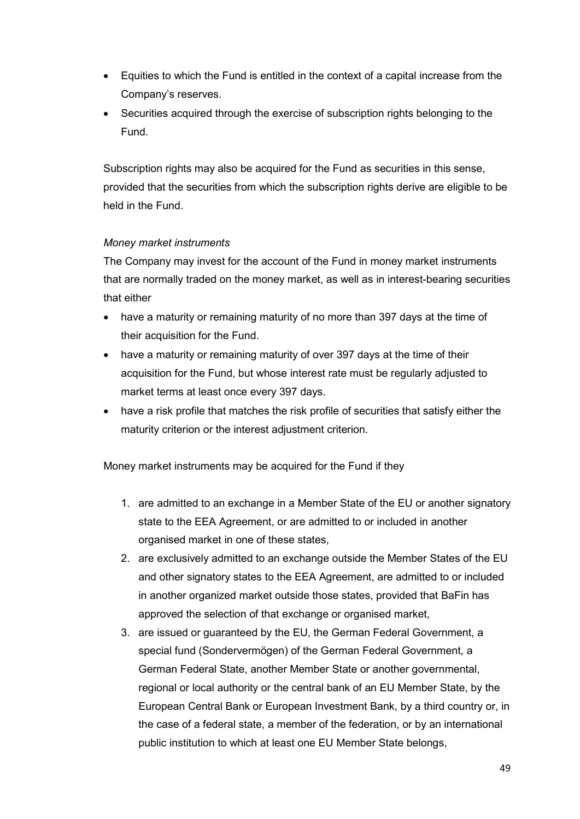- Equities to which the Fund is entitled in the context of a capital increase from the Company's reserves.
- Securities acquired through the exercise of subscription rights belonging to the Fund.

Subscription rights may also be acquired for the Fund as securities in this sense, provided that the securities from which the subscription rights derive are eligible to be held in the Fund.

# *Money market instruments*

The Company may invest for the account of the Fund in money market instruments that are normally traded on the money market, as well as in interest-bearing securities that either

- have a maturity or remaining maturity of no more than 397 days at the time of their acquisition for the Fund.
- have a maturity or remaining maturity of over 397 days at the time of their acquisition for the Fund, but whose interest rate must be regularly adjusted to market terms at least once every 397 days.
- have a risk profile that matches the risk profile of securities that satisfy either the maturity criterion or the interest adjustment criterion.

Money market instruments may be acquired for the Fund if they

- 1. are admitted to an exchange in a Member State of the EU or another signatory state to the EEA Agreement, or are admitted to or included in another organised market in one of these states,
- 2. are exclusively admitted to an exchange outside the Member States of the EU and other signatory states to the EEA Agreement, are admitted to or included in another organized market outside those states, provided that BaFin has approved the selection of that exchange or organised market,
- 3. are issued or guaranteed by the EU, the German Federal Government, a special fund (Sondervermögen) of the German Federal Government, a German Federal State, another Member State or another governmental, regional or local authority or the central bank of an EU Member State, by the European Central Bank or European Investment Bank, by a third country or, in the case of a federal state, a member of the federation, or by an international public institution to which at least one EU Member State belongs,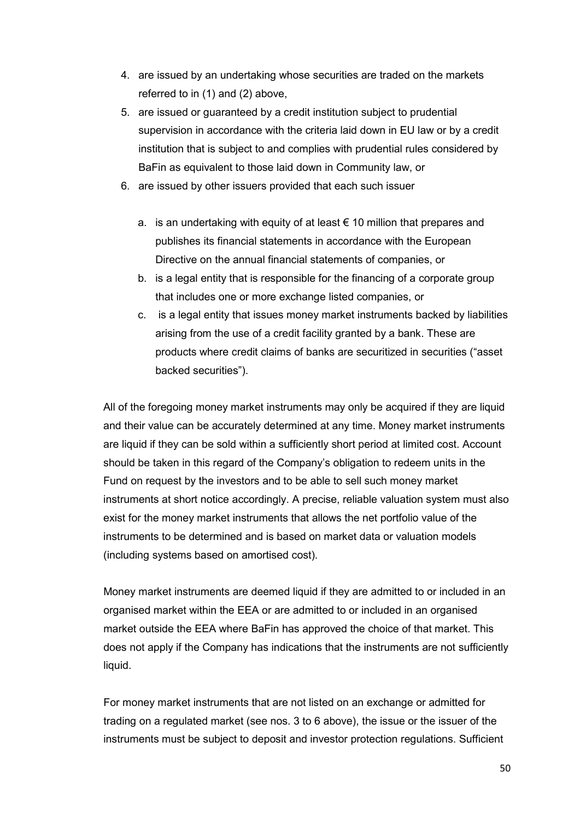- 4. are issued by an undertaking whose securities are traded on the markets referred to in (1) and (2) above,
- 5. are issued or guaranteed by a credit institution subject to prudential supervision in accordance with the criteria laid down in EU law or by a credit institution that is subject to and complies with prudential rules considered by BaFin as equivalent to those laid down in Community law, or
- 6. are issued by other issuers provided that each such issuer
	- a. is an undertaking with equity of at least  $\epsilon$  10 million that prepares and publishes its financial statements in accordance with the European Directive on the annual financial statements of companies, or
	- b. is a legal entity that is responsible for the financing of a corporate group that includes one or more exchange listed companies, or
	- c. is a legal entity that issues money market instruments backed by liabilities arising from the use of a credit facility granted by a bank. These are products where credit claims of banks are securitized in securities ("asset backed securities").

All of the foregoing money market instruments may only be acquired if they are liquid and their value can be accurately determined at any time. Money market instruments are liquid if they can be sold within a sufficiently short period at limited cost. Account should be taken in this regard of the Company's obligation to redeem units in the Fund on request by the investors and to be able to sell such money market instruments at short notice accordingly. A precise, reliable valuation system must also exist for the money market instruments that allows the net portfolio value of the instruments to be determined and is based on market data or valuation models (including systems based on amortised cost).

Money market instruments are deemed liquid if they are admitted to or included in an organised market within the EEA or are admitted to or included in an organised market outside the EEA where BaFin has approved the choice of that market. This does not apply if the Company has indications that the instruments are not sufficiently liquid.

For money market instruments that are not listed on an exchange or admitted for trading on a regulated market (see nos. 3 to 6 above), the issue or the issuer of the instruments must be subject to deposit and investor protection regulations. Sufficient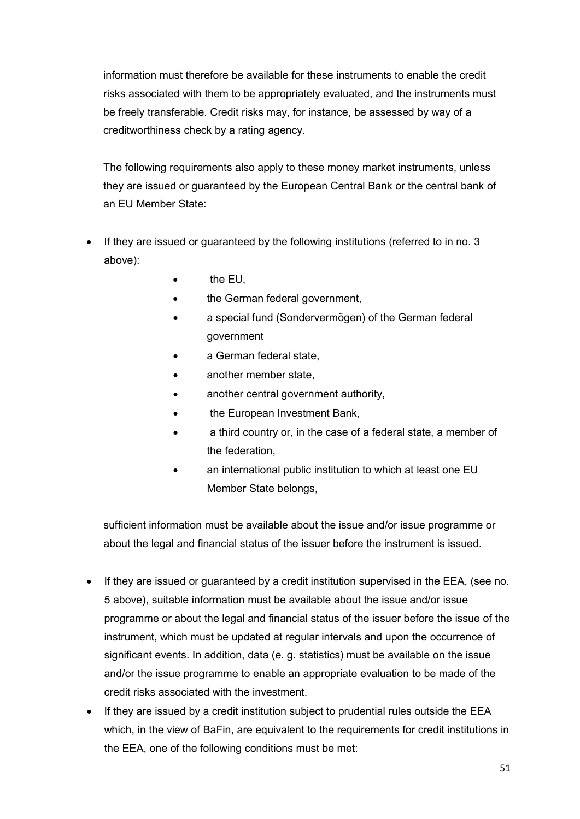information must therefore be available for these instruments to enable the credit risks associated with them to be appropriately evaluated, and the instruments must be freely transferable. Credit risks may, for instance, be assessed by way of a creditworthiness check by a rating agency.

The following requirements also apply to these money market instruments, unless they are issued or guaranteed by the European Central Bank or the central bank of an EU Member State:

- If they are issued or guaranteed by the following institutions (referred to in no. 3) above):
	- the EU,
	- the German federal government,
	- a special fund (Sondervermögen) of the German federal government
	- a German federal state,
	- another member state,
	- another central government authority,
	- the European Investment Bank,
	- a third country or, in the case of a federal state, a member of the federation,
	- an international public institution to which at least one EU Member State belongs,

sufficient information must be available about the issue and/or issue programme or about the legal and financial status of the issuer before the instrument is issued.

- If they are issued or guaranteed by a credit institution supervised in the EEA, (see no. 5 above), suitable information must be available about the issue and/or issue programme or about the legal and financial status of the issuer before the issue of the instrument, which must be updated at regular intervals and upon the occurrence of significant events. In addition, data (e. g. statistics) must be available on the issue and/or the issue programme to enable an appropriate evaluation to be made of the credit risks associated with the investment.
- If they are issued by a credit institution subject to prudential rules outside the EEA which, in the view of BaFin, are equivalent to the requirements for credit institutions in the EEA, one of the following conditions must be met: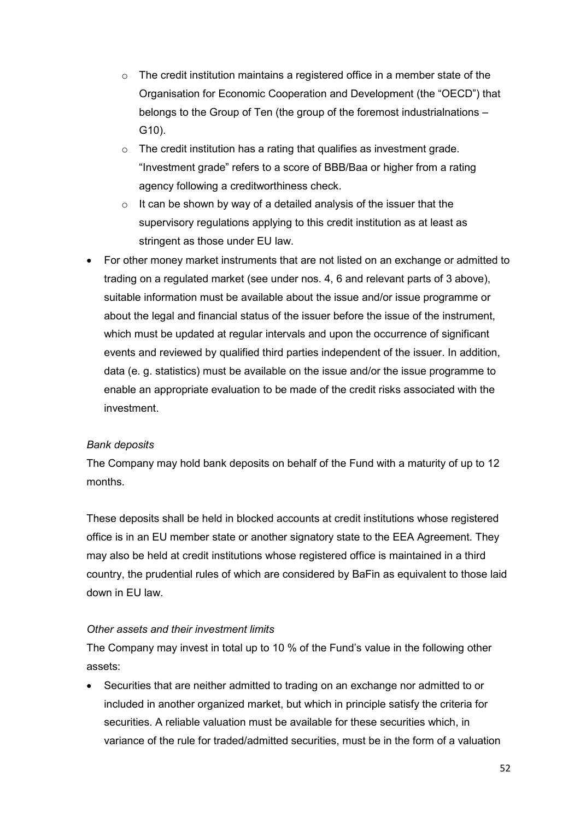- $\circ$  The credit institution maintains a registered office in a member state of the Organisation for Economic Cooperation and Development (the "OECD") that belongs to the Group of Ten (the group of the foremost industrialnations – G10).
- $\circ$  The credit institution has a rating that qualifies as investment grade. "Investment grade" refers to a score of BBB/Baa or higher from a rating agency following a creditworthiness check.
- $\circ$  It can be shown by way of a detailed analysis of the issuer that the supervisory regulations applying to this credit institution as at least as stringent as those under EU law.
- For other money market instruments that are not listed on an exchange or admitted to trading on a regulated market (see under nos. 4, 6 and relevant parts of 3 above), suitable information must be available about the issue and/or issue programme or about the legal and financial status of the issuer before the issue of the instrument, which must be updated at regular intervals and upon the occurrence of significant events and reviewed by qualified third parties independent of the issuer. In addition, data (e. g. statistics) must be available on the issue and/or the issue programme to enable an appropriate evaluation to be made of the credit risks associated with the investment.

#### *Bank deposits*

The Company may hold bank deposits on behalf of the Fund with a maturity of up to 12 months.

These deposits shall be held in blocked accounts at credit institutions whose registered office is in an EU member state or another signatory state to the EEA Agreement. They may also be held at credit institutions whose registered office is maintained in a third country, the prudential rules of which are considered by BaFin as equivalent to those laid down in EU law.

#### *Other assets and their investment limits*

The Company may invest in total up to 10 % of the Fund's value in the following other assets:

• Securities that are neither admitted to trading on an exchange nor admitted to or included in another organized market, but which in principle satisfy the criteria for securities. A reliable valuation must be available for these securities which, in variance of the rule for traded/admitted securities, must be in the form of a valuation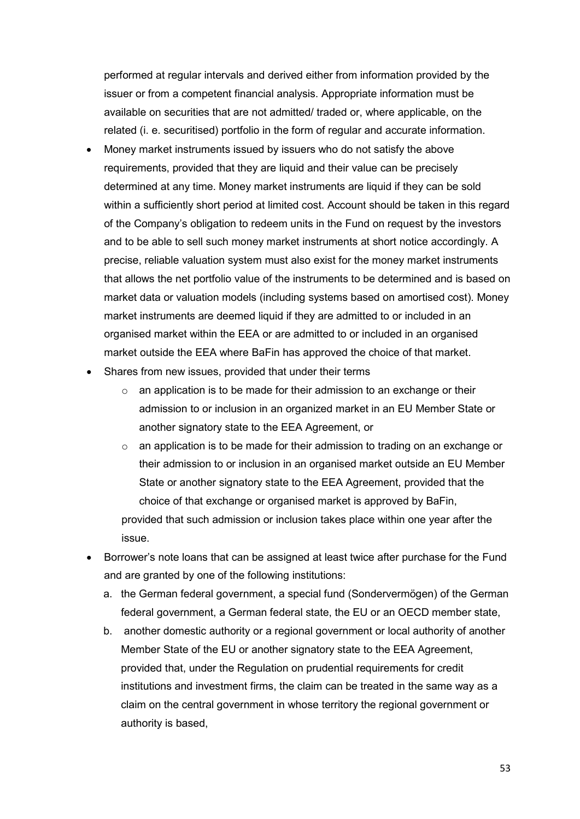performed at regular intervals and derived either from information provided by the issuer or from a competent financial analysis. Appropriate information must be available on securities that are not admitted/ traded or, where applicable, on the related (i. e. securitised) portfolio in the form of regular and accurate information.

- Money market instruments issued by issuers who do not satisfy the above requirements, provided that they are liquid and their value can be precisely determined at any time. Money market instruments are liquid if they can be sold within a sufficiently short period at limited cost. Account should be taken in this regard of the Company's obligation to redeem units in the Fund on request by the investors and to be able to sell such money market instruments at short notice accordingly. A precise, reliable valuation system must also exist for the money market instruments that allows the net portfolio value of the instruments to be determined and is based on market data or valuation models (including systems based on amortised cost). Money market instruments are deemed liquid if they are admitted to or included in an organised market within the EEA or are admitted to or included in an organised market outside the EEA where BaFin has approved the choice of that market.
- Shares from new issues, provided that under their terms
	- $\circ$  an application is to be made for their admission to an exchange or their admission to or inclusion in an organized market in an EU Member State or another signatory state to the EEA Agreement, or
	- $\circ$  an application is to be made for their admission to trading on an exchange or their admission to or inclusion in an organised market outside an EU Member State or another signatory state to the EEA Agreement, provided that the choice of that exchange or organised market is approved by BaFin, provided that such admission or inclusion takes place within one year after the issue.
- Borrower's note loans that can be assigned at least twice after purchase for the Fund and are granted by one of the following institutions:
	- a. the German federal government, a special fund (Sondervermögen) of the German federal government, a German federal state, the EU or an OECD member state,
	- b. another domestic authority or a regional government or local authority of another Member State of the EU or another signatory state to the EEA Agreement, provided that, under the Regulation on prudential requirements for credit institutions and investment firms, the claim can be treated in the same way as a claim on the central government in whose territory the regional government or authority is based,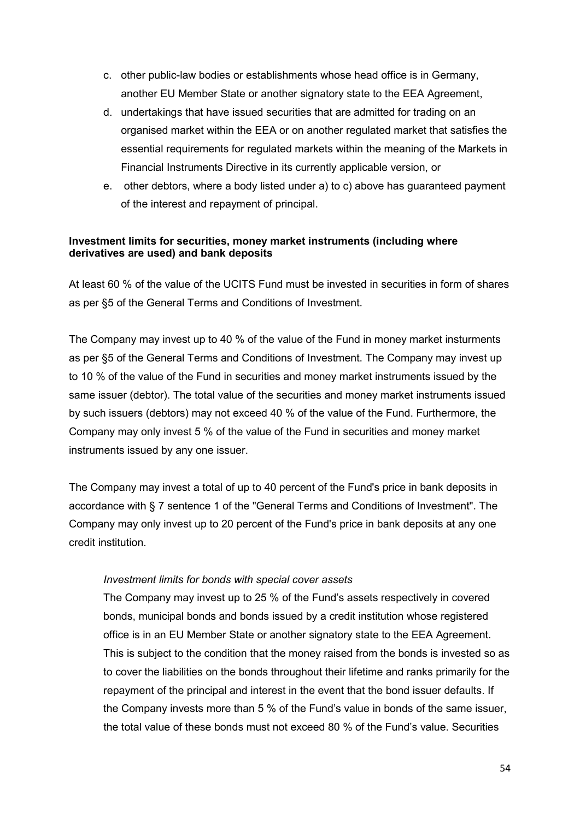- c. other public-law bodies or establishments whose head office is in Germany, another EU Member State or another signatory state to the EEA Agreement,
- d. undertakings that have issued securities that are admitted for trading on an organised market within the EEA or on another regulated market that satisfies the essential requirements for regulated markets within the meaning of the Markets in Financial Instruments Directive in its currently applicable version, or
- e. other debtors, where a body listed under a) to c) above has guaranteed payment of the interest and repayment of principal.

# **Investment limits for securities, money market instruments (including where derivatives are used) and bank deposits**

At least 60 % of the value of the UCITS Fund must be invested in securities in form of shares as per §5 of the General Terms and Conditions of Investment.

The Company may invest up to 40 % of the value of the Fund in money market insturments as per §5 of the General Terms and Conditions of Investment. The Company may invest up to 10 % of the value of the Fund in securities and money market instruments issued by the same issuer (debtor). The total value of the securities and money market instruments issued by such issuers (debtors) may not exceed 40 % of the value of the Fund. Furthermore, the Company may only invest 5 % of the value of the Fund in securities and money market instruments issued by any one issuer.

The Company may invest a total of up to 40 percent of the Fund's price in bank deposits in accordance with § 7 sentence 1 of the "General Terms and Conditions of Investment". The Company may only invest up to 20 percent of the Fund's price in bank deposits at any one credit institution.

#### *Investment limits for bonds with special cover assets*

The Company may invest up to 25 % of the Fund's assets respectively in covered bonds, municipal bonds and bonds issued by a credit institution whose registered office is in an EU Member State or another signatory state to the EEA Agreement. This is subject to the condition that the money raised from the bonds is invested so as to cover the liabilities on the bonds throughout their lifetime and ranks primarily for the repayment of the principal and interest in the event that the bond issuer defaults. If the Company invests more than 5 % of the Fund's value in bonds of the same issuer, the total value of these bonds must not exceed 80 % of the Fund's value. Securities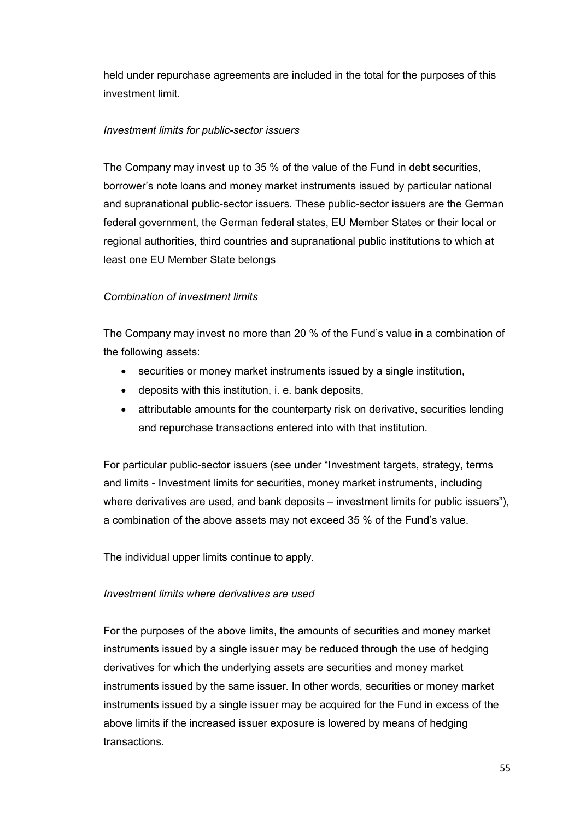held under repurchase agreements are included in the total for the purposes of this investment limit.

# *Investment limits for public-sector issuers*

The Company may invest up to 35 % of the value of the Fund in debt securities, borrower's note loans and money market instruments issued by particular national and supranational public-sector issuers. These public-sector issuers are the German federal government, the German federal states, EU Member States or their local or regional authorities, third countries and supranational public institutions to which at least one EU Member State belongs

# *Combination of investment limits*

The Company may invest no more than 20 % of the Fund's value in a combination of the following assets:

- securities or money market instruments issued by a single institution,
- deposits with this institution, i. e. bank deposits,
- attributable amounts for the counterparty risk on derivative, securities lending and repurchase transactions entered into with that institution.

For particular public-sector issuers (see under "Investment targets, strategy, terms and limits - Investment limits for securities, money market instruments, including where derivatives are used, and bank deposits – investment limits for public issuers"), a combination of the above assets may not exceed 35 % of the Fund's value.

The individual upper limits continue to apply.

# *Investment limits where derivatives are used*

For the purposes of the above limits, the amounts of securities and money market instruments issued by a single issuer may be reduced through the use of hedging derivatives for which the underlying assets are securities and money market instruments issued by the same issuer. In other words, securities or money market instruments issued by a single issuer may be acquired for the Fund in excess of the above limits if the increased issuer exposure is lowered by means of hedging transactions.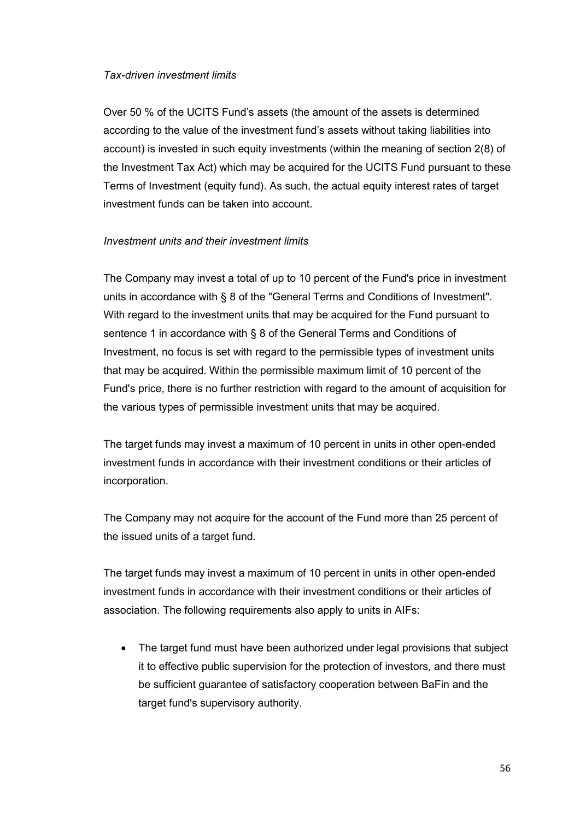## *Tax-driven investment limits*

Over 50 % of the UCITS Fund's assets (the amount of the assets is determined according to the value of the investment fund's assets without taking liabilities into account) is invested in such equity investments (within the meaning of section 2(8) of the Investment Tax Act) which may be acquired for the UCITS Fund pursuant to these Terms of Investment (equity fund). As such, the actual equity interest rates of target investment funds can be taken into account.

# *Investment units and their investment limits*

The Company may invest a total of up to 10 percent of the Fund's price in investment units in accordance with § 8 of the "General Terms and Conditions of Investment". With regard to the investment units that may be acquired for the Fund pursuant to sentence 1 in accordance with § 8 of the General Terms and Conditions of Investment, no focus is set with regard to the permissible types of investment units that may be acquired. Within the permissible maximum limit of 10 percent of the Fund's price, there is no further restriction with regard to the amount of acquisition for the various types of permissible investment units that may be acquired.

The target funds may invest a maximum of 10 percent in units in other open-ended investment funds in accordance with their investment conditions or their articles of incorporation.

The Company may not acquire for the account of the Fund more than 25 percent of the issued units of a target fund.

The target funds may invest a maximum of 10 percent in units in other open-ended investment funds in accordance with their investment conditions or their articles of association. The following requirements also apply to units in AIFs:

• The target fund must have been authorized under legal provisions that subject it to effective public supervision for the protection of investors, and there must be sufficient guarantee of satisfactory cooperation between BaFin and the target fund's supervisory authority.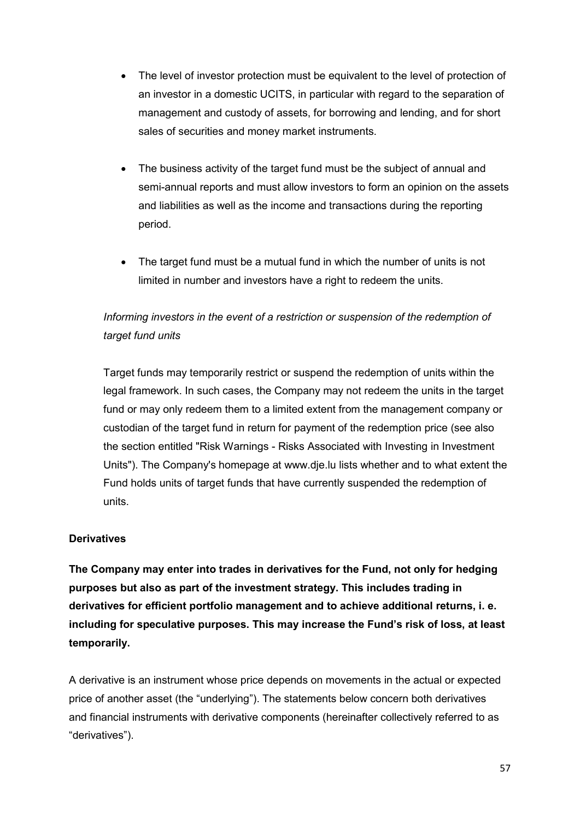- The level of investor protection must be equivalent to the level of protection of an investor in a domestic UCITS, in particular with regard to the separation of management and custody of assets, for borrowing and lending, and for short sales of securities and money market instruments.
- The business activity of the target fund must be the subject of annual and semi-annual reports and must allow investors to form an opinion on the assets and liabilities as well as the income and transactions during the reporting period.
- The target fund must be a mutual fund in which the number of units is not limited in number and investors have a right to redeem the units.

# *Informing investors in the event of a restriction or suspension of the redemption of target fund units*

Target funds may temporarily restrict or suspend the redemption of units within the legal framework. In such cases, the Company may not redeem the units in the target fund or may only redeem them to a limited extent from the management company or custodian of the target fund in return for payment of the redemption price (see also the section entitled "Risk Warnings - Risks Associated with Investing in Investment Units"). The Company's homepage at www.dje.lu lists whether and to what extent the Fund holds units of target funds that have currently suspended the redemption of units.

# **Derivatives**

**The Company may enter into trades in derivatives for the Fund, not only for hedging purposes but also as part of the investment strategy. This includes trading in derivatives for efficient portfolio management and to achieve additional returns, i. e. including for speculative purposes. This may increase the Fund's risk of loss, at least temporarily.**

A derivative is an instrument whose price depends on movements in the actual or expected price of another asset (the "underlying"). The statements below concern both derivatives and financial instruments with derivative components (hereinafter collectively referred to as "derivatives").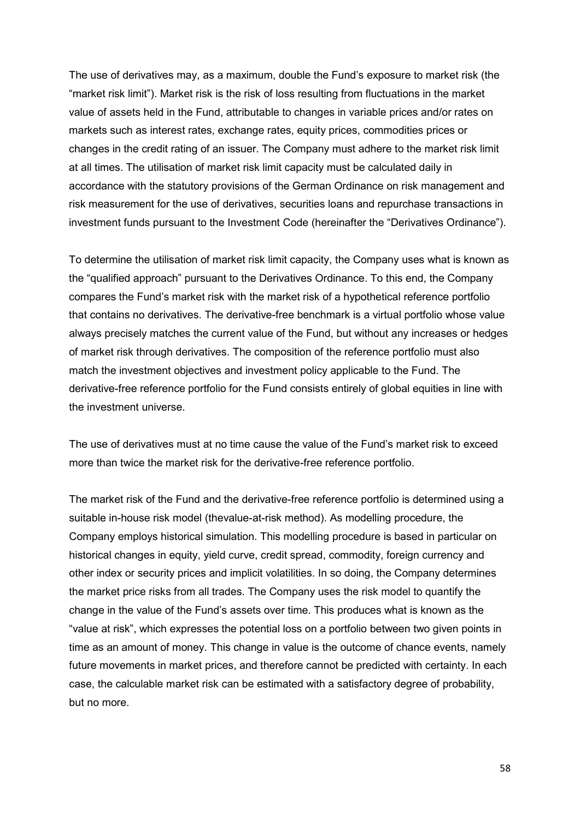The use of derivatives may, as a maximum, double the Fund's exposure to market risk (the "market risk limit"). Market risk is the risk of loss resulting from fluctuations in the market value of assets held in the Fund, attributable to changes in variable prices and/or rates on markets such as interest rates, exchange rates, equity prices, commodities prices or changes in the credit rating of an issuer. The Company must adhere to the market risk limit at all times. The utilisation of market risk limit capacity must be calculated daily in accordance with the statutory provisions of the German Ordinance on risk management and risk measurement for the use of derivatives, securities loans and repurchase transactions in investment funds pursuant to the Investment Code (hereinafter the "Derivatives Ordinance").

To determine the utilisation of market risk limit capacity, the Company uses what is known as the "qualified approach" pursuant to the Derivatives Ordinance. To this end, the Company compares the Fund's market risk with the market risk of a hypothetical reference portfolio that contains no derivatives. The derivative-free benchmark is a virtual portfolio whose value always precisely matches the current value of the Fund, but without any increases or hedges of market risk through derivatives. The composition of the reference portfolio must also match the investment objectives and investment policy applicable to the Fund. The derivative-free reference portfolio for the Fund consists entirely of global equities in line with the investment universe.

The use of derivatives must at no time cause the value of the Fund's market risk to exceed more than twice the market risk for the derivative-free reference portfolio.

The market risk of the Fund and the derivative-free reference portfolio is determined using a suitable in-house risk model (thevalue-at-risk method). As modelling procedure, the Company employs historical simulation. This modelling procedure is based in particular on historical changes in equity, yield curve, credit spread, commodity, foreign currency and other index or security prices and implicit volatilities. In so doing, the Company determines the market price risks from all trades. The Company uses the risk model to quantify the change in the value of the Fund's assets over time. This produces what is known as the "value at risk", which expresses the potential loss on a portfolio between two given points in time as an amount of money. This change in value is the outcome of chance events, namely future movements in market prices, and therefore cannot be predicted with certainty. In each case, the calculable market risk can be estimated with a satisfactory degree of probability, but no more.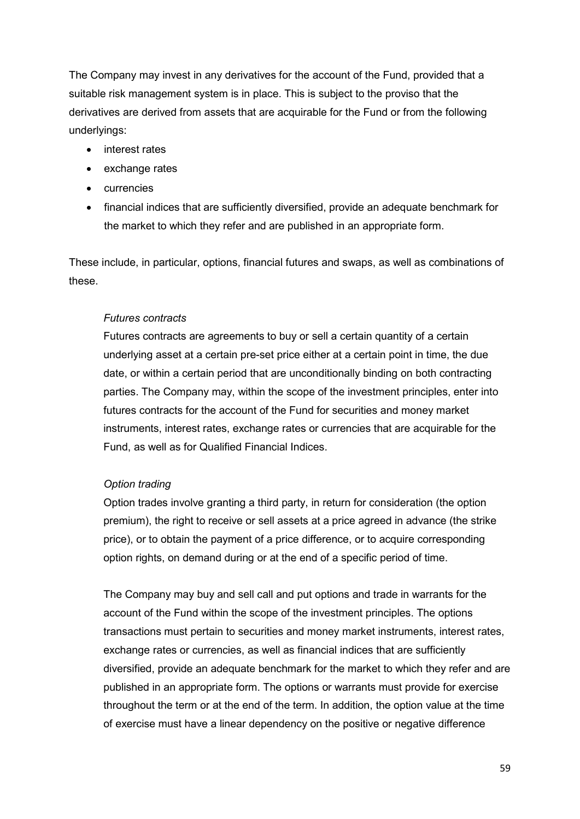The Company may invest in any derivatives for the account of the Fund, provided that a suitable risk management system is in place. This is subject to the proviso that the derivatives are derived from assets that are acquirable for the Fund or from the following underlyings:

- interest rates
- exchange rates
- currencies
- financial indices that are sufficiently diversified, provide an adequate benchmark for the market to which they refer and are published in an appropriate form.

These include, in particular, options, financial futures and swaps, as well as combinations of these.

# *Futures contracts*

Futures contracts are agreements to buy or sell a certain quantity of a certain underlying asset at a certain pre-set price either at a certain point in time, the due date, or within a certain period that are unconditionally binding on both contracting parties. The Company may, within the scope of the investment principles, enter into futures contracts for the account of the Fund for securities and money market instruments, interest rates, exchange rates or currencies that are acquirable for the Fund, as well as for Qualified Financial Indices.

#### *Option trading*

Option trades involve granting a third party, in return for consideration (the option premium), the right to receive or sell assets at a price agreed in advance (the strike price), or to obtain the payment of a price difference, or to acquire corresponding option rights, on demand during or at the end of a specific period of time.

The Company may buy and sell call and put options and trade in warrants for the account of the Fund within the scope of the investment principles. The options transactions must pertain to securities and money market instruments, interest rates, exchange rates or currencies, as well as financial indices that are sufficiently diversified, provide an adequate benchmark for the market to which they refer and are published in an appropriate form. The options or warrants must provide for exercise throughout the term or at the end of the term. In addition, the option value at the time of exercise must have a linear dependency on the positive or negative difference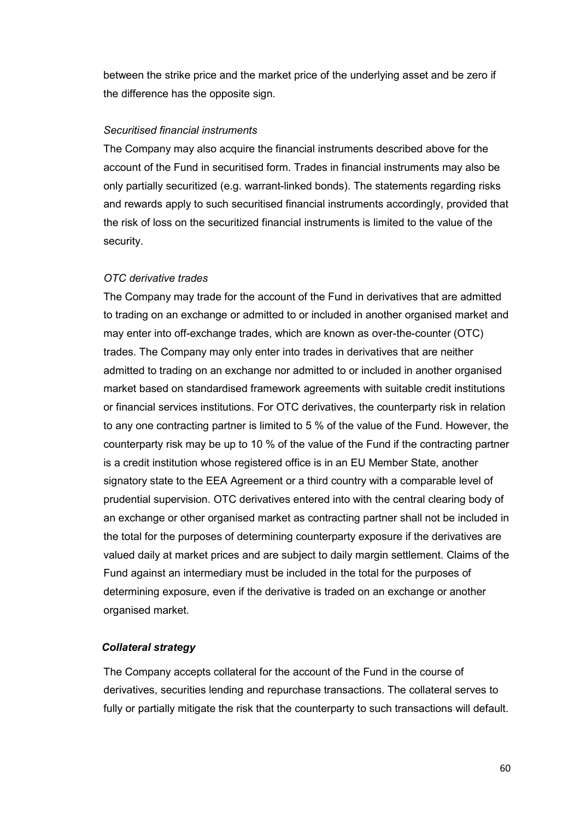between the strike price and the market price of the underlying asset and be zero if the difference has the opposite sign.

#### *Securitised financial instruments*

The Company may also acquire the financial instruments described above for the account of the Fund in securitised form. Trades in financial instruments may also be only partially securitized (e.g. warrant-linked bonds). The statements regarding risks and rewards apply to such securitised financial instruments accordingly, provided that the risk of loss on the securitized financial instruments is limited to the value of the security.

#### *OTC derivative trades*

The Company may trade for the account of the Fund in derivatives that are admitted to trading on an exchange or admitted to or included in another organised market and may enter into off-exchange trades, which are known as over-the-counter (OTC) trades. The Company may only enter into trades in derivatives that are neither admitted to trading on an exchange nor admitted to or included in another organised market based on standardised framework agreements with suitable credit institutions or financial services institutions. For OTC derivatives, the counterparty risk in relation to any one contracting partner is limited to 5 % of the value of the Fund. However, the counterparty risk may be up to 10 % of the value of the Fund if the contracting partner is a credit institution whose registered office is in an EU Member State, another signatory state to the EEA Agreement or a third country with a comparable level of prudential supervision. OTC derivatives entered into with the central clearing body of an exchange or other organised market as contracting partner shall not be included in the total for the purposes of determining counterparty exposure if the derivatives are valued daily at market prices and are subject to daily margin settlement. Claims of the Fund against an intermediary must be included in the total for the purposes of determining exposure, even if the derivative is traded on an exchange or another organised market.

#### *Collateral strategy*

The Company accepts collateral for the account of the Fund in the course of derivatives, securities lending and repurchase transactions. The collateral serves to fully or partially mitigate the risk that the counterparty to such transactions will default.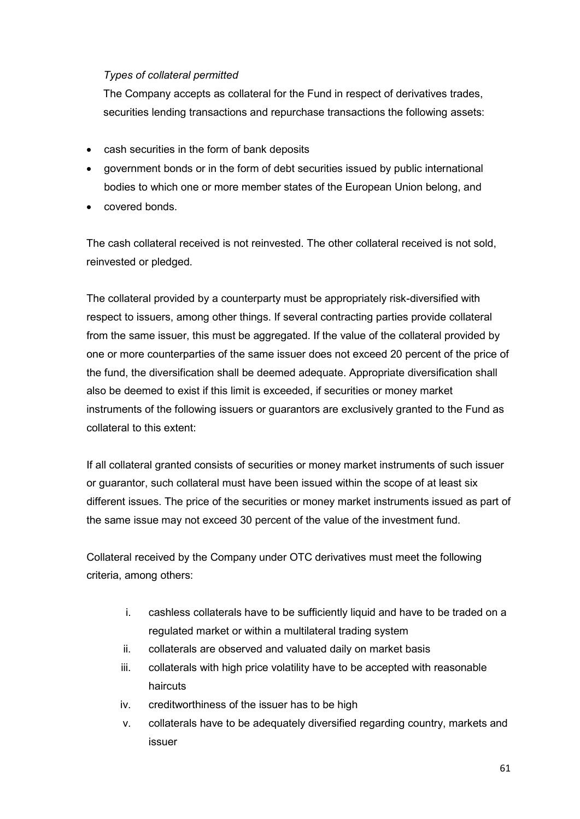# *Types of collateral permitted*

The Company accepts as collateral for the Fund in respect of derivatives trades, securities lending transactions and repurchase transactions the following assets:

- cash securities in the form of bank deposits
- government bonds or in the form of debt securities issued by public international bodies to which one or more member states of the European Union belong, and
- covered bonds.

The cash collateral received is not reinvested. The other collateral received is not sold, reinvested or pledged.

The collateral provided by a counterparty must be appropriately risk-diversified with respect to issuers, among other things. If several contracting parties provide collateral from the same issuer, this must be aggregated. If the value of the collateral provided by one or more counterparties of the same issuer does not exceed 20 percent of the price of the fund, the diversification shall be deemed adequate. Appropriate diversification shall also be deemed to exist if this limit is exceeded, if securities or money market instruments of the following issuers or guarantors are exclusively granted to the Fund as collateral to this extent:

If all collateral granted consists of securities or money market instruments of such issuer or guarantor, such collateral must have been issued within the scope of at least six different issues. The price of the securities or money market instruments issued as part of the same issue may not exceed 30 percent of the value of the investment fund.

Collateral received by the Company under OTC derivatives must meet the following criteria, among others:

- i. cashless collaterals have to be sufficiently liquid and have to be traded on a regulated market or within a multilateral trading system
- ii. collaterals are observed and valuated daily on market basis
- iii. collaterals with high price volatility have to be accepted with reasonable haircuts
- iv. creditworthiness of the issuer has to be high
- v. collaterals have to be adequately diversified regarding country, markets and issuer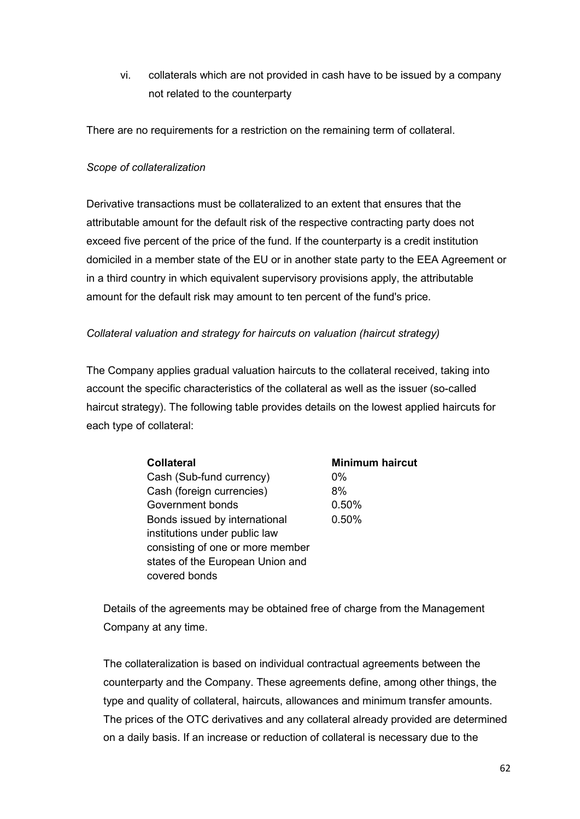vi. collaterals which are not provided in cash have to be issued by a company not related to the counterparty

There are no requirements for a restriction on the remaining term of collateral.

# *Scope of collateralization*

Derivative transactions must be collateralized to an extent that ensures that the attributable amount for the default risk of the respective contracting party does not exceed five percent of the price of the fund. If the counterparty is a credit institution domiciled in a member state of the EU or in another state party to the EEA Agreement or in a third country in which equivalent supervisory provisions apply, the attributable amount for the default risk may amount to ten percent of the fund's price.

# *Collateral valuation and strategy for haircuts on valuation (haircut strategy)*

The Company applies gradual valuation haircuts to the collateral received, taking into account the specific characteristics of the collateral as well as the issuer (so-called haircut strategy). The following table provides details on the lowest applied haircuts for each type of collateral:

| <b>Collateral</b>                | <b>Minimum haircut</b> |
|----------------------------------|------------------------|
| Cash (Sub-fund currency)         | $0\%$                  |
| Cash (foreign currencies)        | 8%                     |
| Government bonds                 | 0.50%                  |
| Bonds issued by international    | 0.50%                  |
| institutions under public law    |                        |
| consisting of one or more member |                        |
| states of the European Union and |                        |
| covered bonds                    |                        |

Details of the agreements may be obtained free of charge from the Management Company at any time.

The collateralization is based on individual contractual agreements between the counterparty and the Company. These agreements define, among other things, the type and quality of collateral, haircuts, allowances and minimum transfer amounts. The prices of the OTC derivatives and any collateral already provided are determined on a daily basis. If an increase or reduction of collateral is necessary due to the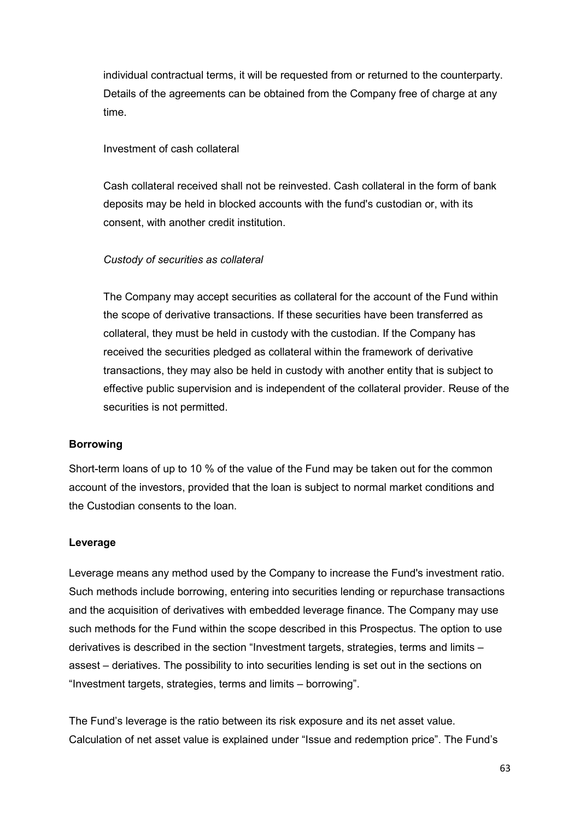individual contractual terms, it will be requested from or returned to the counterparty. Details of the agreements can be obtained from the Company free of charge at any time.

## Investment of cash collateral

Cash collateral received shall not be reinvested. Cash collateral in the form of bank deposits may be held in blocked accounts with the fund's custodian or, with its consent, with another credit institution.

# *Custody of securities as collateral*

The Company may accept securities as collateral for the account of the Fund within the scope of derivative transactions. If these securities have been transferred as collateral, they must be held in custody with the custodian. If the Company has received the securities pledged as collateral within the framework of derivative transactions, they may also be held in custody with another entity that is subject to effective public supervision and is independent of the collateral provider. Reuse of the securities is not permitted.

#### **Borrowing**

Short-term loans of up to 10 % of the value of the Fund may be taken out for the common account of the investors, provided that the loan is subject to normal market conditions and the Custodian consents to the loan.

#### **Leverage**

Leverage means any method used by the Company to increase the Fund's investment ratio. Such methods include borrowing, entering into securities lending or repurchase transactions and the acquisition of derivatives with embedded leverage finance. The Company may use such methods for the Fund within the scope described in this Prospectus. The option to use derivatives is described in the section "Investment targets, strategies, terms and limits – assest – deriatives. The possibility to into securities lending is set out in the sections on "Investment targets, strategies, terms and limits – borrowing".

The Fund's leverage is the ratio between its risk exposure and its net asset value. Calculation of net asset value is explained under "Issue and redemption price". The Fund's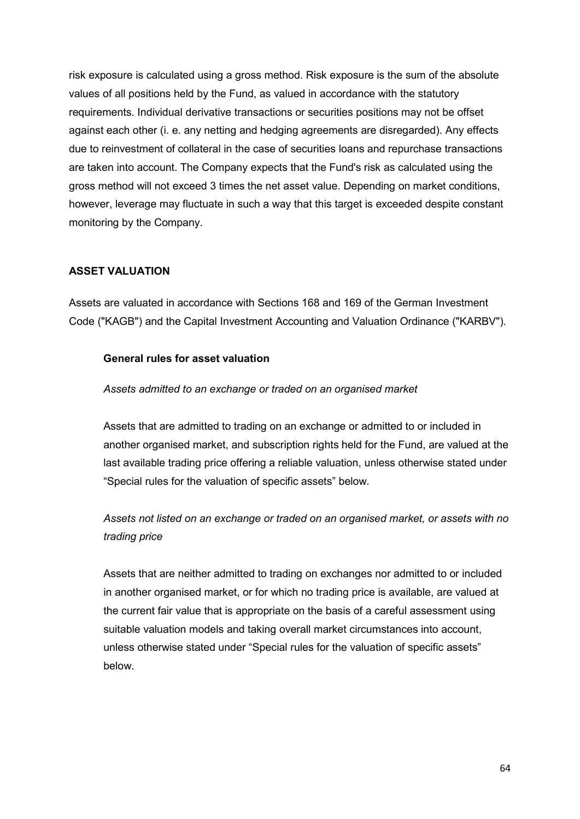risk exposure is calculated using a gross method. Risk exposure is the sum of the absolute values of all positions held by the Fund, as valued in accordance with the statutory requirements. Individual derivative transactions or securities positions may not be offset against each other (i. e. any netting and hedging agreements are disregarded). Any effects due to reinvestment of collateral in the case of securities loans and repurchase transactions are taken into account. The Company expects that the Fund's risk as calculated using the gross method will not exceed 3 times the net asset value. Depending on market conditions, however, leverage may fluctuate in such a way that this target is exceeded despite constant monitoring by the Company.

# **ASSET VALUATION**

Assets are valuated in accordance with Sections 168 and 169 of the German Investment Code ("KAGB") and the Capital Investment Accounting and Valuation Ordinance ("KARBV").

#### **General rules for asset valuation**

#### *Assets admitted to an exchange or traded on an organised market*

Assets that are admitted to trading on an exchange or admitted to or included in another organised market, and subscription rights held for the Fund, are valued at the last available trading price offering a reliable valuation, unless otherwise stated under "Special rules for the valuation of specific assets" below.

*Assets not listed on an exchange or traded on an organised market, or assets with no trading price*

Assets that are neither admitted to trading on exchanges nor admitted to or included in another organised market, or for which no trading price is available, are valued at the current fair value that is appropriate on the basis of a careful assessment using suitable valuation models and taking overall market circumstances into account, unless otherwise stated under "Special rules for the valuation of specific assets" below.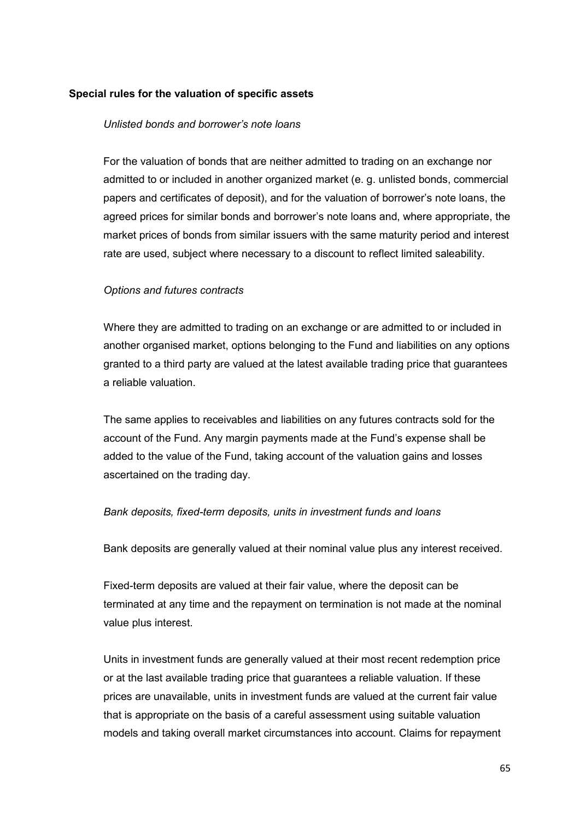#### **Special rules for the valuation of specific assets**

#### *Unlisted bonds and borrower's note loans*

For the valuation of bonds that are neither admitted to trading on an exchange nor admitted to or included in another organized market (e. g. unlisted bonds, commercial papers and certificates of deposit), and for the valuation of borrower's note loans, the agreed prices for similar bonds and borrower's note loans and, where appropriate, the market prices of bonds from similar issuers with the same maturity period and interest rate are used, subject where necessary to a discount to reflect limited saleability.

#### *Options and futures contracts*

Where they are admitted to trading on an exchange or are admitted to or included in another organised market, options belonging to the Fund and liabilities on any options granted to a third party are valued at the latest available trading price that guarantees a reliable valuation.

The same applies to receivables and liabilities on any futures contracts sold for the account of the Fund. Any margin payments made at the Fund's expense shall be added to the value of the Fund, taking account of the valuation gains and losses ascertained on the trading day.

#### *Bank deposits, fixed-term deposits, units in investment funds and loans*

Bank deposits are generally valued at their nominal value plus any interest received.

Fixed-term deposits are valued at their fair value, where the deposit can be terminated at any time and the repayment on termination is not made at the nominal value plus interest.

Units in investment funds are generally valued at their most recent redemption price or at the last available trading price that guarantees a reliable valuation. If these prices are unavailable, units in investment funds are valued at the current fair value that is appropriate on the basis of a careful assessment using suitable valuation models and taking overall market circumstances into account. Claims for repayment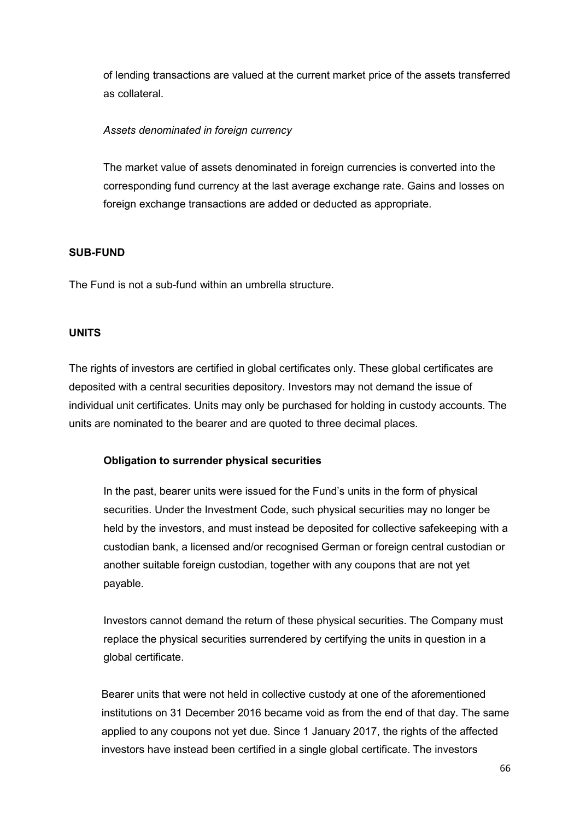of lending transactions are valued at the current market price of the assets transferred as collateral.

## *Assets denominated in foreign currency*

The market value of assets denominated in foreign currencies is converted into the corresponding fund currency at the last average exchange rate. Gains and losses on foreign exchange transactions are added or deducted as appropriate.

#### **SUB-FUND**

The Fund is not a sub-fund within an umbrella structure.

# **UNITS**

The rights of investors are certified in global certificates only. These global certificates are deposited with a central securities depository. Investors may not demand the issue of individual unit certificates. Units may only be purchased for holding in custody accounts. The units are nominated to the bearer and are quoted to three decimal places.

# **Obligation to surrender physical securities**

In the past, bearer units were issued for the Fund's units in the form of physical securities. Under the Investment Code, such physical securities may no longer be held by the investors, and must instead be deposited for collective safekeeping with a custodian bank, a licensed and/or recognised German or foreign central custodian or another suitable foreign custodian, together with any coupons that are not yet payable.

Investors cannot demand the return of these physical securities. The Company must replace the physical securities surrendered by certifying the units in question in a global certificate.

Bearer units that were not held in collective custody at one of the aforementioned institutions on 31 December 2016 became void as from the end of that day. The same applied to any coupons not yet due. Since 1 January 2017, the rights of the affected investors have instead been certified in a single global certificate. The investors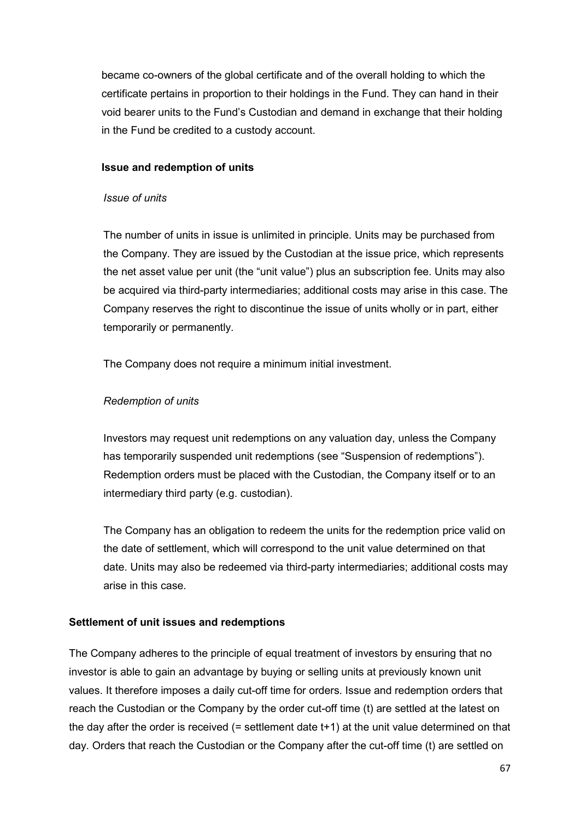became co-owners of the global certificate and of the overall holding to which the certificate pertains in proportion to their holdings in the Fund. They can hand in their void bearer units to the Fund's Custodian and demand in exchange that their holding in the Fund be credited to a custody account.

#### **Issue and redemption of units**

#### *Issue of units*

The number of units in issue is unlimited in principle. Units may be purchased from the Company. They are issued by the Custodian at the issue price, which represents the net asset value per unit (the "unit value") plus an subscription fee. Units may also be acquired via third-party intermediaries; additional costs may arise in this case. The Company reserves the right to discontinue the issue of units wholly or in part, either temporarily or permanently.

The Company does not require a minimum initial investment.

#### *Redemption of units*

Investors may request unit redemptions on any valuation day, unless the Company has temporarily suspended unit redemptions (see "Suspension of redemptions"). Redemption orders must be placed with the Custodian, the Company itself or to an intermediary third party (e.g. custodian).

The Company has an obligation to redeem the units for the redemption price valid on the date of settlement, which will correspond to the unit value determined on that date. Units may also be redeemed via third-party intermediaries; additional costs may arise in this case.

#### **Settlement of unit issues and redemptions**

The Company adheres to the principle of equal treatment of investors by ensuring that no investor is able to gain an advantage by buying or selling units at previously known unit values. It therefore imposes a daily cut-off time for orders. Issue and redemption orders that reach the Custodian or the Company by the order cut-off time (t) are settled at the latest on the day after the order is received  $(=$  settlement date  $t+1$ ) at the unit value determined on that day. Orders that reach the Custodian or the Company after the cut-off time (t) are settled on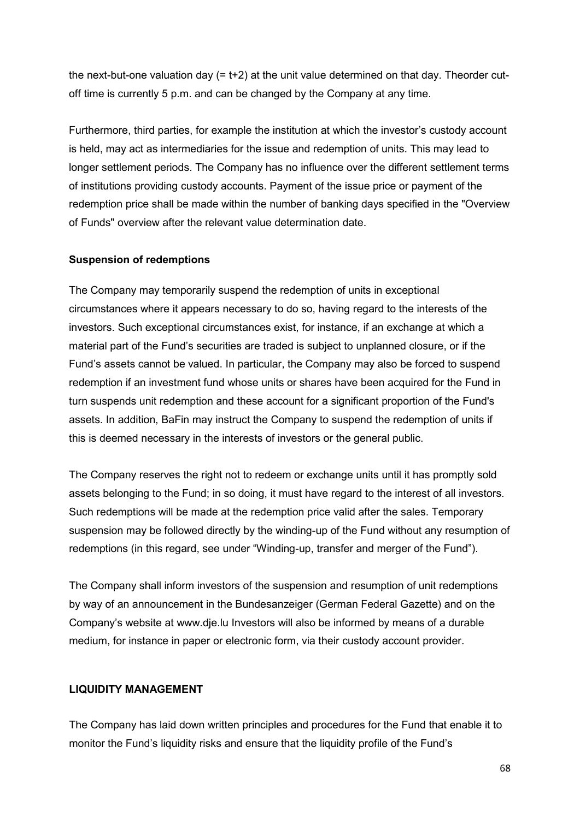the next-but-one valuation day  $(= t+2)$  at the unit value determined on that day. Theorder cutoff time is currently 5 p.m. and can be changed by the Company at any time.

Furthermore, third parties, for example the institution at which the investor's custody account is held, may act as intermediaries for the issue and redemption of units. This may lead to longer settlement periods. The Company has no influence over the different settlement terms of institutions providing custody accounts. Payment of the issue price or payment of the redemption price shall be made within the number of banking days specified in the "Overview of Funds" overview after the relevant value determination date.

#### **Suspension of redemptions**

The Company may temporarily suspend the redemption of units in exceptional circumstances where it appears necessary to do so, having regard to the interests of the investors. Such exceptional circumstances exist, for instance, if an exchange at which a material part of the Fund's securities are traded is subject to unplanned closure, or if the Fund's assets cannot be valued. In particular, the Company may also be forced to suspend redemption if an investment fund whose units or shares have been acquired for the Fund in turn suspends unit redemption and these account for a significant proportion of the Fund's assets. In addition, BaFin may instruct the Company to suspend the redemption of units if this is deemed necessary in the interests of investors or the general public.

The Company reserves the right not to redeem or exchange units until it has promptly sold assets belonging to the Fund; in so doing, it must have regard to the interest of all investors. Such redemptions will be made at the redemption price valid after the sales. Temporary suspension may be followed directly by the winding-up of the Fund without any resumption of redemptions (in this regard, see under "Winding-up, transfer and merger of the Fund").

The Company shall inform investors of the suspension and resumption of unit redemptions by way of an announcement in the Bundesanzeiger (German Federal Gazette) and on the Company's website at www.dje.lu Investors will also be informed by means of a durable medium, for instance in paper or electronic form, via their custody account provider.

# **LIQUIDITY MANAGEMENT**

The Company has laid down written principles and procedures for the Fund that enable it to monitor the Fund's liquidity risks and ensure that the liquidity profile of the Fund's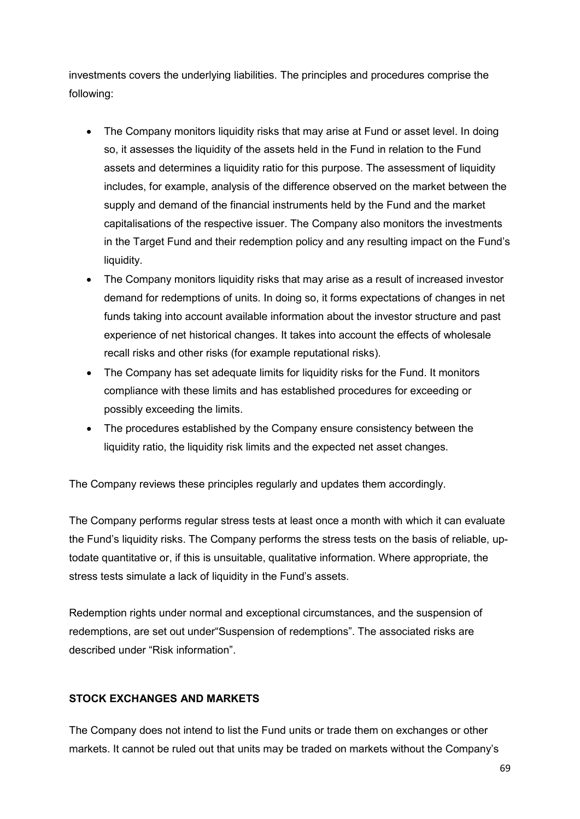investments covers the underlying liabilities. The principles and procedures comprise the following:

- The Company monitors liquidity risks that may arise at Fund or asset level. In doing so, it assesses the liquidity of the assets held in the Fund in relation to the Fund assets and determines a liquidity ratio for this purpose. The assessment of liquidity includes, for example, analysis of the difference observed on the market between the supply and demand of the financial instruments held by the Fund and the market capitalisations of the respective issuer. The Company also monitors the investments in the Target Fund and their redemption policy and any resulting impact on the Fund's liquidity.
- The Company monitors liquidity risks that may arise as a result of increased investor demand for redemptions of units. In doing so, it forms expectations of changes in net funds taking into account available information about the investor structure and past experience of net historical changes. It takes into account the effects of wholesale recall risks and other risks (for example reputational risks).
- The Company has set adequate limits for liquidity risks for the Fund. It monitors compliance with these limits and has established procedures for exceeding or possibly exceeding the limits.
- The procedures established by the Company ensure consistency between the liquidity ratio, the liquidity risk limits and the expected net asset changes.

The Company reviews these principles regularly and updates them accordingly.

The Company performs regular stress tests at least once a month with which it can evaluate the Fund's liquidity risks. The Company performs the stress tests on the basis of reliable, uptodate quantitative or, if this is unsuitable, qualitative information. Where appropriate, the stress tests simulate a lack of liquidity in the Fund's assets.

Redemption rights under normal and exceptional circumstances, and the suspension of redemptions, are set out under"Suspension of redemptions". The associated risks are described under "Risk information".

# **STOCK EXCHANGES AND MARKETS**

The Company does not intend to list the Fund units or trade them on exchanges or other markets. It cannot be ruled out that units may be traded on markets without the Company's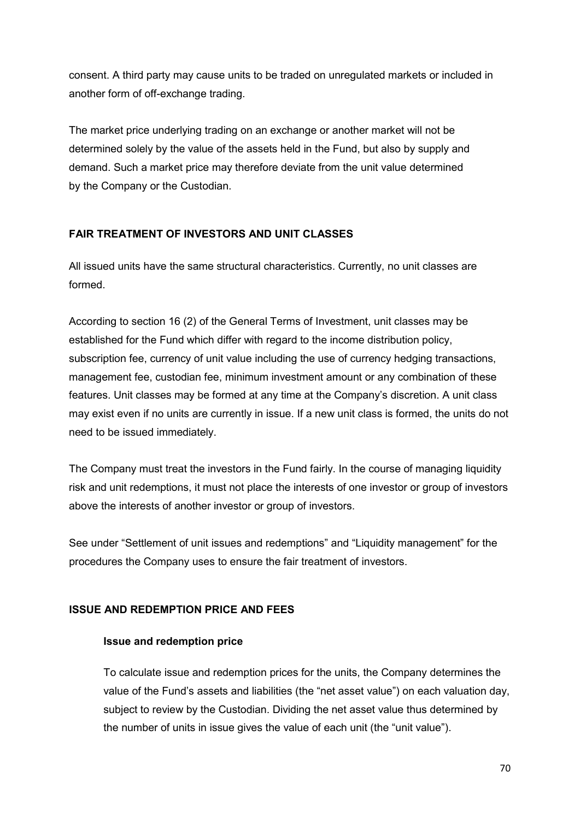consent. A third party may cause units to be traded on unregulated markets or included in another form of off-exchange trading.

The market price underlying trading on an exchange or another market will not be determined solely by the value of the assets held in the Fund, but also by supply and demand. Such a market price may therefore deviate from the unit value determined by the Company or the Custodian.

# **FAIR TREATMENT OF INVESTORS AND UNIT CLASSES**

All issued units have the same structural characteristics. Currently, no unit classes are formed.

According to section 16 (2) of the General Terms of Investment, unit classes may be established for the Fund which differ with regard to the income distribution policy, subscription fee, currency of unit value including the use of currency hedging transactions, management fee, custodian fee, minimum investment amount or any combination of these features. Unit classes may be formed at any time at the Company's discretion. A unit class may exist even if no units are currently in issue. If a new unit class is formed, the units do not need to be issued immediately.

The Company must treat the investors in the Fund fairly. In the course of managing liquidity risk and unit redemptions, it must not place the interests of one investor or group of investors above the interests of another investor or group of investors.

See under "Settlement of unit issues and redemptions" and "Liquidity management" for the procedures the Company uses to ensure the fair treatment of investors.

# **ISSUE AND REDEMPTION PRICE AND FEES**

#### **Issue and redemption price**

To calculate issue and redemption prices for the units, the Company determines the value of the Fund's assets and liabilities (the "net asset value") on each valuation day, subject to review by the Custodian. Dividing the net asset value thus determined by the number of units in issue gives the value of each unit (the "unit value").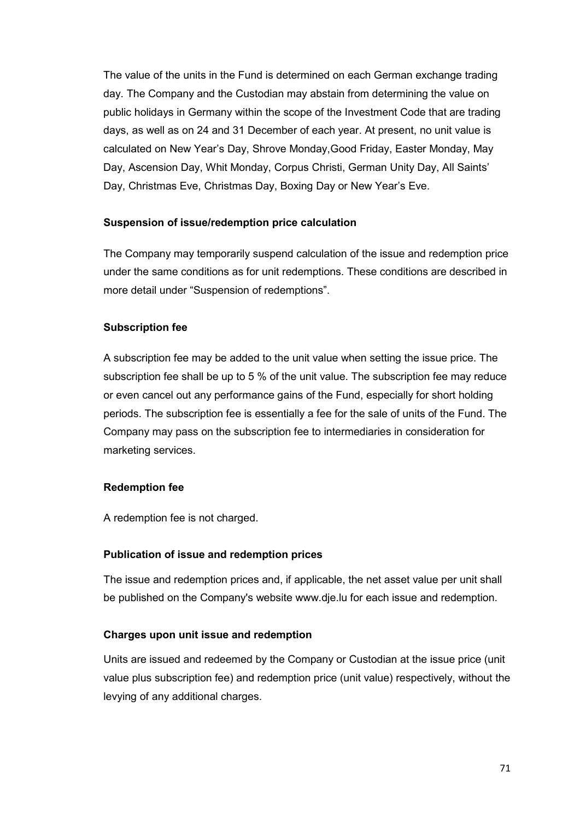The value of the units in the Fund is determined on each German exchange trading day. The Company and the Custodian may abstain from determining the value on public holidays in Germany within the scope of the Investment Code that are trading days, as well as on 24 and 31 December of each year. At present, no unit value is calculated on New Year's Day, Shrove Monday,Good Friday, Easter Monday, May Day, Ascension Day, Whit Monday, Corpus Christi, German Unity Day, All Saints' Day, Christmas Eve, Christmas Day, Boxing Day or New Year's Eve.

#### **Suspension of issue/redemption price calculation**

The Company may temporarily suspend calculation of the issue and redemption price under the same conditions as for unit redemptions. These conditions are described in more detail under "Suspension of redemptions".

# **Subscription fee**

A subscription fee may be added to the unit value when setting the issue price. The subscription fee shall be up to 5 % of the unit value. The subscription fee may reduce or even cancel out any performance gains of the Fund, especially for short holding periods. The subscription fee is essentially a fee for the sale of units of the Fund. The Company may pass on the subscription fee to intermediaries in consideration for marketing services.

#### **Redemption fee**

A redemption fee is not charged.

# **Publication of issue and redemption prices**

The issue and redemption prices and, if applicable, the net asset value per unit shall be published on the Company's website www.dje.lu for each issue and redemption.

# **Charges upon unit issue and redemption**

Units are issued and redeemed by the Company or Custodian at the issue price (unit value plus subscription fee) and redemption price (unit value) respectively, without the levying of any additional charges.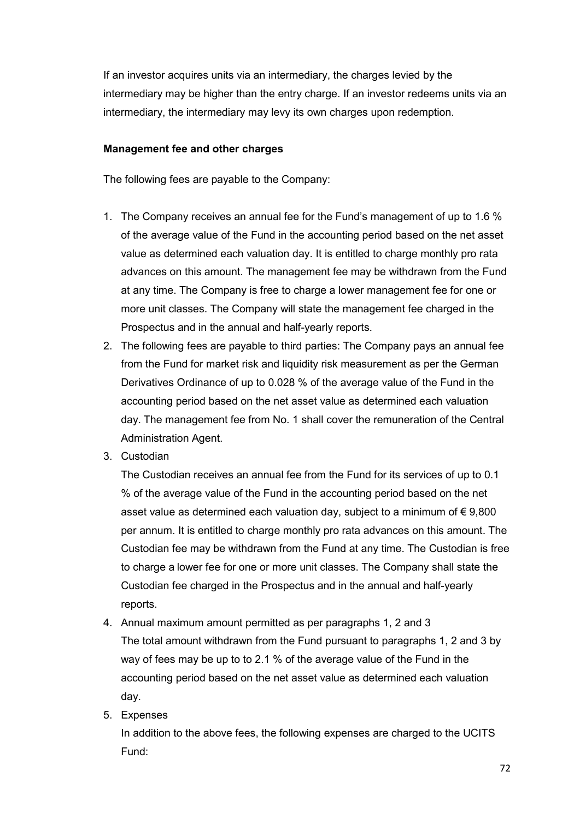If an investor acquires units via an intermediary, the charges levied by the intermediary may be higher than the entry charge. If an investor redeems units via an intermediary, the intermediary may levy its own charges upon redemption.

# **Management fee and other charges**

The following fees are payable to the Company:

- 1. The Company receives an annual fee for the Fund's management of up to 1.6 % of the average value of the Fund in the accounting period based on the net asset value as determined each valuation day. It is entitled to charge monthly pro rata advances on this amount. The management fee may be withdrawn from the Fund at any time. The Company is free to charge a lower management fee for one or more unit classes. The Company will state the management fee charged in the Prospectus and in the annual and half-yearly reports.
- 2. The following fees are payable to third parties: The Company pays an annual fee from the Fund for market risk and liquidity risk measurement as per the German Derivatives Ordinance of up to 0.028 % of the average value of the Fund in the accounting period based on the net asset value as determined each valuation day. The management fee from No. 1 shall cover the remuneration of the Central Administration Agent.
- 3. Custodian

The Custodian receives an annual fee from the Fund for its services of up to 0.1 % of the average value of the Fund in the accounting period based on the net asset value as determined each valuation day, subject to a minimum of  $\epsilon$  9,800 per annum. It is entitled to charge monthly pro rata advances on this amount. The Custodian fee may be withdrawn from the Fund at any time. The Custodian is free to charge a lower fee for one or more unit classes. The Company shall state the Custodian fee charged in the Prospectus and in the annual and half-yearly reports.

- 4. Annual maximum amount permitted as per paragraphs 1, 2 and 3 The total amount withdrawn from the Fund pursuant to paragraphs 1, 2 and 3 by way of fees may be up to to 2.1 % of the average value of the Fund in the accounting period based on the net asset value as determined each valuation day.
- 5. Expenses

In addition to the above fees, the following expenses are charged to the UCITS Fund: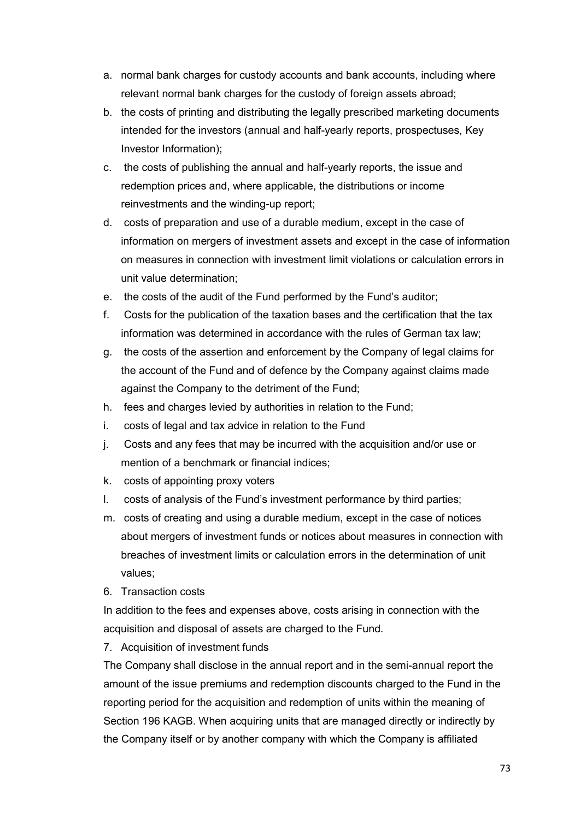- a. normal bank charges for custody accounts and bank accounts, including where relevant normal bank charges for the custody of foreign assets abroad;
- b. the costs of printing and distributing the legally prescribed marketing documents intended for the investors (annual and half-yearly reports, prospectuses, Key Investor Information);
- c. the costs of publishing the annual and half-yearly reports, the issue and redemption prices and, where applicable, the distributions or income reinvestments and the winding-up report;
- d. costs of preparation and use of a durable medium, except in the case of information on mergers of investment assets and except in the case of information on measures in connection with investment limit violations or calculation errors in unit value determination;
- e. the costs of the audit of the Fund performed by the Fund's auditor;
- f. Costs for the publication of the taxation bases and the certification that the tax information was determined in accordance with the rules of German tax law;
- g. the costs of the assertion and enforcement by the Company of legal claims for the account of the Fund and of defence by the Company against claims made against the Company to the detriment of the Fund;
- h. fees and charges levied by authorities in relation to the Fund;
- i. costs of legal and tax advice in relation to the Fund
- j. Costs and any fees that may be incurred with the acquisition and/or use or mention of a benchmark or financial indices;
- k. costs of appointing proxy voters
- l. costs of analysis of the Fund's investment performance by third parties;
- m. costs of creating and using a durable medium, except in the case of notices about mergers of investment funds or notices about measures in connection with breaches of investment limits or calculation errors in the determination of unit values;
- 6. Transaction costs

In addition to the fees and expenses above, costs arising in connection with the acquisition and disposal of assets are charged to the Fund.

7. Acquisition of investment funds

The Company shall disclose in the annual report and in the semi-annual report the amount of the issue premiums and redemption discounts charged to the Fund in the reporting period for the acquisition and redemption of units within the meaning of Section 196 KAGB. When acquiring units that are managed directly or indirectly by the Company itself or by another company with which the Company is affiliated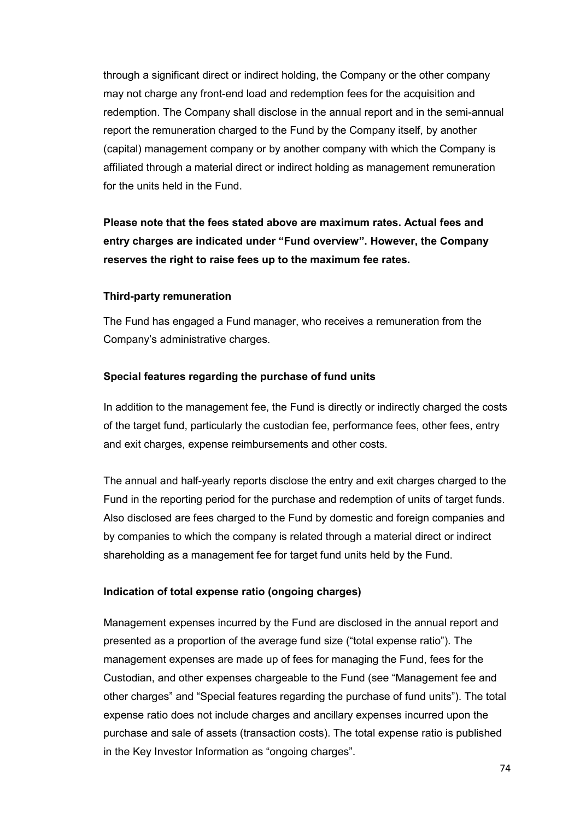through a significant direct or indirect holding, the Company or the other company may not charge any front-end load and redemption fees for the acquisition and redemption. The Company shall disclose in the annual report and in the semi-annual report the remuneration charged to the Fund by the Company itself, by another (capital) management company or by another company with which the Company is affiliated through a material direct or indirect holding as management remuneration for the units held in the Fund.

**Please note that the fees stated above are maximum rates. Actual fees and entry charges are indicated under "Fund overview". However, the Company reserves the right to raise fees up to the maximum fee rates.**

## **Third-party remuneration**

The Fund has engaged a Fund manager, who receives a remuneration from the Company's administrative charges.

## **Special features regarding the purchase of fund units**

In addition to the management fee, the Fund is directly or indirectly charged the costs of the target fund, particularly the custodian fee, performance fees, other fees, entry and exit charges, expense reimbursements and other costs.

The annual and half-yearly reports disclose the entry and exit charges charged to the Fund in the reporting period for the purchase and redemption of units of target funds. Also disclosed are fees charged to the Fund by domestic and foreign companies and by companies to which the company is related through a material direct or indirect shareholding as a management fee for target fund units held by the Fund.

## **Indication of total expense ratio (ongoing charges)**

Management expenses incurred by the Fund are disclosed in the annual report and presented as a proportion of the average fund size ("total expense ratio"). The management expenses are made up of fees for managing the Fund, fees for the Custodian, and other expenses chargeable to the Fund (see "Management fee and other charges" and "Special features regarding the purchase of fund units"). The total expense ratio does not include charges and ancillary expenses incurred upon the purchase and sale of assets (transaction costs). The total expense ratio is published in the Key Investor Information as "ongoing charges".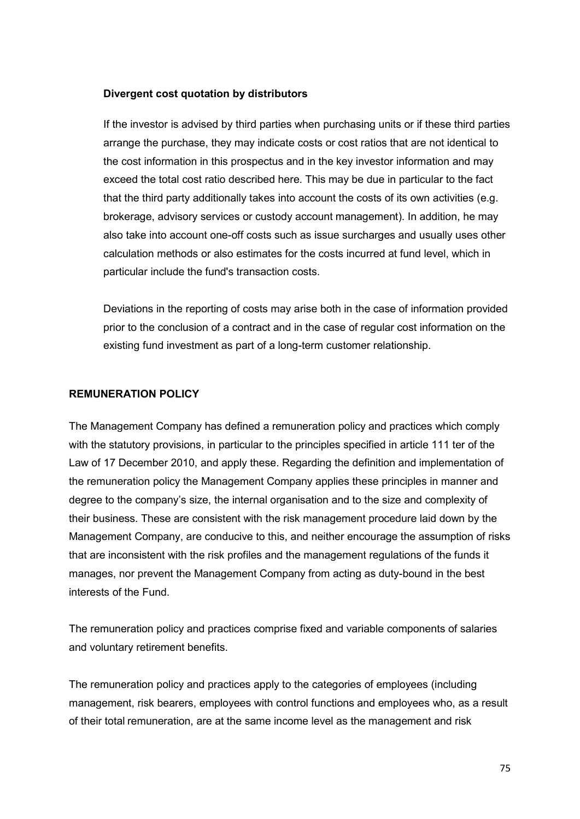## **Divergent cost quotation by distributors**

If the investor is advised by third parties when purchasing units or if these third parties arrange the purchase, they may indicate costs or cost ratios that are not identical to the cost information in this prospectus and in the key investor information and may exceed the total cost ratio described here. This may be due in particular to the fact that the third party additionally takes into account the costs of its own activities (e.g. brokerage, advisory services or custody account management). In addition, he may also take into account one-off costs such as issue surcharges and usually uses other calculation methods or also estimates for the costs incurred at fund level, which in particular include the fund's transaction costs.

Deviations in the reporting of costs may arise both in the case of information provided prior to the conclusion of a contract and in the case of regular cost information on the existing fund investment as part of a long-term customer relationship.

## **REMUNERATION POLICY**

The Management Company has defined a remuneration policy and practices which comply with the statutory provisions, in particular to the principles specified in article 111 ter of the Law of 17 December 2010, and apply these. Regarding the definition and implementation of the remuneration policy the Management Company applies these principles in manner and degree to the company's size, the internal organisation and to the size and complexity of their business. These are consistent with the risk management procedure laid down by the Management Company, are conducive to this, and neither encourage the assumption of risks that are inconsistent with the risk profiles and the management regulations of the funds it manages, nor prevent the Management Company from acting as duty-bound in the best interests of the Fund.

The remuneration policy and practices comprise fixed and variable components of salaries and voluntary retirement benefits.

The remuneration policy and practices apply to the categories of employees (including management, risk bearers, employees with control functions and employees who, as a result of their total remuneration, are at the same income level as the management and risk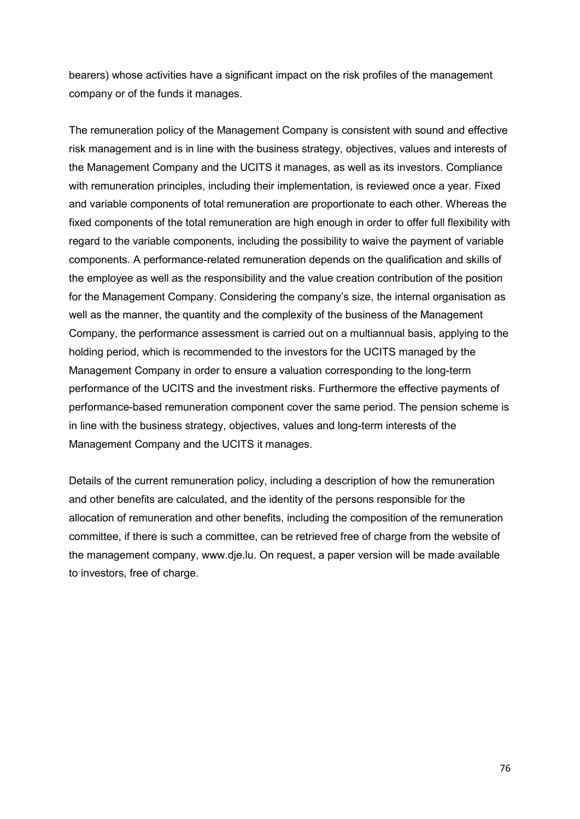bearers) whose activities have a significant impact on the risk profiles of the management company or of the funds it manages.

The remuneration policy of the Management Company is consistent with sound and effective risk management and is in line with the business strategy, objectives, values and interests of the Management Company and the UCITS it manages, as well as its investors. Compliance with remuneration principles, including their implementation, is reviewed once a year. Fixed and variable components of total remuneration are proportionate to each other. Whereas the fixed components of the total remuneration are high enough in order to offer full flexibility with regard to the variable components, including the possibility to waive the payment of variable components. A performance-related remuneration depends on the qualification and skills of the employee as well as the responsibility and the value creation contribution of the position for the Management Company. Considering the company's size, the internal organisation as well as the manner, the quantity and the complexity of the business of the Management Company, the performance assessment is carried out on a multiannual basis, applying to the holding period, which is recommended to the investors for the UCITS managed by the Management Company in order to ensure a valuation corresponding to the long-term performance of the UCITS and the investment risks. Furthermore the effective payments of performance-based remuneration component cover the same period. The pension scheme is in line with the business strategy, objectives, values and long-term interests of the Management Company and the UCITS it manages.

Details of the current remuneration policy, including a description of how the remuneration and other benefits are calculated, and the identity of the persons responsible for the allocation of remuneration and other benefits, including the composition of the remuneration committee, if there is such a committee, can be retrieved free of charge from the website of the management company, www.dje.lu. On request, a paper version will be made available to investors, free of charge.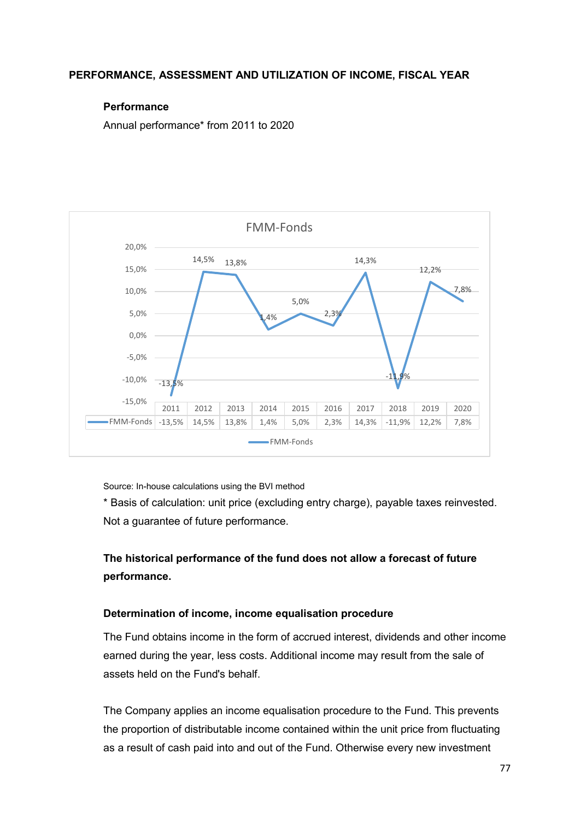## **PERFORMANCE, ASSESSMENT AND UTILIZATION OF INCOME, FISCAL YEAR**

#### **Performance**

Annual performance\* from 2011 to 2020



Source: In-house calculations using the BVI method

\* Basis of calculation: unit price (excluding entry charge), payable taxes reinvested. Not a guarantee of future performance.

# **The historical performance of the fund does not allow a forecast of future performance.**

#### **Determination of income, income equalisation procedure**

The Fund obtains income in the form of accrued interest, dividends and other income earned during the year, less costs. Additional income may result from the sale of assets held on the Fund's behalf.

The Company applies an income equalisation procedure to the Fund. This prevents the proportion of distributable income contained within the unit price from fluctuating as a result of cash paid into and out of the Fund. Otherwise every new investment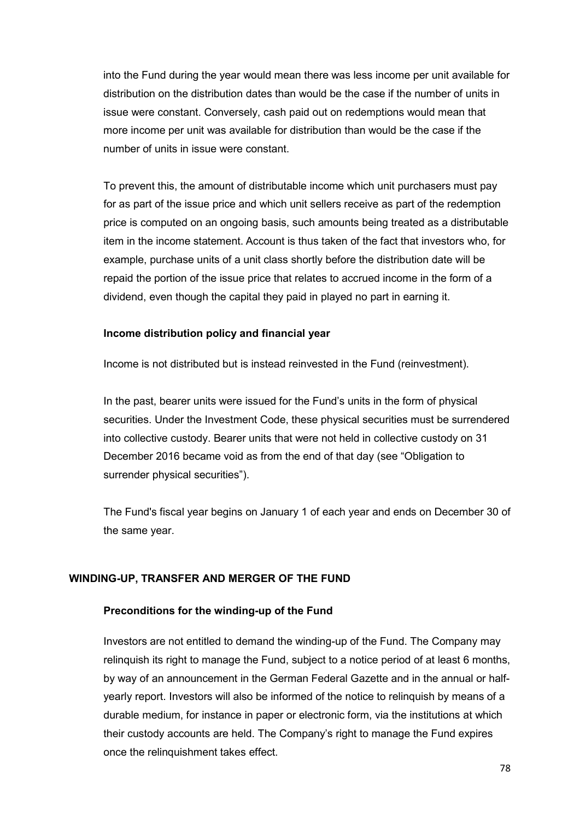into the Fund during the year would mean there was less income per unit available for distribution on the distribution dates than would be the case if the number of units in issue were constant. Conversely, cash paid out on redemptions would mean that more income per unit was available for distribution than would be the case if the number of units in issue were constant.

To prevent this, the amount of distributable income which unit purchasers must pay for as part of the issue price and which unit sellers receive as part of the redemption price is computed on an ongoing basis, such amounts being treated as a distributable item in the income statement. Account is thus taken of the fact that investors who, for example, purchase units of a unit class shortly before the distribution date will be repaid the portion of the issue price that relates to accrued income in the form of a dividend, even though the capital they paid in played no part in earning it.

## **Income distribution policy and financial year**

Income is not distributed but is instead reinvested in the Fund (reinvestment).

In the past, bearer units were issued for the Fund's units in the form of physical securities. Under the Investment Code, these physical securities must be surrendered into collective custody. Bearer units that were not held in collective custody on 31 December 2016 became void as from the end of that day (see "Obligation to surrender physical securities").

The Fund's fiscal year begins on January 1 of each year and ends on December 30 of the same year.

#### **WINDING-UP, TRANSFER AND MERGER OF THE FUND**

#### **Preconditions for the winding-up of the Fund**

Investors are not entitled to demand the winding-up of the Fund. The Company may relinquish its right to manage the Fund, subject to a notice period of at least 6 months, by way of an announcement in the German Federal Gazette and in the annual or halfyearly report. Investors will also be informed of the notice to relinquish by means of a durable medium, for instance in paper or electronic form, via the institutions at which their custody accounts are held. The Company's right to manage the Fund expires once the relinquishment takes effect.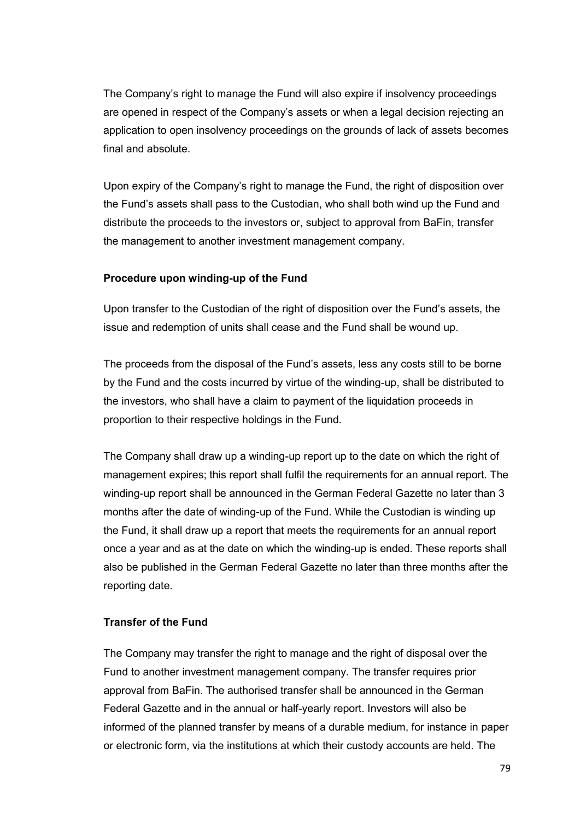The Company's right to manage the Fund will also expire if insolvency proceedings are opened in respect of the Company's assets or when a legal decision rejecting an application to open insolvency proceedings on the grounds of lack of assets becomes final and absolute.

Upon expiry of the Company's right to manage the Fund, the right of disposition over the Fund's assets shall pass to the Custodian, who shall both wind up the Fund and distribute the proceeds to the investors or, subject to approval from BaFin, transfer the management to another investment management company.

#### **Procedure upon winding-up of the Fund**

Upon transfer to the Custodian of the right of disposition over the Fund's assets, the issue and redemption of units shall cease and the Fund shall be wound up.

The proceeds from the disposal of the Fund's assets, less any costs still to be borne by the Fund and the costs incurred by virtue of the winding-up, shall be distributed to the investors, who shall have a claim to payment of the liquidation proceeds in proportion to their respective holdings in the Fund.

The Company shall draw up a winding-up report up to the date on which the right of management expires; this report shall fulfil the requirements for an annual report. The winding-up report shall be announced in the German Federal Gazette no later than 3 months after the date of winding-up of the Fund. While the Custodian is winding up the Fund, it shall draw up a report that meets the requirements for an annual report once a year and as at the date on which the winding-up is ended. These reports shall also be published in the German Federal Gazette no later than three months after the reporting date.

#### **Transfer of the Fund**

The Company may transfer the right to manage and the right of disposal over the Fund to another investment management company. The transfer requires prior approval from BaFin. The authorised transfer shall be announced in the German Federal Gazette and in the annual or half-yearly report. Investors will also be informed of the planned transfer by means of a durable medium, for instance in paper or electronic form, via the institutions at which their custody accounts are held. The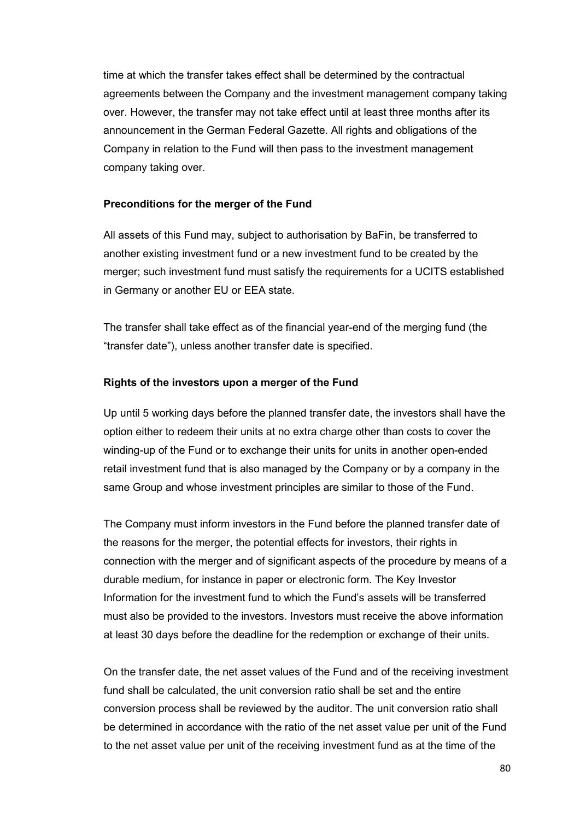time at which the transfer takes effect shall be determined by the contractual agreements between the Company and the investment management company taking over. However, the transfer may not take effect until at least three months after its announcement in the German Federal Gazette. All rights and obligations of the Company in relation to the Fund will then pass to the investment management company taking over.

### **Preconditions for the merger of the Fund**

All assets of this Fund may, subject to authorisation by BaFin, be transferred to another existing investment fund or a new investment fund to be created by the merger; such investment fund must satisfy the requirements for a UCITS established in Germany or another EU or EEA state.

The transfer shall take effect as of the financial year-end of the merging fund (the "transfer date"), unless another transfer date is specified.

#### **Rights of the investors upon a merger of the Fund**

Up until 5 working days before the planned transfer date, the investors shall have the option either to redeem their units at no extra charge other than costs to cover the winding-up of the Fund or to exchange their units for units in another open-ended retail investment fund that is also managed by the Company or by a company in the same Group and whose investment principles are similar to those of the Fund.

The Company must inform investors in the Fund before the planned transfer date of the reasons for the merger, the potential effects for investors, their rights in connection with the merger and of significant aspects of the procedure by means of a durable medium, for instance in paper or electronic form. The Key Investor Information for the investment fund to which the Fund's assets will be transferred must also be provided to the investors. Investors must receive the above information at least 30 days before the deadline for the redemption or exchange of their units.

On the transfer date, the net asset values of the Fund and of the receiving investment fund shall be calculated, the unit conversion ratio shall be set and the entire conversion process shall be reviewed by the auditor. The unit conversion ratio shall be determined in accordance with the ratio of the net asset value per unit of the Fund to the net asset value per unit of the receiving investment fund as at the time of the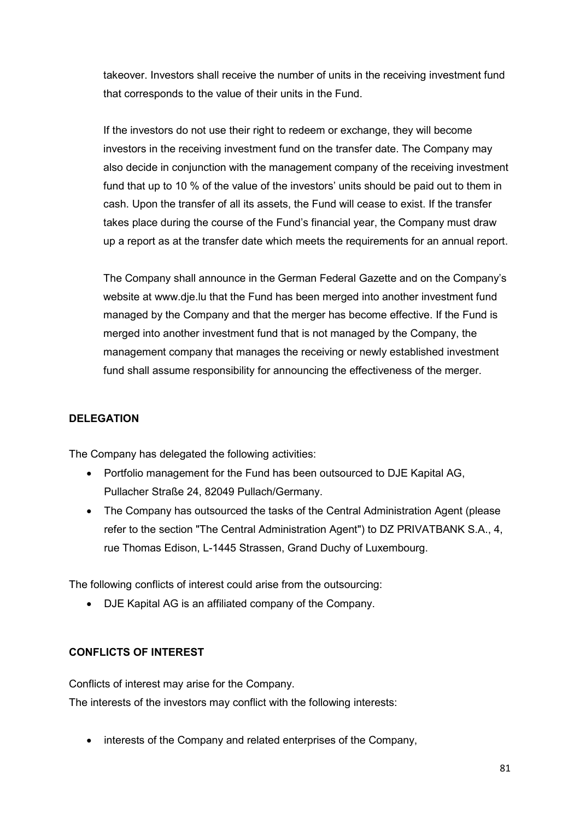takeover. Investors shall receive the number of units in the receiving investment fund that corresponds to the value of their units in the Fund.

If the investors do not use their right to redeem or exchange, they will become investors in the receiving investment fund on the transfer date. The Company may also decide in conjunction with the management company of the receiving investment fund that up to 10 % of the value of the investors' units should be paid out to them in cash. Upon the transfer of all its assets, the Fund will cease to exist. If the transfer takes place during the course of the Fund's financial year, the Company must draw up a report as at the transfer date which meets the requirements for an annual report.

The Company shall announce in the German Federal Gazette and on the Company's website at [www.dje.lu](http://www.dje.lu/) that the Fund has been merged into another investment fund managed by the Company and that the merger has become effective. If the Fund is merged into another investment fund that is not managed by the Company, the management company that manages the receiving or newly established investment fund shall assume responsibility for announcing the effectiveness of the merger.

## **DELEGATION**

The Company has delegated the following activities:

- Portfolio management for the Fund has been outsourced to DJE Kapital AG, Pullacher Straße 24, 82049 Pullach/Germany.
- The Company has outsourced the tasks of the Central Administration Agent (please refer to the section "The Central Administration Agent") to DZ PRIVATBANK S.A., 4, rue Thomas Edison, L-1445 Strassen, Grand Duchy of Luxembourg.

The following conflicts of interest could arise from the outsourcing:

• DJE Kapital AG is an affiliated company of the Company.

## **CONFLICTS OF INTEREST**

Conflicts of interest may arise for the Company.

The interests of the investors may conflict with the following interests:

• interests of the Company and related enterprises of the Company,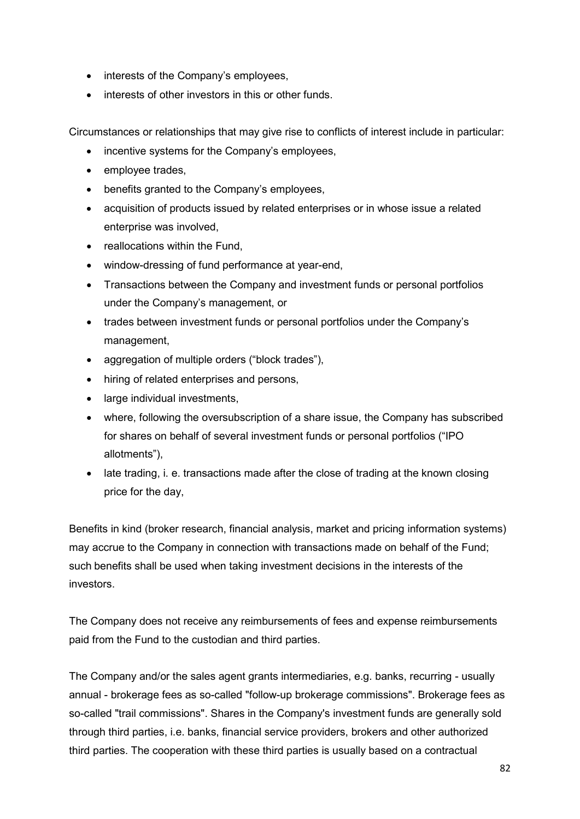- interests of the Company's employees,
- interests of other investors in this or other funds.

Circumstances or relationships that may give rise to conflicts of interest include in particular:

- incentive systems for the Company's employees,
- employee trades,
- benefits granted to the Company's employees,
- acquisition of products issued by related enterprises or in whose issue a related enterprise was involved,
- reallocations within the Fund,
- window-dressing of fund performance at year-end,
- Transactions between the Company and investment funds or personal portfolios under the Company's management, or
- trades between investment funds or personal portfolios under the Company's management,
- aggregation of multiple orders ("block trades"),
- hiring of related enterprises and persons,
- large individual investments,
- where, following the oversubscription of a share issue, the Company has subscribed for shares on behalf of several investment funds or personal portfolios ("IPO allotments"),
- late trading, i. e. transactions made after the close of trading at the known closing price for the day,

Benefits in kind (broker research, financial analysis, market and pricing information systems) may accrue to the Company in connection with transactions made on behalf of the Fund; such benefits shall be used when taking investment decisions in the interests of the investors.

The Company does not receive any reimbursements of fees and expense reimbursements paid from the Fund to the custodian and third parties.

The Company and/or the sales agent grants intermediaries, e.g. banks, recurring - usually annual - brokerage fees as so-called "follow-up brokerage commissions". Brokerage fees as so-called "trail commissions". Shares in the Company's investment funds are generally sold through third parties, i.e. banks, financial service providers, brokers and other authorized third parties. The cooperation with these third parties is usually based on a contractual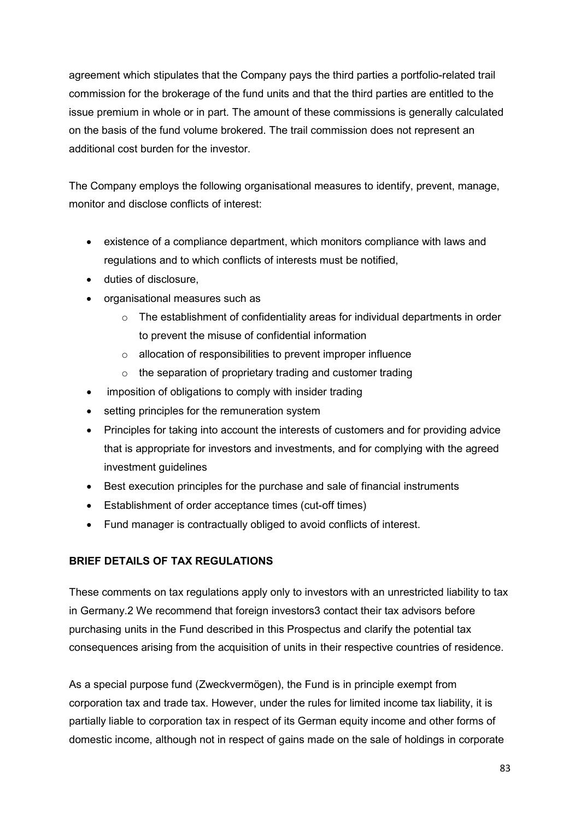agreement which stipulates that the Company pays the third parties a portfolio-related trail commission for the brokerage of the fund units and that the third parties are entitled to the issue premium in whole or in part. The amount of these commissions is generally calculated on the basis of the fund volume brokered. The trail commission does not represent an additional cost burden for the investor.

The Company employs the following organisational measures to identify, prevent, manage, monitor and disclose conflicts of interest:

- existence of a compliance department, which monitors compliance with laws and regulations and to which conflicts of interests must be notified,
- duties of disclosure,
- organisational measures such as
	- $\circ$  The establishment of confidentiality areas for individual departments in order to prevent the misuse of confidential information
	- $\circ$  allocation of responsibilities to prevent improper influence
	- $\circ$  the separation of proprietary trading and customer trading
- imposition of obligations to comply with insider trading
- setting principles for the remuneration system
- Principles for taking into account the interests of customers and for providing advice that is appropriate for investors and investments, and for complying with the agreed investment quidelines
- Best execution principles for the purchase and sale of financial instruments
- Establishment of order acceptance times (cut-off times)
- Fund manager is contractually obliged to avoid conflicts of interest.

## **BRIEF DETAILS OF TAX REGULATIONS**

These comments on tax regulations apply only to investors with an unrestricted liability to tax in Germany.2 We recommend that foreign investors3 contact their tax advisors before purchasing units in the Fund described in this Prospectus and clarify the potential tax consequences arising from the acquisition of units in their respective countries of residence.

As a special purpose fund (Zweckvermögen), the Fund is in principle exempt from corporation tax and trade tax. However, under the rules for limited income tax liability, it is partially liable to corporation tax in respect of its German equity income and other forms of domestic income, although not in respect of gains made on the sale of holdings in corporate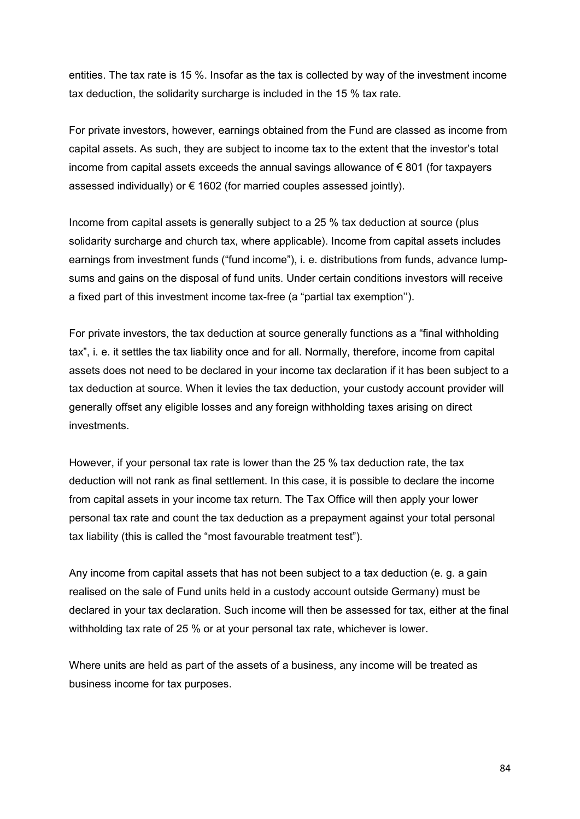entities. The tax rate is 15 %. Insofar as the tax is collected by way of the investment income tax deduction, the solidarity surcharge is included in the 15 % tax rate.

For private investors, however, earnings obtained from the Fund are classed as income from capital assets. As such, they are subject to income tax to the extent that the investor's total income from capital assets exceeds the annual savings allowance of  $\epsilon$  801 (for taxpayers assessed individually) or  $\epsilon$  1602 (for married couples assessed jointly).

Income from capital assets is generally subject to a 25 % tax deduction at source (plus solidarity surcharge and church tax, where applicable). Income from capital assets includes earnings from investment funds ("fund income"), i. e. distributions from funds, advance lumpsums and gains on the disposal of fund units. Under certain conditions investors will receive a fixed part of this investment income tax-free (a "partial tax exemption'').

For private investors, the tax deduction at source generally functions as a "final withholding tax", i. e. it settles the tax liability once and for all. Normally, therefore, income from capital assets does not need to be declared in your income tax declaration if it has been subject to a tax deduction at source. When it levies the tax deduction, your custody account provider will generally offset any eligible losses and any foreign withholding taxes arising on direct investments.

However, if your personal tax rate is lower than the 25 % tax deduction rate, the tax deduction will not rank as final settlement. In this case, it is possible to declare the income from capital assets in your income tax return. The Tax Office will then apply your lower personal tax rate and count the tax deduction as a prepayment against your total personal tax liability (this is called the "most favourable treatment test").

Any income from capital assets that has not been subject to a tax deduction (e. g. a gain realised on the sale of Fund units held in a custody account outside Germany) must be declared in your tax declaration. Such income will then be assessed for tax, either at the final withholding tax rate of 25 % or at your personal tax rate, whichever is lower.

Where units are held as part of the assets of a business, any income will be treated as business income for tax purposes.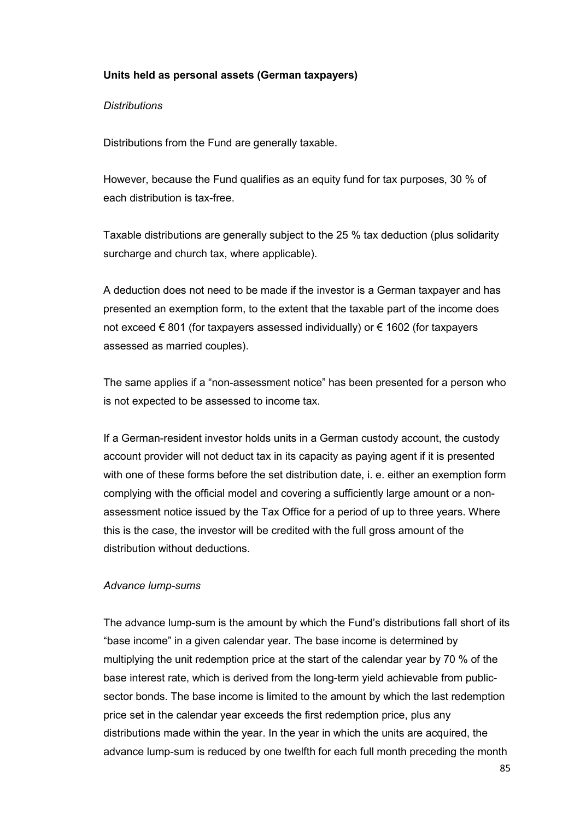## **Units held as personal assets (German taxpayers)**

## *Distributions*

Distributions from the Fund are generally taxable.

However, because the Fund qualifies as an equity fund for tax purposes, 30 % of each distribution is tax-free.

Taxable distributions are generally subject to the 25 % tax deduction (plus solidarity surcharge and church tax, where applicable).

A deduction does not need to be made if the investor is a German taxpayer and has presented an exemption form, to the extent that the taxable part of the income does not exceed  $\epsilon$  801 (for taxpayers assessed individually) or  $\epsilon$  1602 (for taxpayers assessed as married couples).

The same applies if a "non-assessment notice" has been presented for a person who is not expected to be assessed to income tax.

If a German-resident investor holds units in a German custody account, the custody account provider will not deduct tax in its capacity as paying agent if it is presented with one of these forms before the set distribution date, i. e. either an exemption form complying with the official model and covering a sufficiently large amount or a nonassessment notice issued by the Tax Office for a period of up to three years. Where this is the case, the investor will be credited with the full gross amount of the distribution without deductions.

## *Advance lump-sums*

The advance lump-sum is the amount by which the Fund's distributions fall short of its "base income" in a given calendar year. The base income is determined by multiplying the unit redemption price at the start of the calendar year by 70 % of the base interest rate, which is derived from the long-term yield achievable from publicsector bonds. The base income is limited to the amount by which the last redemption price set in the calendar year exceeds the first redemption price, plus any distributions made within the year. In the year in which the units are acquired, the advance lump-sum is reduced by one twelfth for each full month preceding the month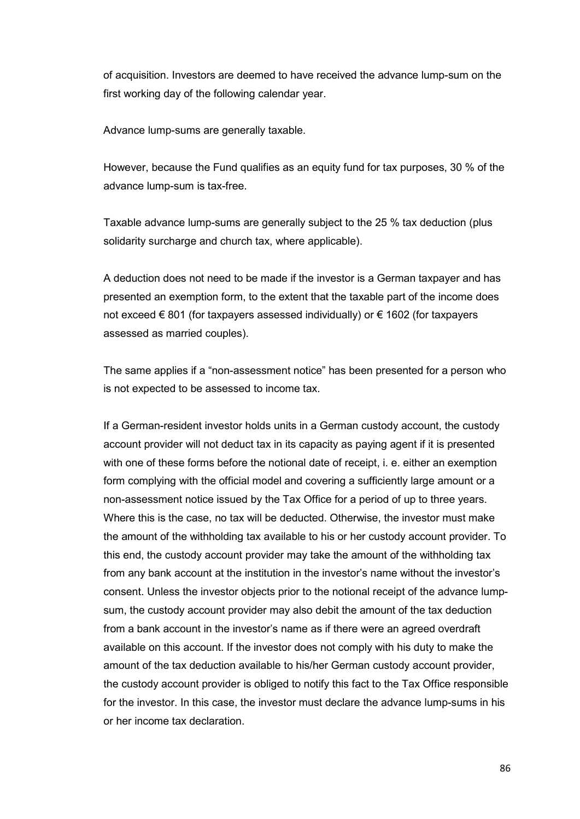of acquisition. Investors are deemed to have received the advance lump-sum on the first working day of the following calendar year.

Advance lump-sums are generally taxable.

However, because the Fund qualifies as an equity fund for tax purposes, 30 % of the advance lump-sum is tax-free.

Taxable advance lump-sums are generally subject to the 25 % tax deduction (plus solidarity surcharge and church tax, where applicable).

A deduction does not need to be made if the investor is a German taxpayer and has presented an exemption form, to the extent that the taxable part of the income does not exceed  $\epsilon$  801 (for taxpayers assessed individually) or  $\epsilon$  1602 (for taxpayers assessed as married couples).

The same applies if a "non-assessment notice" has been presented for a person who is not expected to be assessed to income tax.

If a German-resident investor holds units in a German custody account, the custody account provider will not deduct tax in its capacity as paying agent if it is presented with one of these forms before the notional date of receipt, i. e. either an exemption form complying with the official model and covering a sufficiently large amount or a non-assessment notice issued by the Tax Office for a period of up to three years. Where this is the case, no tax will be deducted. Otherwise, the investor must make the amount of the withholding tax available to his or her custody account provider. To this end, the custody account provider may take the amount of the withholding tax from any bank account at the institution in the investor's name without the investor's consent. Unless the investor objects prior to the notional receipt of the advance lumpsum, the custody account provider may also debit the amount of the tax deduction from a bank account in the investor's name as if there were an agreed overdraft available on this account. If the investor does not comply with his duty to make the amount of the tax deduction available to his/her German custody account provider, the custody account provider is obliged to notify this fact to the Tax Office responsible for the investor. In this case, the investor must declare the advance lump-sums in his or her income tax declaration.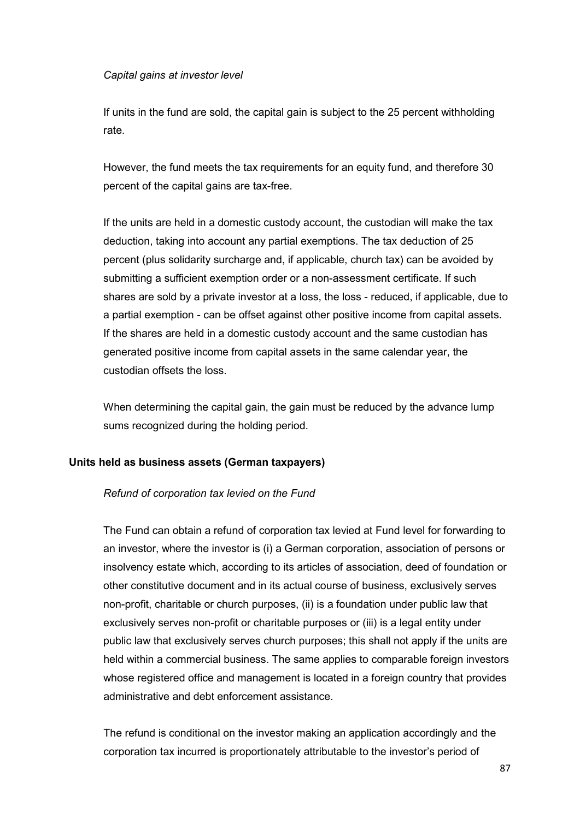### *Capital gains at investor level*

If units in the fund are sold, the capital gain is subject to the 25 percent withholding rate.

However, the fund meets the tax requirements for an equity fund, and therefore 30 percent of the capital gains are tax-free.

If the units are held in a domestic custody account, the custodian will make the tax deduction, taking into account any partial exemptions. The tax deduction of 25 percent (plus solidarity surcharge and, if applicable, church tax) can be avoided by submitting a sufficient exemption order or a non-assessment certificate. If such shares are sold by a private investor at a loss, the loss - reduced, if applicable, due to a partial exemption - can be offset against other positive income from capital assets. If the shares are held in a domestic custody account and the same custodian has generated positive income from capital assets in the same calendar year, the custodian offsets the loss.

When determining the capital gain, the gain must be reduced by the advance lump sums recognized during the holding period.

#### **Units held as business assets (German taxpayers)**

## *Refund of corporation tax levied on the Fund*

The Fund can obtain a refund of corporation tax levied at Fund level for forwarding to an investor, where the investor is (i) a German corporation, association of persons or insolvency estate which, according to its articles of association, deed of foundation or other constitutive document and in its actual course of business, exclusively serves non-profit, charitable or church purposes, (ii) is a foundation under public law that exclusively serves non-profit or charitable purposes or (iii) is a legal entity under public law that exclusively serves church purposes; this shall not apply if the units are held within a commercial business. The same applies to comparable foreign investors whose registered office and management is located in a foreign country that provides administrative and debt enforcement assistance.

The refund is conditional on the investor making an application accordingly and the corporation tax incurred is proportionately attributable to the investor's period of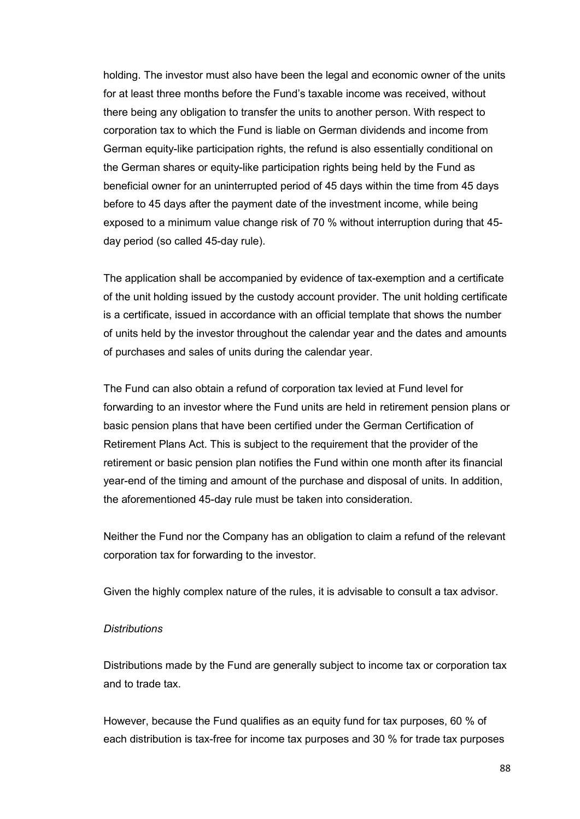holding. The investor must also have been the legal and economic owner of the units for at least three months before the Fund's taxable income was received, without there being any obligation to transfer the units to another person. With respect to corporation tax to which the Fund is liable on German dividends and income from German equity-like participation rights, the refund is also essentially conditional on the German shares or equity-like participation rights being held by the Fund as beneficial owner for an uninterrupted period of 45 days within the time from 45 days before to 45 days after the payment date of the investment income, while being exposed to a minimum value change risk of 70 % without interruption during that 45 day period (so called 45-day rule).

The application shall be accompanied by evidence of tax-exemption and a certificate of the unit holding issued by the custody account provider. The unit holding certificate is a certificate, issued in accordance with an official template that shows the number of units held by the investor throughout the calendar year and the dates and amounts of purchases and sales of units during the calendar year.

The Fund can also obtain a refund of corporation tax levied at Fund level for forwarding to an investor where the Fund units are held in retirement pension plans or basic pension plans that have been certified under the German Certification of Retirement Plans Act. This is subject to the requirement that the provider of the retirement or basic pension plan notifies the Fund within one month after its financial year-end of the timing and amount of the purchase and disposal of units. In addition, the aforementioned 45-day rule must be taken into consideration.

Neither the Fund nor the Company has an obligation to claim a refund of the relevant corporation tax for forwarding to the investor.

Given the highly complex nature of the rules, it is advisable to consult a tax advisor.

#### *Distributions*

Distributions made by the Fund are generally subject to income tax or corporation tax and to trade tax.

However, because the Fund qualifies as an equity fund for tax purposes, 60 % of each distribution is tax-free for income tax purposes and 30 % for trade tax purposes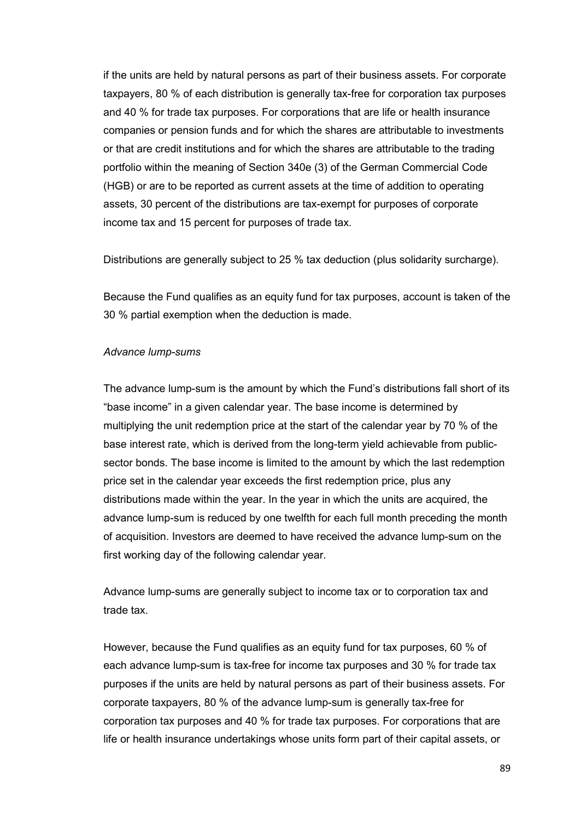if the units are held by natural persons as part of their business assets. For corporate taxpayers, 80 % of each distribution is generally tax-free for corporation tax purposes and 40 % for trade tax purposes. For corporations that are life or health insurance companies or pension funds and for which the shares are attributable to investments or that are credit institutions and for which the shares are attributable to the trading portfolio within the meaning of Section 340e (3) of the German Commercial Code (HGB) or are to be reported as current assets at the time of addition to operating assets, 30 percent of the distributions are tax-exempt for purposes of corporate income tax and 15 percent for purposes of trade tax.

Distributions are generally subject to 25 % tax deduction (plus solidarity surcharge).

Because the Fund qualifies as an equity fund for tax purposes, account is taken of the 30 % partial exemption when the deduction is made.

#### *Advance lump-sums*

The advance lump-sum is the amount by which the Fund's distributions fall short of its "base income" in a given calendar year. The base income is determined by multiplying the unit redemption price at the start of the calendar year by 70 % of the base interest rate, which is derived from the long-term yield achievable from publicsector bonds. The base income is limited to the amount by which the last redemption price set in the calendar year exceeds the first redemption price, plus any distributions made within the year. In the year in which the units are acquired, the advance lump-sum is reduced by one twelfth for each full month preceding the month of acquisition. Investors are deemed to have received the advance lump-sum on the first working day of the following calendar year.

Advance lump-sums are generally subject to income tax or to corporation tax and trade tax.

However, because the Fund qualifies as an equity fund for tax purposes, 60 % of each advance lump-sum is tax-free for income tax purposes and 30 % for trade tax purposes if the units are held by natural persons as part of their business assets. For corporate taxpayers, 80 % of the advance lump-sum is generally tax-free for corporation tax purposes and 40 % for trade tax purposes. For corporations that are life or health insurance undertakings whose units form part of their capital assets, or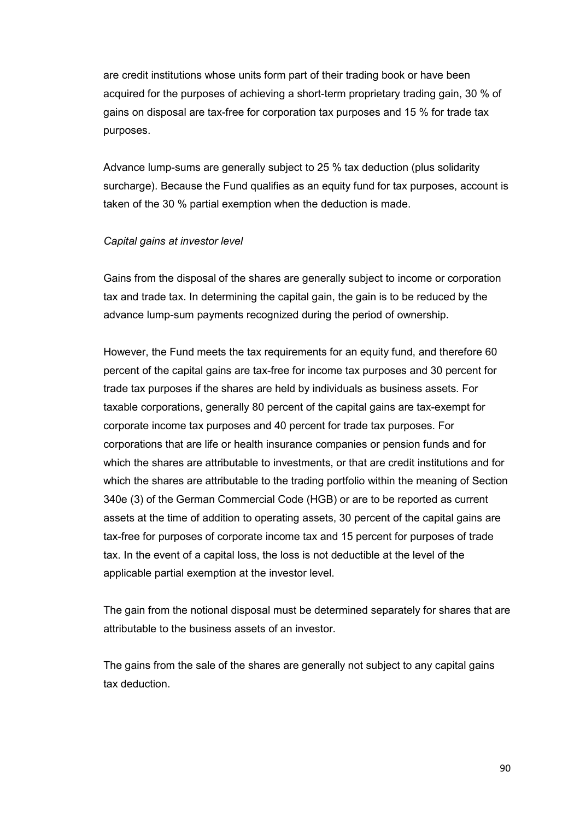are credit institutions whose units form part of their trading book or have been acquired for the purposes of achieving a short-term proprietary trading gain, 30 % of gains on disposal are tax-free for corporation tax purposes and 15 % for trade tax purposes.

Advance lump-sums are generally subject to 25 % tax deduction (plus solidarity surcharge). Because the Fund qualifies as an equity fund for tax purposes, account is taken of the 30 % partial exemption when the deduction is made.

## *Capital gains at investor level*

Gains from the disposal of the shares are generally subject to income or corporation tax and trade tax. In determining the capital gain, the gain is to be reduced by the advance lump-sum payments recognized during the period of ownership.

However, the Fund meets the tax requirements for an equity fund, and therefore 60 percent of the capital gains are tax-free for income tax purposes and 30 percent for trade tax purposes if the shares are held by individuals as business assets. For taxable corporations, generally 80 percent of the capital gains are tax-exempt for corporate income tax purposes and 40 percent for trade tax purposes. For corporations that are life or health insurance companies or pension funds and for which the shares are attributable to investments, or that are credit institutions and for which the shares are attributable to the trading portfolio within the meaning of Section 340e (3) of the German Commercial Code (HGB) or are to be reported as current assets at the time of addition to operating assets, 30 percent of the capital gains are tax-free for purposes of corporate income tax and 15 percent for purposes of trade tax. In the event of a capital loss, the loss is not deductible at the level of the applicable partial exemption at the investor level.

The gain from the notional disposal must be determined separately for shares that are attributable to the business assets of an investor.

The gains from the sale of the shares are generally not subject to any capital gains tax deduction.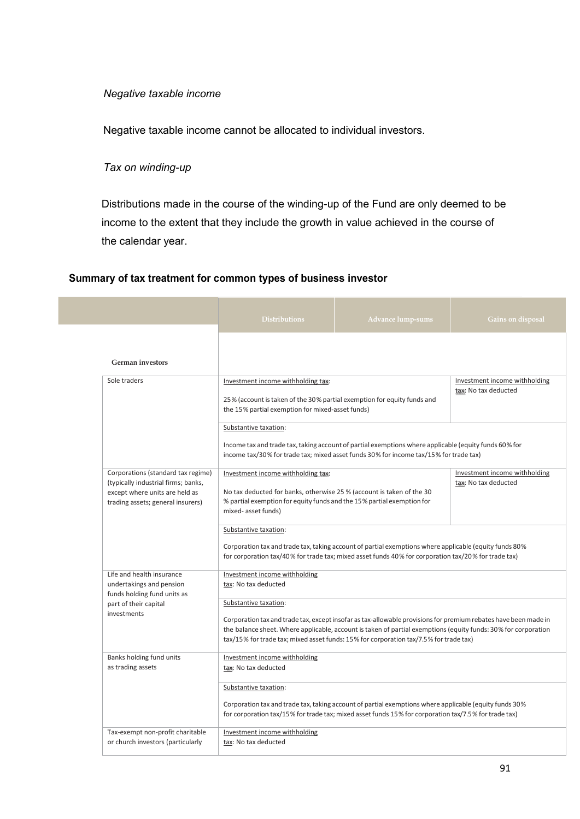### *Negative taxable income*

Negative taxable income cannot be allocated to individual investors.

*Tax on winding-up*

Distributions made in the course of the winding-up of the Fund are only deemed to be income to the extent that they include the growth in value achieved in the course of the calendar year.

### **Summary of tax treatment for common types of business investor**

|                                                                                                                                                  | <b>Distributions</b>                                                                                                                                                                                                                                                                                                                                | Advance lump-sums | Gains on disposal                                     |  |
|--------------------------------------------------------------------------------------------------------------------------------------------------|-----------------------------------------------------------------------------------------------------------------------------------------------------------------------------------------------------------------------------------------------------------------------------------------------------------------------------------------------------|-------------------|-------------------------------------------------------|--|
| <b>German investors</b>                                                                                                                          |                                                                                                                                                                                                                                                                                                                                                     |                   |                                                       |  |
| Sole traders                                                                                                                                     | Investment income withholding tax:<br>25% (account is taken of the 30% partial exemption for equity funds and<br>the 15% partial exemption for mixed-asset funds)                                                                                                                                                                                   |                   | Investment income withholding<br>tax: No tax deducted |  |
|                                                                                                                                                  | Substantive taxation:<br>Income tax and trade tax, taking account of partial exemptions where applicable (equity funds 60% for<br>income tax/30% for trade tax; mixed asset funds 30% for income tax/15% for trade tax)                                                                                                                             |                   |                                                       |  |
| Corporations (standard tax regime)<br>(typically industrial firms; banks,<br>except where units are held as<br>trading assets; general insurers) | Investment income withholding tax:<br>No tax deducted for banks, otherwise 25 % (account is taken of the 30<br>% partial exemption for equity funds and the 15% partial exemption for<br>mixed-asset funds)                                                                                                                                         |                   | Investment income withholding<br>tax: No tax deducted |  |
|                                                                                                                                                  | Substantive taxation:<br>Corporation tax and trade tax, taking account of partial exemptions where applicable (equity funds 80%)<br>for corporation tax/40% for trade tax; mixed asset funds 40% for corporation tax/20% for trade tax)                                                                                                             |                   |                                                       |  |
| Life and health insurance<br>undertakings and pension<br>funds holding fund units as                                                             | Investment income withholding<br>tax: No tax deducted                                                                                                                                                                                                                                                                                               |                   |                                                       |  |
| part of their capital<br>investments                                                                                                             | Substantive taxation:<br>Corporation tax and trade tax, except insofar as tax-allowable provisions for premium rebates have been made in<br>the balance sheet. Where applicable, account is taken of partial exemptions (equity funds: 30% for corporation<br>tax/15% for trade tax; mixed asset funds: 15% for corporation tax/7.5% for trade tax) |                   |                                                       |  |
| Banks holding fund units<br>as trading assets                                                                                                    | Investment income withholding<br>tax: No tax deducted                                                                                                                                                                                                                                                                                               |                   |                                                       |  |
|                                                                                                                                                  | Substantive taxation:<br>Corporation tax and trade tax, taking account of partial exemptions where applicable (equity funds 30%<br>for corporation tax/15% for trade tax; mixed asset funds 15% for corporation tax/7.5% for trade tax)                                                                                                             |                   |                                                       |  |
| Tax-exempt non-profit charitable<br>or church investors (particularly                                                                            | Investment income withholding<br>tax: No tax deducted                                                                                                                                                                                                                                                                                               |                   |                                                       |  |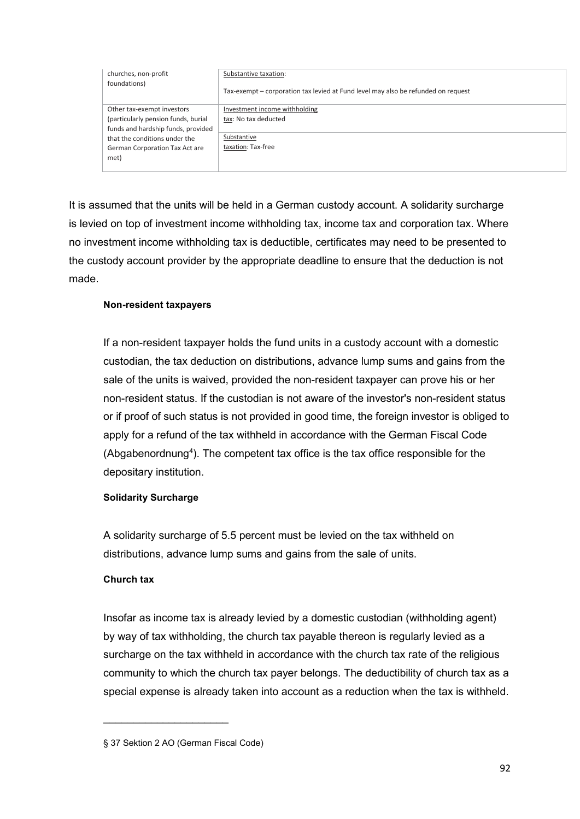| churches, non-profit<br>foundations)                                                                    | Substantive taxation:<br>Tax-exempt – corporation tax levied at Fund level may also be refunded on request |
|---------------------------------------------------------------------------------------------------------|------------------------------------------------------------------------------------------------------------|
| Other tax-exempt investors<br>(particularly pension funds, burial<br>funds and hardship funds, provided | Investment income withholding<br>tax: No tax deducted                                                      |
| that the conditions under the<br>German Corporation Tax Act are<br>met)                                 | Substantive<br>taxation: Tax-free                                                                          |

It is assumed that the units will be held in a German custody account. A solidarity surcharge is levied on top of investment income withholding tax, income tax and corporation tax. Where no investment income withholding tax is deductible, certificates may need to be presented to the custody account provider by the appropriate deadline to ensure that the deduction is not made.

## **Non-resident taxpayers**

If a non-resident taxpayer holds the fund units in a custody account with a domestic custodian, the tax deduction on distributions, advance lump sums and gains from the sale of the units is waived, provided the non-resident taxpayer can prove his or her non-resident status. If the custodian is not aware of the investor's non-resident status or if proof of such status is not provided in good time, the foreign investor is obliged to apply for a refund of the tax withheld in accordance with the German Fiscal Code (Abgabenordnung<sup>4</sup>). The competent tax office is the tax office responsible for the depositary institution.

## **Solidarity Surcharge**

A solidarity surcharge of 5.5 percent must be levied on the tax withheld on distributions, advance lump sums and gains from the sale of units.

## **Church tax**

Insofar as income tax is already levied by a domestic custodian (withholding agent) by way of tax withholding, the church tax payable thereon is regularly levied as a surcharge on the tax withheld in accordance with the church tax rate of the religious community to which the church tax payer belongs. The deductibility of church tax as a special expense is already taken into account as a reduction when the tax is withheld.

\_\_\_\_\_\_\_\_\_\_\_\_\_\_\_\_\_\_\_\_\_

<sup>§ 37</sup> Sektion 2 AO (German Fiscal Code)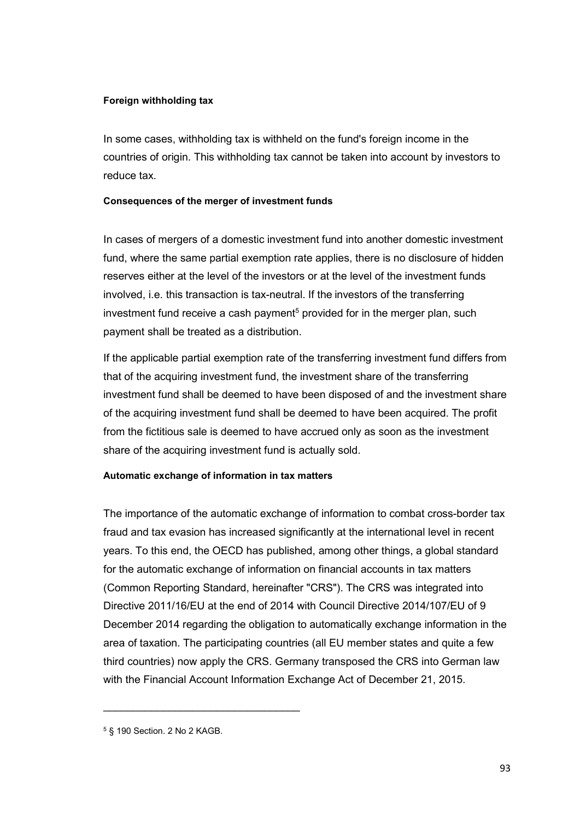#### **Foreign withholding tax**

In some cases, withholding tax is withheld on the fund's foreign income in the countries of origin. This withholding tax cannot be taken into account by investors to reduce tax.

#### **Consequences of the merger of investment funds**

In cases of mergers of a domestic investment fund into another domestic investment fund, where the same partial exemption rate applies, there is no disclosure of hidden reserves either at the level of the investors or at the level of the investment funds involved, i.e. this transaction is tax-neutral. If the investors of the transferring investment fund receive a cash payment<sup>5</sup> provided for in the merger plan, such payment shall be treated as a distribution.

If the applicable partial exemption rate of the transferring investment fund differs from that of the acquiring investment fund, the investment share of the transferring investment fund shall be deemed to have been disposed of and the investment share of the acquiring investment fund shall be deemed to have been acquired. The profit from the fictitious sale is deemed to have accrued only as soon as the investment share of the acquiring investment fund is actually sold.

## **Automatic exchange of information in tax matters**

The importance of the automatic exchange of information to combat cross-border tax fraud and tax evasion has increased significantly at the international level in recent years. To this end, the OECD has published, among other things, a global standard for the automatic exchange of information on financial accounts in tax matters (Common Reporting Standard, hereinafter "CRS"). The CRS was integrated into Directive 2011/16/EU at the end of 2014 with Council Directive 2014/107/EU of 9 December 2014 regarding the obligation to automatically exchange information in the area of taxation. The participating countries (all EU member states and quite a few third countries) now apply the CRS. Germany transposed the CRS into German law with the Financial Account Information Exchange Act of December 21, 2015.

\_\_\_\_\_\_\_\_\_\_\_\_\_\_\_\_\_\_\_\_\_\_\_\_\_\_\_\_\_\_\_\_\_

<sup>5</sup> § 190 Section. 2 No 2 KAGB.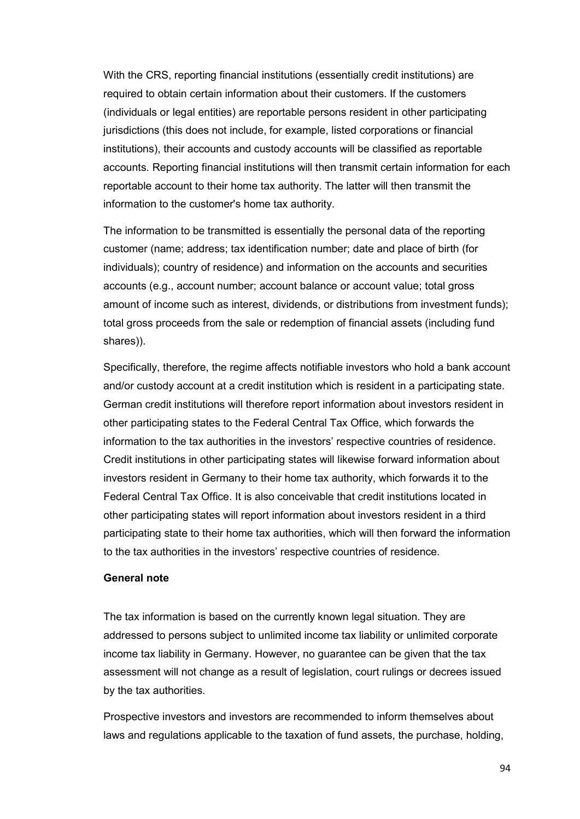With the CRS, reporting financial institutions (essentially credit institutions) are required to obtain certain information about their customers. If the customers (individuals or legal entities) are reportable persons resident in other participating jurisdictions (this does not include, for example, listed corporations or financial institutions), their accounts and custody accounts will be classified as reportable accounts. Reporting financial institutions will then transmit certain information for each reportable account to their home tax authority. The latter will then transmit the information to the customer's home tax authority.

The information to be transmitted is essentially the personal data of the reporting customer (name; address; tax identification number; date and place of birth (for individuals); country of residence) and information on the accounts and securities accounts (e.g., account number; account balance or account value; total gross amount of income such as interest, dividends, or distributions from investment funds); total gross proceeds from the sale or redemption of financial assets (including fund shares)).

Specifically, therefore, the regime affects notifiable investors who hold a bank account and/or custody account at a credit institution which is resident in a participating state. German credit institutions will therefore report information about investors resident in other participating states to the Federal Central Tax Office, which forwards the information to the tax authorities in the investors' respective countries of residence. Credit institutions in other participating states will likewise forward information about investors resident in Germany to their home tax authority, which forwards it to the Federal Central Tax Office. It is also conceivable that credit institutions located in other participating states will report information about investors resident in a third participating state to their home tax authorities, which will then forward the information to the tax authorities in the investors' respective countries of residence.

### **General note**

The tax information is based on the currently known legal situation. They are addressed to persons subject to unlimited income tax liability or unlimited corporate income tax liability in Germany. However, no guarantee can be given that the tax assessment will not change as a result of legislation, court rulings or decrees issued by the tax authorities.

Prospective investors and investors are recommended to inform themselves about laws and regulations applicable to the taxation of fund assets, the purchase, holding,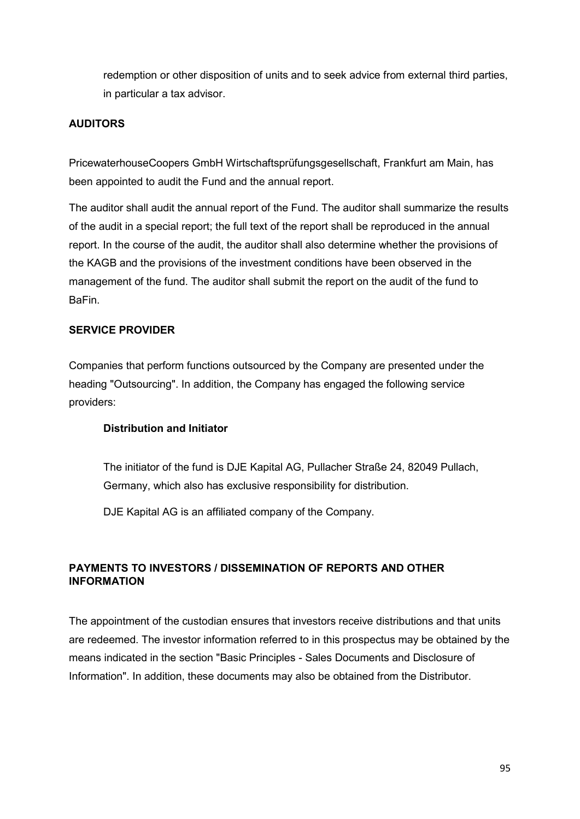redemption or other disposition of units and to seek advice from external third parties, in particular a tax advisor.

## **AUDITORS**

PricewaterhouseCoopers GmbH Wirtschaftsprüfungsgesellschaft, Frankfurt am Main, has been appointed to audit the Fund and the annual report.

The auditor shall audit the annual report of the Fund. The auditor shall summarize the results of the audit in a special report; the full text of the report shall be reproduced in the annual report. In the course of the audit, the auditor shall also determine whether the provisions of the KAGB and the provisions of the investment conditions have been observed in the management of the fund. The auditor shall submit the report on the audit of the fund to BaFin.

## **SERVICE PROVIDER**

Companies that perform functions outsourced by the Company are presented under the heading "Outsourcing". In addition, the Company has engaged the following service providers:

## **Distribution and Initiator**

The initiator of the fund is DJE Kapital AG, Pullacher Straße 24, 82049 Pullach, Germany, which also has exclusive responsibility for distribution.

DJE Kapital AG is an affiliated company of the Company.

## **PAYMENTS TO INVESTORS / DISSEMINATION OF REPORTS AND OTHER INFORMATION**

The appointment of the custodian ensures that investors receive distributions and that units are redeemed. The investor information referred to in this prospectus may be obtained by the means indicated in the section "Basic Principles - Sales Documents and Disclosure of Information". In addition, these documents may also be obtained from the Distributor.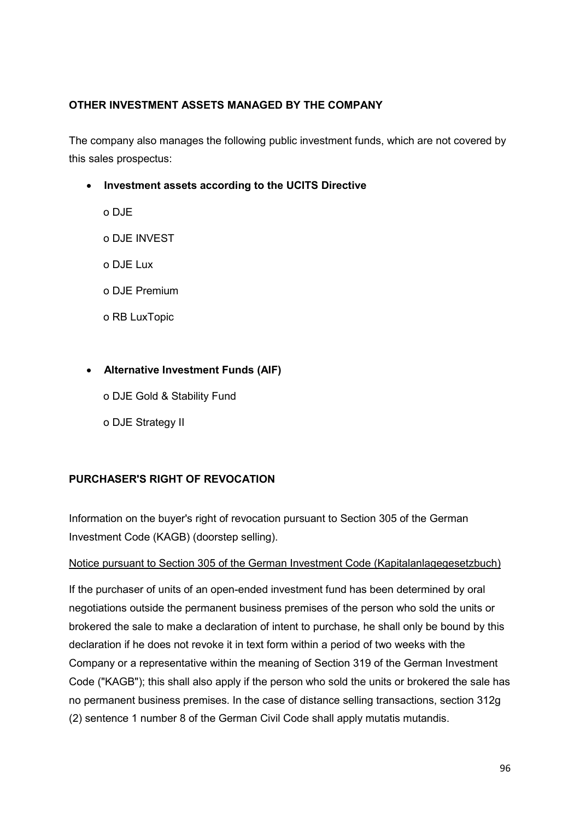## **OTHER INVESTMENT ASSETS MANAGED BY THE COMPANY**

The company also manages the following public investment funds, which are not covered by this sales prospectus:

• **Investment assets according to the UCITS Directive**

o DJE o DJE INVEST o DJE Lux o DJE Premium o RB LuxTopic

## • **Alternative Investment Funds (AIF)**

- o DJE Gold & Stability Fund
- o DJE Strategy II

## **PURCHASER'S RIGHT OF REVOCATION**

Information on the buyer's right of revocation pursuant to Section 305 of the German Investment Code (KAGB) (doorstep selling).

## Notice pursuant to Section 305 of the German Investment Code (Kapitalanlagegesetzbuch)

If the purchaser of units of an open-ended investment fund has been determined by oral negotiations outside the permanent business premises of the person who sold the units or brokered the sale to make a declaration of intent to purchase, he shall only be bound by this declaration if he does not revoke it in text form within a period of two weeks with the Company or a representative within the meaning of Section 319 of the German Investment Code ("KAGB"); this shall also apply if the person who sold the units or brokered the sale has no permanent business premises. In the case of distance selling transactions, section 312g (2) sentence 1 number 8 of the German Civil Code shall apply mutatis mutandis.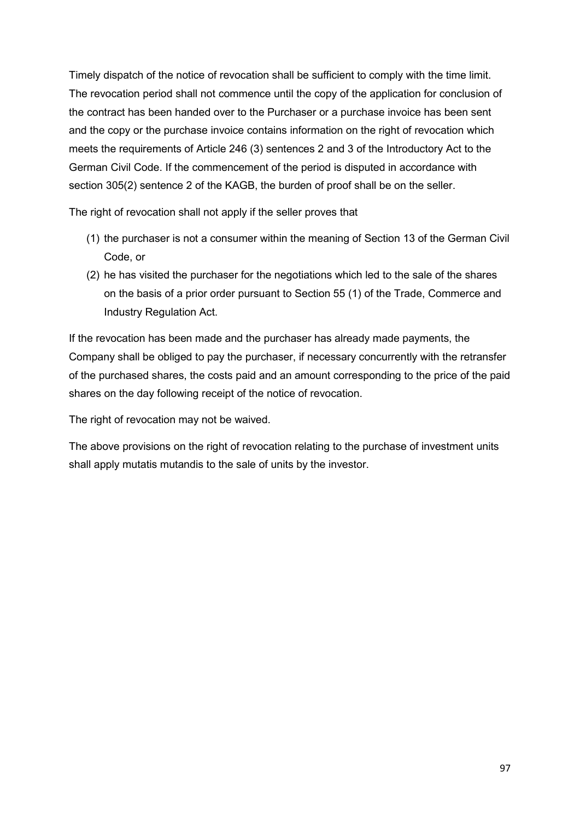Timely dispatch of the notice of revocation shall be sufficient to comply with the time limit. The revocation period shall not commence until the copy of the application for conclusion of the contract has been handed over to the Purchaser or a purchase invoice has been sent and the copy or the purchase invoice contains information on the right of revocation which meets the requirements of Article 246 (3) sentences 2 and 3 of the Introductory Act to the German Civil Code. If the commencement of the period is disputed in accordance with section 305(2) sentence 2 of the KAGB, the burden of proof shall be on the seller.

The right of revocation shall not apply if the seller proves that

- (1) the purchaser is not a consumer within the meaning of Section 13 of the German Civil Code, or
- (2) he has visited the purchaser for the negotiations which led to the sale of the shares on the basis of a prior order pursuant to Section 55 (1) of the Trade, Commerce and Industry Regulation Act.

If the revocation has been made and the purchaser has already made payments, the Company shall be obliged to pay the purchaser, if necessary concurrently with the retransfer of the purchased shares, the costs paid and an amount corresponding to the price of the paid shares on the day following receipt of the notice of revocation.

The right of revocation may not be waived.

The above provisions on the right of revocation relating to the purchase of investment units shall apply mutatis mutandis to the sale of units by the investor.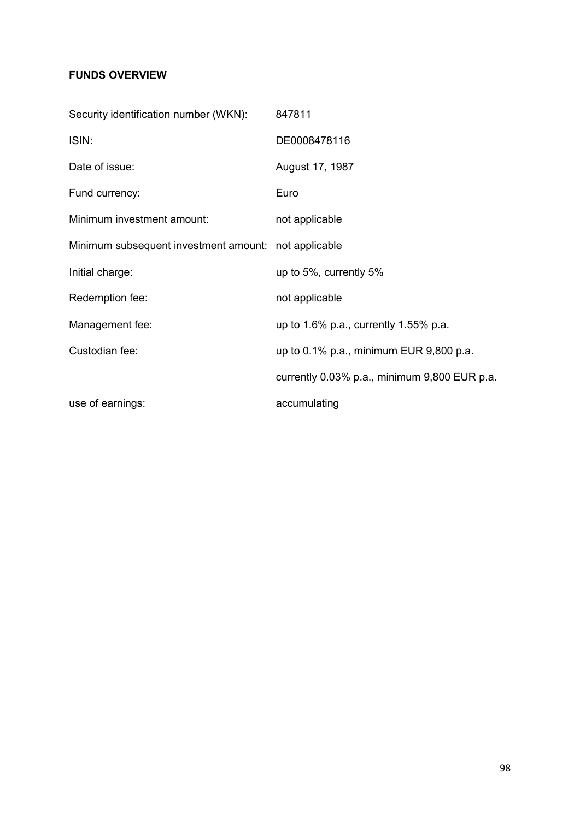## **FUNDS OVERVIEW**

| Security identification number (WKN):                | 847811                                       |
|------------------------------------------------------|----------------------------------------------|
| ISIN:                                                | DE0008478116                                 |
| Date of issue:                                       | August 17, 1987                              |
| Fund currency:                                       | Euro                                         |
| Minimum investment amount:                           | not applicable                               |
| Minimum subsequent investment amount: not applicable |                                              |
| Initial charge:                                      | up to 5%, currently 5%                       |
| Redemption fee:                                      | not applicable                               |
| Management fee:                                      | up to 1.6% p.a., currently 1.55% p.a.        |
| Custodian fee:                                       | up to 0.1% p.a., minimum EUR 9,800 p.a.      |
|                                                      | currently 0.03% p.a., minimum 9,800 EUR p.a. |
| use of earnings:                                     | accumulating                                 |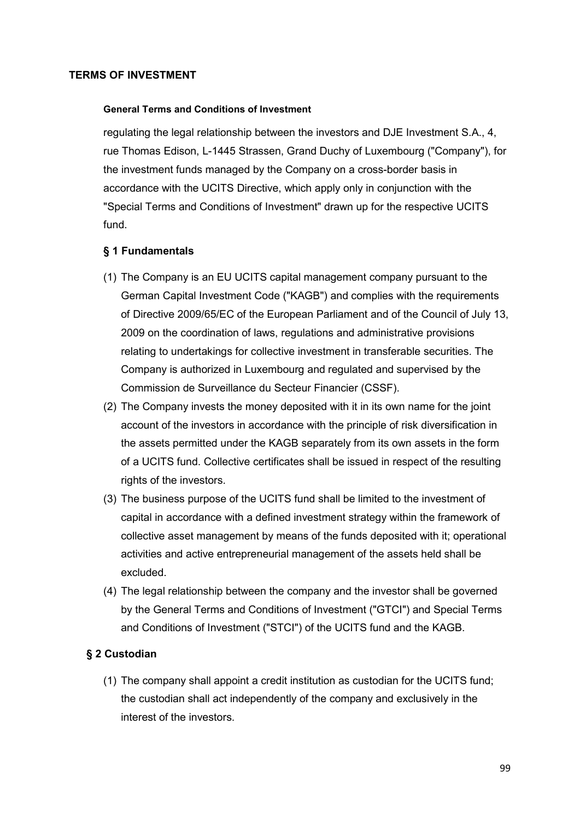#### **TERMS OF INVESTMENT**

#### **General Terms and Conditions of Investment**

regulating the legal relationship between the investors and DJE Investment S.A., 4, rue Thomas Edison, L-1445 Strassen, Grand Duchy of Luxembourg ("Company"), for the investment funds managed by the Company on a cross-border basis in accordance with the UCITS Directive, which apply only in conjunction with the "Special Terms and Conditions of Investment" drawn up for the respective UCITS fund.

#### **§ 1 Fundamentals**

- (1) The Company is an EU UCITS capital management company pursuant to the German Capital Investment Code ("KAGB") and complies with the requirements of Directive 2009/65/EC of the European Parliament and of the Council of July 13, 2009 on the coordination of laws, regulations and administrative provisions relating to undertakings for collective investment in transferable securities. The Company is authorized in Luxembourg and regulated and supervised by the Commission de Surveillance du Secteur Financier (CSSF).
- (2) The Company invests the money deposited with it in its own name for the joint account of the investors in accordance with the principle of risk diversification in the assets permitted under the KAGB separately from its own assets in the form of a UCITS fund. Collective certificates shall be issued in respect of the resulting rights of the investors.
- (3) The business purpose of the UCITS fund shall be limited to the investment of capital in accordance with a defined investment strategy within the framework of collective asset management by means of the funds deposited with it; operational activities and active entrepreneurial management of the assets held shall be excluded.
- (4) The legal relationship between the company and the investor shall be governed by the General Terms and Conditions of Investment ("GTCI") and Special Terms and Conditions of Investment ("STCI") of the UCITS fund and the KAGB.

## **§ 2 Custodian**

(1) The company shall appoint a credit institution as custodian for the UCITS fund; the custodian shall act independently of the company and exclusively in the interest of the investors.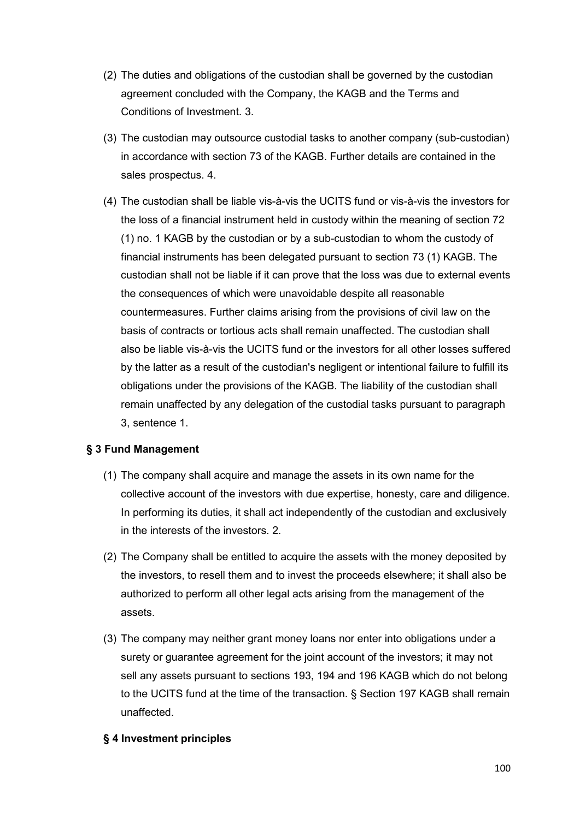- (2) The duties and obligations of the custodian shall be governed by the custodian agreement concluded with the Company, the KAGB and the Terms and Conditions of Investment. 3.
- (3) The custodian may outsource custodial tasks to another company (sub-custodian) in accordance with section 73 of the KAGB. Further details are contained in the sales prospectus. 4.
- (4) The custodian shall be liable vis-à-vis the UCITS fund or vis-à-vis the investors for the loss of a financial instrument held in custody within the meaning of section 72 (1) no. 1 KAGB by the custodian or by a sub-custodian to whom the custody of financial instruments has been delegated pursuant to section 73 (1) KAGB. The custodian shall not be liable if it can prove that the loss was due to external events the consequences of which were unavoidable despite all reasonable countermeasures. Further claims arising from the provisions of civil law on the basis of contracts or tortious acts shall remain unaffected. The custodian shall also be liable vis-à-vis the UCITS fund or the investors for all other losses suffered by the latter as a result of the custodian's negligent or intentional failure to fulfill its obligations under the provisions of the KAGB. The liability of the custodian shall remain unaffected by any delegation of the custodial tasks pursuant to paragraph 3, sentence 1.

## **§ 3 Fund Management**

- (1) The company shall acquire and manage the assets in its own name for the collective account of the investors with due expertise, honesty, care and diligence. In performing its duties, it shall act independently of the custodian and exclusively in the interests of the investors. 2.
- (2) The Company shall be entitled to acquire the assets with the money deposited by the investors, to resell them and to invest the proceeds elsewhere; it shall also be authorized to perform all other legal acts arising from the management of the assets.
- (3) The company may neither grant money loans nor enter into obligations under a surety or guarantee agreement for the joint account of the investors; it may not sell any assets pursuant to sections 193, 194 and 196 KAGB which do not belong to the UCITS fund at the time of the transaction. § Section 197 KAGB shall remain unaffected.

## **§ 4 Investment principles**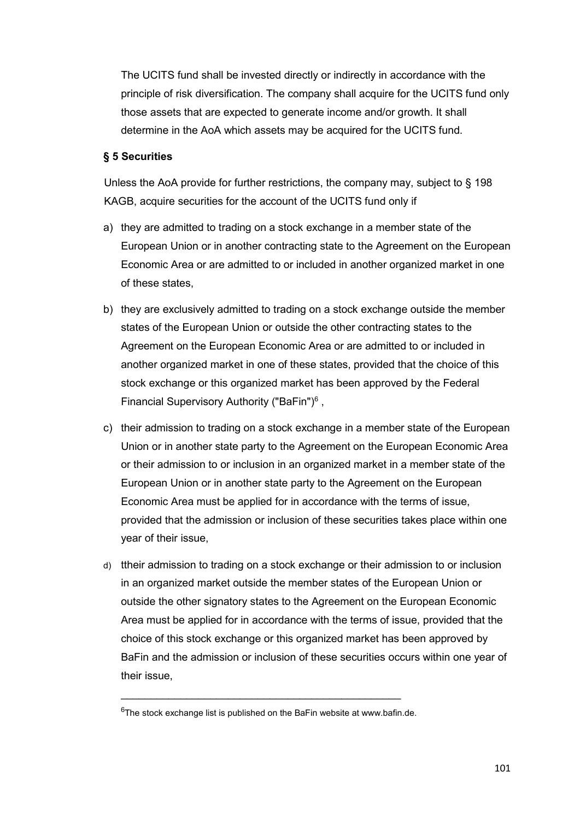The UCITS fund shall be invested directly or indirectly in accordance with the principle of risk diversification. The company shall acquire for the UCITS fund only those assets that are expected to generate income and/or growth. It shall determine in the AoA which assets may be acquired for the UCITS fund.

## **§ 5 Securities**

Unless the AoA provide for further restrictions, the company may, subject to § 198 KAGB, acquire securities for the account of the UCITS fund only if

- a) they are admitted to trading on a stock exchange in a member state of the European Union or in another contracting state to the Agreement on the European Economic Area or are admitted to or included in another organized market in one of these states,
- b) they are exclusively admitted to trading on a stock exchange outside the member states of the European Union or outside the other contracting states to the Agreement on the European Economic Area or are admitted to or included in another organized market in one of these states, provided that the choice of this stock exchange or this organized market has been approved by the Federal Financial Supervisory Authority ("BaFin")6 ,
- c) their admission to trading on a stock exchange in a member state of the European Union or in another state party to the Agreement on the European Economic Area or their admission to or inclusion in an organized market in a member state of the European Union or in another state party to the Agreement on the European Economic Area must be applied for in accordance with the terms of issue, provided that the admission or inclusion of these securities takes place within one year of their issue,
- d) ttheir admission to trading on a stock exchange or their admission to or inclusion in an organized market outside the member states of the European Union or outside the other signatory states to the Agreement on the European Economic Area must be applied for in accordance with the terms of issue, provided that the choice of this stock exchange or this organized market has been approved by BaFin and the admission or inclusion of these securities occurs within one year of their issue,

\_\_\_\_\_\_\_\_\_\_\_\_\_\_\_\_\_\_\_\_\_\_\_\_\_\_\_\_\_\_\_\_\_\_\_\_\_\_\_\_\_\_\_\_\_\_\_

 $^6$ The stock exchange list is published on the BaFin website at www.bafin.de.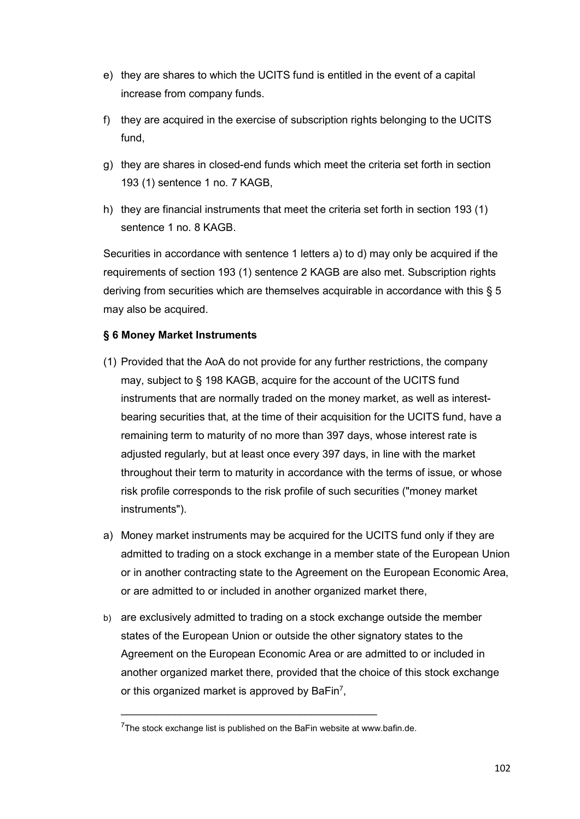- e) they are shares to which the UCITS fund is entitled in the event of a capital increase from company funds.
- f) they are acquired in the exercise of subscription rights belonging to the UCITS fund,
- g) they are shares in closed-end funds which meet the criteria set forth in section 193 (1) sentence 1 no. 7 KAGB,
- h) they are financial instruments that meet the criteria set forth in section 193 (1) sentence 1 no. 8 KAGB.

Securities in accordance with sentence 1 letters a) to d) may only be acquired if the requirements of section 193 (1) sentence 2 KAGB are also met. Subscription rights deriving from securities which are themselves acquirable in accordance with this § 5 may also be acquired.

## **§ 6 Money Market Instruments**

- (1) Provided that the AoA do not provide for any further restrictions, the company may, subject to § 198 KAGB, acquire for the account of the UCITS fund instruments that are normally traded on the money market, as well as interestbearing securities that, at the time of their acquisition for the UCITS fund, have a remaining term to maturity of no more than 397 days, whose interest rate is adjusted regularly, but at least once every 397 days, in line with the market throughout their term to maturity in accordance with the terms of issue, or whose risk profile corresponds to the risk profile of such securities ("money market instruments").
- a) Money market instruments may be acquired for the UCITS fund only if they are admitted to trading on a stock exchange in a member state of the European Union or in another contracting state to the Agreement on the European Economic Area, or are admitted to or included in another organized market there,
- b) are exclusively admitted to trading on a stock exchange outside the member states of the European Union or outside the other signatory states to the Agreement on the European Economic Area or are admitted to or included in another organized market there, provided that the choice of this stock exchange or this organized market is approved by BaFin<sup>7</sup>,

\_\_\_\_\_\_\_\_\_\_\_\_\_\_\_\_\_\_\_\_\_\_\_\_\_\_\_\_\_\_\_\_\_\_\_\_\_\_\_\_\_\_\_

 $\rm ^7$ The stock exchange list is published on the BaFin website at www.bafin.de.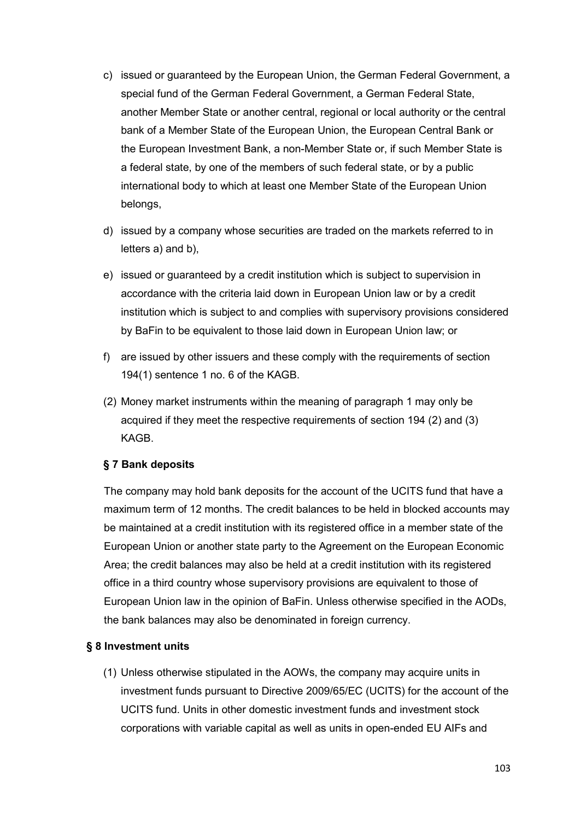- c) issued or guaranteed by the European Union, the German Federal Government, a special fund of the German Federal Government, a German Federal State, another Member State or another central, regional or local authority or the central bank of a Member State of the European Union, the European Central Bank or the European Investment Bank, a non-Member State or, if such Member State is a federal state, by one of the members of such federal state, or by a public international body to which at least one Member State of the European Union belongs,
- d) issued by a company whose securities are traded on the markets referred to in letters a) and b),
- e) issued or guaranteed by a credit institution which is subject to supervision in accordance with the criteria laid down in European Union law or by a credit institution which is subject to and complies with supervisory provisions considered by BaFin to be equivalent to those laid down in European Union law; or
- f) are issued by other issuers and these comply with the requirements of section 194(1) sentence 1 no. 6 of the KAGB.
- (2) Money market instruments within the meaning of paragraph 1 may only be acquired if they meet the respective requirements of section 194 (2) and (3) KAGB.

## **§ 7 Bank deposits**

The company may hold bank deposits for the account of the UCITS fund that have a maximum term of 12 months. The credit balances to be held in blocked accounts may be maintained at a credit institution with its registered office in a member state of the European Union or another state party to the Agreement on the European Economic Area; the credit balances may also be held at a credit institution with its registered office in a third country whose supervisory provisions are equivalent to those of European Union law in the opinion of BaFin. Unless otherwise specified in the AODs, the bank balances may also be denominated in foreign currency.

## **§ 8 Investment units**

(1) Unless otherwise stipulated in the AOWs, the company may acquire units in investment funds pursuant to Directive 2009/65/EC (UCITS) for the account of the UCITS fund. Units in other domestic investment funds and investment stock corporations with variable capital as well as units in open-ended EU AIFs and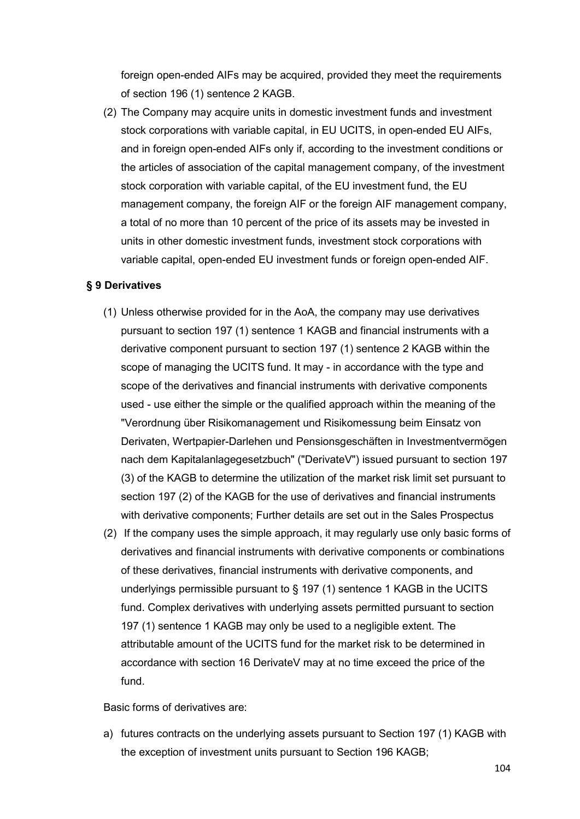foreign open-ended AIFs may be acquired, provided they meet the requirements of section 196 (1) sentence 2 KAGB.

(2) The Company may acquire units in domestic investment funds and investment stock corporations with variable capital, in EU UCITS, in open-ended EU AIFs, and in foreign open-ended AIFs only if, according to the investment conditions or the articles of association of the capital management company, of the investment stock corporation with variable capital, of the EU investment fund, the EU management company, the foreign AIF or the foreign AIF management company, a total of no more than 10 percent of the price of its assets may be invested in units in other domestic investment funds, investment stock corporations with variable capital, open-ended EU investment funds or foreign open-ended AIF.

#### **§ 9 Derivatives**

- (1) Unless otherwise provided for in the AoA, the company may use derivatives pursuant to section 197 (1) sentence 1 KAGB and financial instruments with a derivative component pursuant to section 197 (1) sentence 2 KAGB within the scope of managing the UCITS fund. It may - in accordance with the type and scope of the derivatives and financial instruments with derivative components used - use either the simple or the qualified approach within the meaning of the "Verordnung über Risikomanagement und Risikomessung beim Einsatz von Derivaten, Wertpapier-Darlehen und Pensionsgeschäften in Investmentvermögen nach dem Kapitalanlagegesetzbuch" ("DerivateV") issued pursuant to section 197 (3) of the KAGB to determine the utilization of the market risk limit set pursuant to section 197 (2) of the KAGB for the use of derivatives and financial instruments with derivative components; Further details are set out in the Sales Prospectus
- (2) If the company uses the simple approach, it may regularly use only basic forms of derivatives and financial instruments with derivative components or combinations of these derivatives, financial instruments with derivative components, and underlyings permissible pursuant to § 197 (1) sentence 1 KAGB in the UCITS fund. Complex derivatives with underlying assets permitted pursuant to section 197 (1) sentence 1 KAGB may only be used to a negligible extent. The attributable amount of the UCITS fund for the market risk to be determined in accordance with section 16 DerivateV may at no time exceed the price of the fund.

Basic forms of derivatives are:

a) futures contracts on the underlying assets pursuant to Section 197 (1) KAGB with the exception of investment units pursuant to Section 196 KAGB;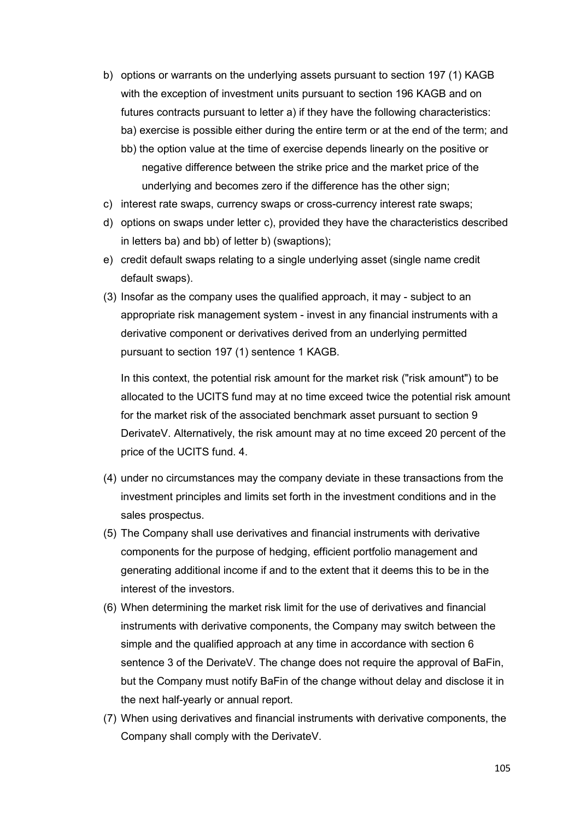- b) options or warrants on the underlying assets pursuant to section 197 (1) KAGB with the exception of investment units pursuant to section 196 KAGB and on futures contracts pursuant to letter a) if they have the following characteristics: ba) exercise is possible either during the entire term or at the end of the term; and
	- bb) the option value at the time of exercise depends linearly on the positive or negative difference between the strike price and the market price of the underlying and becomes zero if the difference has the other sign;
- c) interest rate swaps, currency swaps or cross-currency interest rate swaps;
- d) options on swaps under letter c), provided they have the characteristics described in letters ba) and bb) of letter b) (swaptions);
- e) credit default swaps relating to a single underlying asset (single name credit default swaps).
- (3) Insofar as the company uses the qualified approach, it may subject to an appropriate risk management system - invest in any financial instruments with a derivative component or derivatives derived from an underlying permitted pursuant to section 197 (1) sentence 1 KAGB.

In this context, the potential risk amount for the market risk ("risk amount") to be allocated to the UCITS fund may at no time exceed twice the potential risk amount for the market risk of the associated benchmark asset pursuant to section 9 DerivateV. Alternatively, the risk amount may at no time exceed 20 percent of the price of the UCITS fund. 4.

- (4) under no circumstances may the company deviate in these transactions from the investment principles and limits set forth in the investment conditions and in the sales prospectus.
- (5) The Company shall use derivatives and financial instruments with derivative components for the purpose of hedging, efficient portfolio management and generating additional income if and to the extent that it deems this to be in the interest of the investors.
- (6) When determining the market risk limit for the use of derivatives and financial instruments with derivative components, the Company may switch between the simple and the qualified approach at any time in accordance with section 6 sentence 3 of the DerivateV. The change does not require the approval of BaFin, but the Company must notify BaFin of the change without delay and disclose it in the next half-yearly or annual report.
- (7) When using derivatives and financial instruments with derivative components, the Company shall comply with the DerivateV.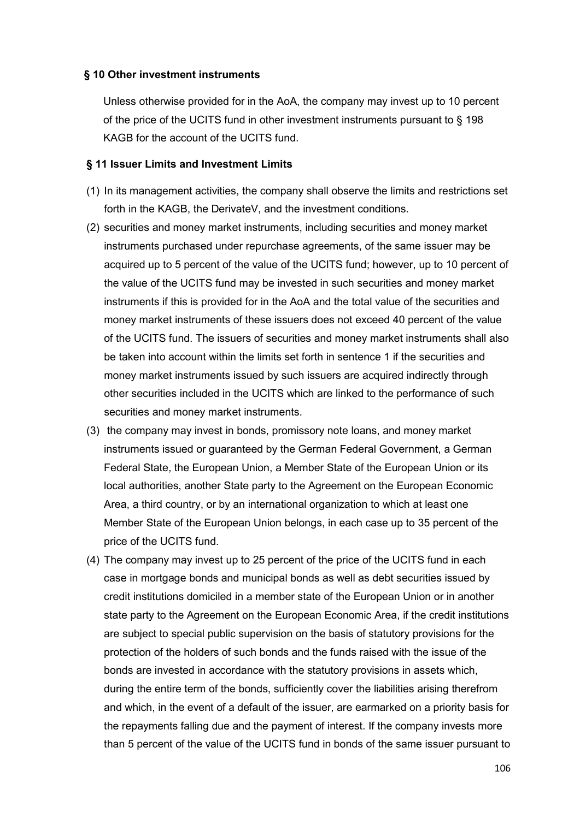#### **§ 10 Other investment instruments**

Unless otherwise provided for in the AoA, the company may invest up to 10 percent of the price of the UCITS fund in other investment instruments pursuant to § 198 KAGB for the account of the UCITS fund.

#### **§ 11 Issuer Limits and Investment Limits**

- (1) In its management activities, the company shall observe the limits and restrictions set forth in the KAGB, the DerivateV, and the investment conditions.
- (2) securities and money market instruments, including securities and money market instruments purchased under repurchase agreements, of the same issuer may be acquired up to 5 percent of the value of the UCITS fund; however, up to 10 percent of the value of the UCITS fund may be invested in such securities and money market instruments if this is provided for in the AoA and the total value of the securities and money market instruments of these issuers does not exceed 40 percent of the value of the UCITS fund. The issuers of securities and money market instruments shall also be taken into account within the limits set forth in sentence 1 if the securities and money market instruments issued by such issuers are acquired indirectly through other securities included in the UCITS which are linked to the performance of such securities and money market instruments.
- (3) the company may invest in bonds, promissory note loans, and money market instruments issued or guaranteed by the German Federal Government, a German Federal State, the European Union, a Member State of the European Union or its local authorities, another State party to the Agreement on the European Economic Area, a third country, or by an international organization to which at least one Member State of the European Union belongs, in each case up to 35 percent of the price of the UCITS fund.
- (4) The company may invest up to 25 percent of the price of the UCITS fund in each case in mortgage bonds and municipal bonds as well as debt securities issued by credit institutions domiciled in a member state of the European Union or in another state party to the Agreement on the European Economic Area, if the credit institutions are subject to special public supervision on the basis of statutory provisions for the protection of the holders of such bonds and the funds raised with the issue of the bonds are invested in accordance with the statutory provisions in assets which, during the entire term of the bonds, sufficiently cover the liabilities arising therefrom and which, in the event of a default of the issuer, are earmarked on a priority basis for the repayments falling due and the payment of interest. If the company invests more than 5 percent of the value of the UCITS fund in bonds of the same issuer pursuant to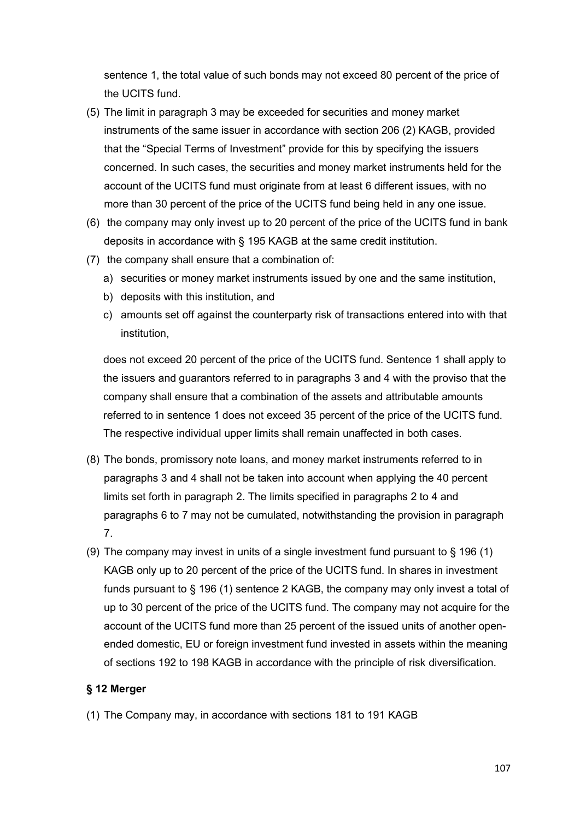sentence 1, the total value of such bonds may not exceed 80 percent of the price of the UCITS fund.

- (5) The limit in paragraph 3 may be exceeded for securities and money market instruments of the same issuer in accordance with section 206 (2) KAGB, provided that the "Special Terms of Investment" provide for this by specifying the issuers concerned. In such cases, the securities and money market instruments held for the account of the UCITS fund must originate from at least 6 different issues, with no more than 30 percent of the price of the UCITS fund being held in any one issue.
- (6) the company may only invest up to 20 percent of the price of the UCITS fund in bank deposits in accordance with § 195 KAGB at the same credit institution.
- (7) the company shall ensure that a combination of:
	- a) securities or money market instruments issued by one and the same institution,
	- b) deposits with this institution, and
	- c) amounts set off against the counterparty risk of transactions entered into with that institution,

does not exceed 20 percent of the price of the UCITS fund. Sentence 1 shall apply to the issuers and guarantors referred to in paragraphs 3 and 4 with the proviso that the company shall ensure that a combination of the assets and attributable amounts referred to in sentence 1 does not exceed 35 percent of the price of the UCITS fund. The respective individual upper limits shall remain unaffected in both cases.

- (8) The bonds, promissory note loans, and money market instruments referred to in paragraphs 3 and 4 shall not be taken into account when applying the 40 percent limits set forth in paragraph 2. The limits specified in paragraphs 2 to 4 and paragraphs 6 to 7 may not be cumulated, notwithstanding the provision in paragraph 7.
- (9) The company may invest in units of a single investment fund pursuant to  $\S$  196 (1) KAGB only up to 20 percent of the price of the UCITS fund. In shares in investment funds pursuant to § 196 (1) sentence 2 KAGB, the company may only invest a total of up to 30 percent of the price of the UCITS fund. The company may not acquire for the account of the UCITS fund more than 25 percent of the issued units of another openended domestic, EU or foreign investment fund invested in assets within the meaning of sections 192 to 198 KAGB in accordance with the principle of risk diversification.

## **§ 12 Merger**

(1) The Company may, in accordance with sections 181 to 191 KAGB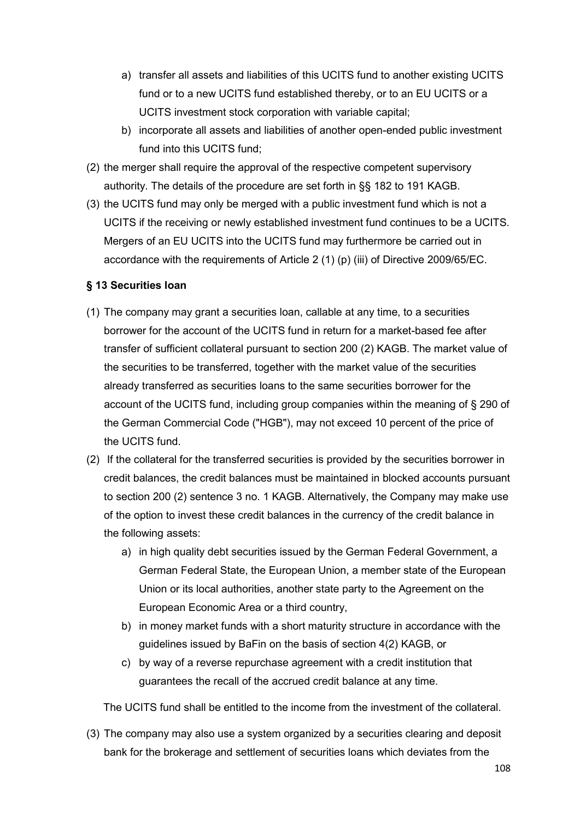- a) transfer all assets and liabilities of this UCITS fund to another existing UCITS fund or to a new UCITS fund established thereby, or to an EU UCITS or a UCITS investment stock corporation with variable capital;
- b) incorporate all assets and liabilities of another open-ended public investment fund into this UCITS fund;
- (2) the merger shall require the approval of the respective competent supervisory authority. The details of the procedure are set forth in §§ 182 to 191 KAGB.
- (3) the UCITS fund may only be merged with a public investment fund which is not a UCITS if the receiving or newly established investment fund continues to be a UCITS. Mergers of an EU UCITS into the UCITS fund may furthermore be carried out in accordance with the requirements of Article 2 (1) (p) (iii) of Directive 2009/65/EC.

## **§ 13 Securities loan**

- (1) The company may grant a securities loan, callable at any time, to a securities borrower for the account of the UCITS fund in return for a market-based fee after transfer of sufficient collateral pursuant to section 200 (2) KAGB. The market value of the securities to be transferred, together with the market value of the securities already transferred as securities loans to the same securities borrower for the account of the UCITS fund, including group companies within the meaning of § 290 of the German Commercial Code ("HGB"), may not exceed 10 percent of the price of the UCITS fund.
- (2) If the collateral for the transferred securities is provided by the securities borrower in credit balances, the credit balances must be maintained in blocked accounts pursuant to section 200 (2) sentence 3 no. 1 KAGB. Alternatively, the Company may make use of the option to invest these credit balances in the currency of the credit balance in the following assets:
	- a) in high quality debt securities issued by the German Federal Government, a German Federal State, the European Union, a member state of the European Union or its local authorities, another state party to the Agreement on the European Economic Area or a third country,
	- b) in money market funds with a short maturity structure in accordance with the guidelines issued by BaFin on the basis of section 4(2) KAGB, or
	- c) by way of a reverse repurchase agreement with a credit institution that guarantees the recall of the accrued credit balance at any time.

The UCITS fund shall be entitled to the income from the investment of the collateral.

(3) The company may also use a system organized by a securities clearing and deposit bank for the brokerage and settlement of securities loans which deviates from the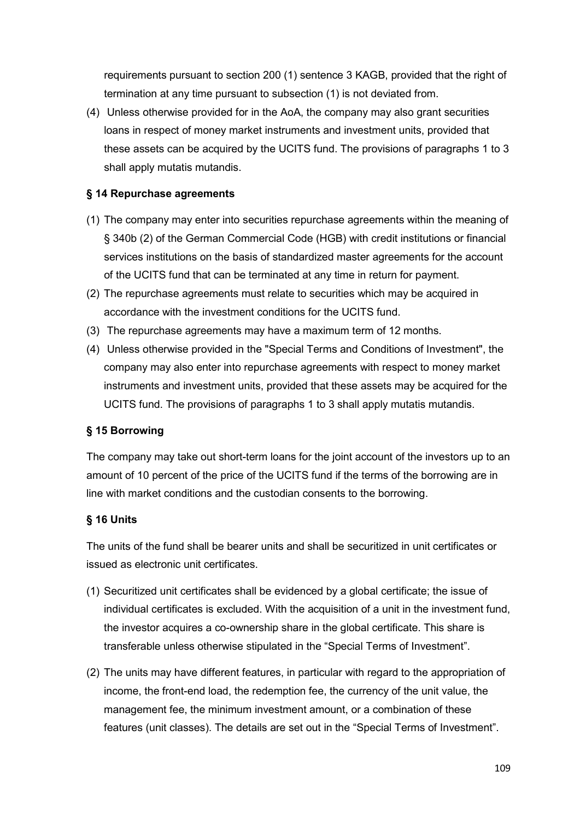requirements pursuant to section 200 (1) sentence 3 KAGB, provided that the right of termination at any time pursuant to subsection (1) is not deviated from.

(4) Unless otherwise provided for in the AoA, the company may also grant securities loans in respect of money market instruments and investment units, provided that these assets can be acquired by the UCITS fund. The provisions of paragraphs 1 to 3 shall apply mutatis mutandis.

#### **§ 14 Repurchase agreements**

- (1) The company may enter into securities repurchase agreements within the meaning of § 340b (2) of the German Commercial Code (HGB) with credit institutions or financial services institutions on the basis of standardized master agreements for the account of the UCITS fund that can be terminated at any time in return for payment.
- (2) The repurchase agreements must relate to securities which may be acquired in accordance with the investment conditions for the UCITS fund.
- (3) The repurchase agreements may have a maximum term of 12 months.
- (4) Unless otherwise provided in the "Special Terms and Conditions of Investment", the company may also enter into repurchase agreements with respect to money market instruments and investment units, provided that these assets may be acquired for the UCITS fund. The provisions of paragraphs 1 to 3 shall apply mutatis mutandis.

## **§ 15 Borrowing**

The company may take out short-term loans for the joint account of the investors up to an amount of 10 percent of the price of the UCITS fund if the terms of the borrowing are in line with market conditions and the custodian consents to the borrowing.

## **§ 16 Units**

The units of the fund shall be bearer units and shall be securitized in unit certificates or issued as electronic unit certificates.

- (1) Securitized unit certificates shall be evidenced by a global certificate; the issue of individual certificates is excluded. With the acquisition of a unit in the investment fund, the investor acquires a co-ownership share in the global certificate. This share is transferable unless otherwise stipulated in the "Special Terms of Investment".
- (2) The units may have different features, in particular with regard to the appropriation of income, the front-end load, the redemption fee, the currency of the unit value, the management fee, the minimum investment amount, or a combination of these features (unit classes). The details are set out in the "Special Terms of Investment".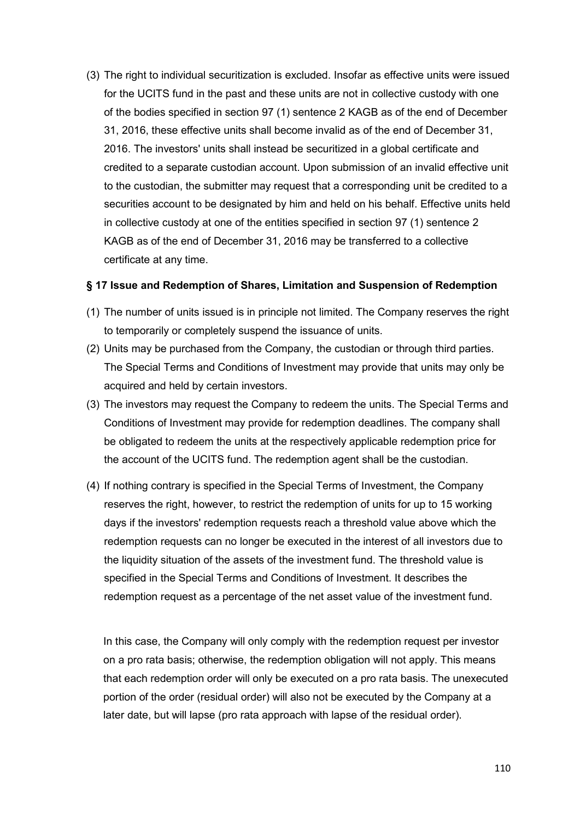(3) The right to individual securitization is excluded. Insofar as effective units were issued for the UCITS fund in the past and these units are not in collective custody with one of the bodies specified in section 97 (1) sentence 2 KAGB as of the end of December 31, 2016, these effective units shall become invalid as of the end of December 31, 2016. The investors' units shall instead be securitized in a global certificate and credited to a separate custodian account. Upon submission of an invalid effective unit to the custodian, the submitter may request that a corresponding unit be credited to a securities account to be designated by him and held on his behalf. Effective units held in collective custody at one of the entities specified in section 97 (1) sentence 2 KAGB as of the end of December 31, 2016 may be transferred to a collective certificate at any time.

#### **§ 17 Issue and Redemption of Shares, Limitation and Suspension of Redemption**

- (1) The number of units issued is in principle not limited. The Company reserves the right to temporarily or completely suspend the issuance of units.
- (2) Units may be purchased from the Company, the custodian or through third parties. The Special Terms and Conditions of Investment may provide that units may only be acquired and held by certain investors.
- (3) The investors may request the Company to redeem the units. The Special Terms and Conditions of Investment may provide for redemption deadlines. The company shall be obligated to redeem the units at the respectively applicable redemption price for the account of the UCITS fund. The redemption agent shall be the custodian.
- (4) If nothing contrary is specified in the Special Terms of Investment, the Company reserves the right, however, to restrict the redemption of units for up to 15 working days if the investors' redemption requests reach a threshold value above which the redemption requests can no longer be executed in the interest of all investors due to the liquidity situation of the assets of the investment fund. The threshold value is specified in the Special Terms and Conditions of Investment. It describes the redemption request as a percentage of the net asset value of the investment fund.

In this case, the Company will only comply with the redemption request per investor on a pro rata basis; otherwise, the redemption obligation will not apply. This means that each redemption order will only be executed on a pro rata basis. The unexecuted portion of the order (residual order) will also not be executed by the Company at a later date, but will lapse (pro rata approach with lapse of the residual order).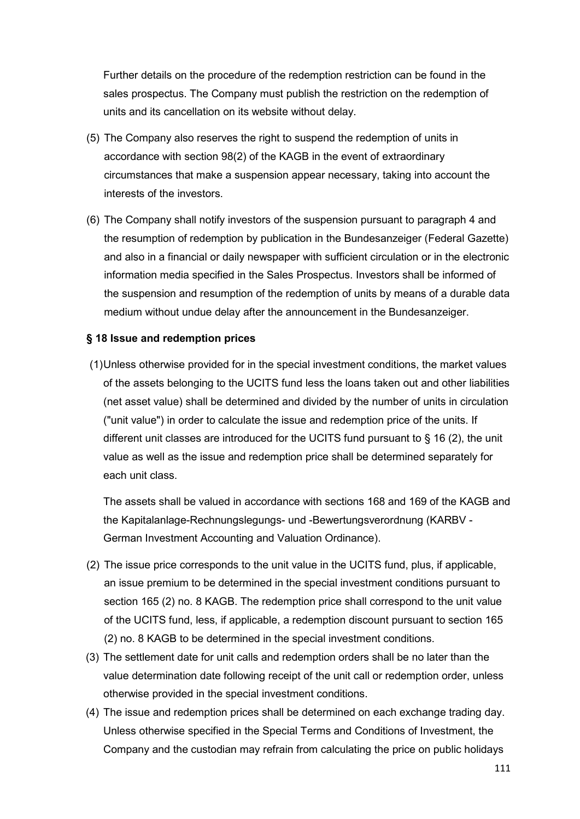Further details on the procedure of the redemption restriction can be found in the sales prospectus. The Company must publish the restriction on the redemption of units and its cancellation on its website without delay.

- (5) The Company also reserves the right to suspend the redemption of units in accordance with section 98(2) of the KAGB in the event of extraordinary circumstances that make a suspension appear necessary, taking into account the interests of the investors.
- (6) The Company shall notify investors of the suspension pursuant to paragraph 4 and the resumption of redemption by publication in the Bundesanzeiger (Federal Gazette) and also in a financial or daily newspaper with sufficient circulation or in the electronic information media specified in the Sales Prospectus. Investors shall be informed of the suspension and resumption of the redemption of units by means of a durable data medium without undue delay after the announcement in the Bundesanzeiger.

### **§ 18 Issue and redemption prices**

(1)Unless otherwise provided for in the special investment conditions, the market values of the assets belonging to the UCITS fund less the loans taken out and other liabilities (net asset value) shall be determined and divided by the number of units in circulation ("unit value") in order to calculate the issue and redemption price of the units. If different unit classes are introduced for the UCITS fund pursuant to § 16 (2), the unit value as well as the issue and redemption price shall be determined separately for each unit class.

The assets shall be valued in accordance with sections 168 and 169 of the KAGB and the Kapitalanlage-Rechnungslegungs- und -Bewertungsverordnung (KARBV - German Investment Accounting and Valuation Ordinance).

- (2) The issue price corresponds to the unit value in the UCITS fund, plus, if applicable, an issue premium to be determined in the special investment conditions pursuant to section 165 (2) no. 8 KAGB. The redemption price shall correspond to the unit value of the UCITS fund, less, if applicable, a redemption discount pursuant to section 165 (2) no. 8 KAGB to be determined in the special investment conditions.
- (3) The settlement date for unit calls and redemption orders shall be no later than the value determination date following receipt of the unit call or redemption order, unless otherwise provided in the special investment conditions.
- (4) The issue and redemption prices shall be determined on each exchange trading day. Unless otherwise specified in the Special Terms and Conditions of Investment, the Company and the custodian may refrain from calculating the price on public holidays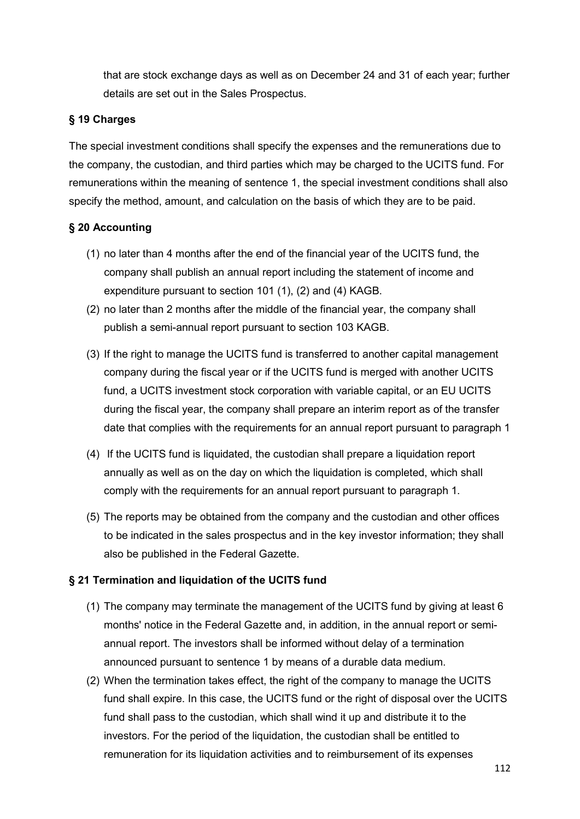that are stock exchange days as well as on December 24 and 31 of each year; further details are set out in the Sales Prospectus.

## **§ 19 Charges**

The special investment conditions shall specify the expenses and the remunerations due to the company, the custodian, and third parties which may be charged to the UCITS fund. For remunerations within the meaning of sentence 1, the special investment conditions shall also specify the method, amount, and calculation on the basis of which they are to be paid.

### **§ 20 Accounting**

- (1) no later than 4 months after the end of the financial year of the UCITS fund, the company shall publish an annual report including the statement of income and expenditure pursuant to section 101 (1), (2) and (4) KAGB.
- (2) no later than 2 months after the middle of the financial year, the company shall publish a semi-annual report pursuant to section 103 KAGB.
- (3) If the right to manage the UCITS fund is transferred to another capital management company during the fiscal year or if the UCITS fund is merged with another UCITS fund, a UCITS investment stock corporation with variable capital, or an EU UCITS during the fiscal year, the company shall prepare an interim report as of the transfer date that complies with the requirements for an annual report pursuant to paragraph 1
- (4) If the UCITS fund is liquidated, the custodian shall prepare a liquidation report annually as well as on the day on which the liquidation is completed, which shall comply with the requirements for an annual report pursuant to paragraph 1.
- (5) The reports may be obtained from the company and the custodian and other offices to be indicated in the sales prospectus and in the key investor information; they shall also be published in the Federal Gazette.

#### **§ 21 Termination and liquidation of the UCITS fund**

- (1) The company may terminate the management of the UCITS fund by giving at least 6 months' notice in the Federal Gazette and, in addition, in the annual report or semiannual report. The investors shall be informed without delay of a termination announced pursuant to sentence 1 by means of a durable data medium.
- (2) When the termination takes effect, the right of the company to manage the UCITS fund shall expire. In this case, the UCITS fund or the right of disposal over the UCITS fund shall pass to the custodian, which shall wind it up and distribute it to the investors. For the period of the liquidation, the custodian shall be entitled to remuneration for its liquidation activities and to reimbursement of its expenses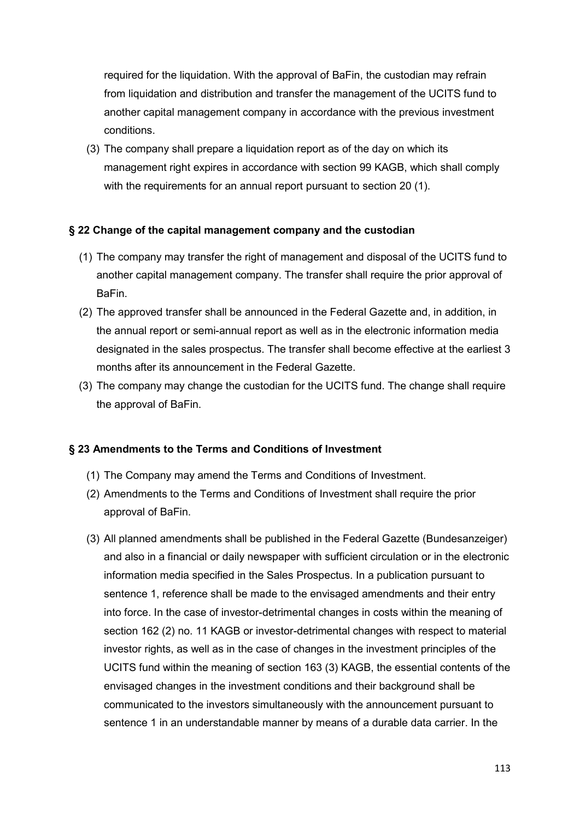required for the liquidation. With the approval of BaFin, the custodian may refrain from liquidation and distribution and transfer the management of the UCITS fund to another capital management company in accordance with the previous investment conditions.

(3) The company shall prepare a liquidation report as of the day on which its management right expires in accordance with section 99 KAGB, which shall comply with the requirements for an annual report pursuant to section 20 (1).

#### **§ 22 Change of the capital management company and the custodian**

- (1) The company may transfer the right of management and disposal of the UCITS fund to another capital management company. The transfer shall require the prior approval of BaFin.
- (2) The approved transfer shall be announced in the Federal Gazette and, in addition, in the annual report or semi-annual report as well as in the electronic information media designated in the sales prospectus. The transfer shall become effective at the earliest 3 months after its announcement in the Federal Gazette.
- (3) The company may change the custodian for the UCITS fund. The change shall require the approval of BaFin.

#### **§ 23 Amendments to the Terms and Conditions of Investment**

- (1) The Company may amend the Terms and Conditions of Investment.
- (2) Amendments to the Terms and Conditions of Investment shall require the prior approval of BaFin.
- (3) All planned amendments shall be published in the Federal Gazette (Bundesanzeiger) and also in a financial or daily newspaper with sufficient circulation or in the electronic information media specified in the Sales Prospectus. In a publication pursuant to sentence 1, reference shall be made to the envisaged amendments and their entry into force. In the case of investor-detrimental changes in costs within the meaning of section 162 (2) no. 11 KAGB or investor-detrimental changes with respect to material investor rights, as well as in the case of changes in the investment principles of the UCITS fund within the meaning of section 163 (3) KAGB, the essential contents of the envisaged changes in the investment conditions and their background shall be communicated to the investors simultaneously with the announcement pursuant to sentence 1 in an understandable manner by means of a durable data carrier. In the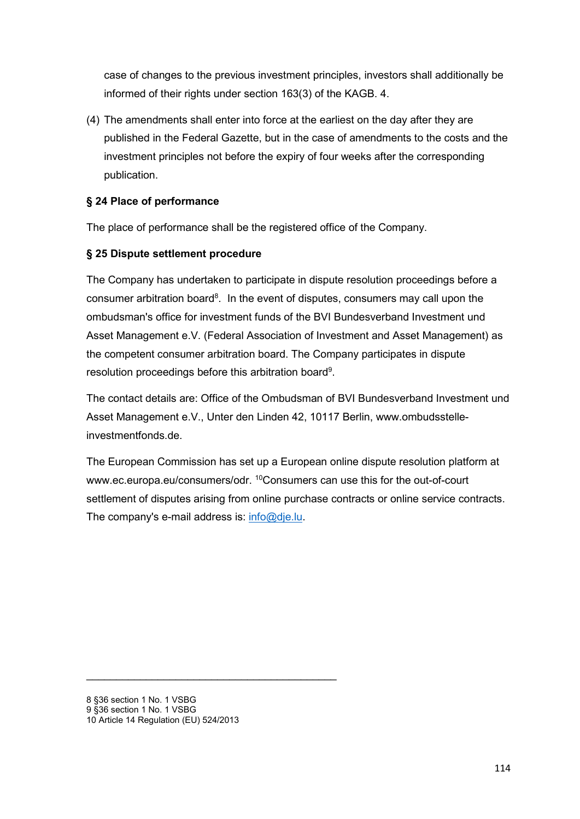case of changes to the previous investment principles, investors shall additionally be informed of their rights under section 163(3) of the KAGB. 4.

(4) The amendments shall enter into force at the earliest on the day after they are published in the Federal Gazette, but in the case of amendments to the costs and the investment principles not before the expiry of four weeks after the corresponding publication.

## **§ 24 Place of performance**

The place of performance shall be the registered office of the Company.

## **§ 25 Dispute settlement procedure**

The Company has undertaken to participate in dispute resolution proceedings before a consumer arbitration board<sup>8</sup>. In the event of disputes, consumers may call upon the ombudsman's office for investment funds of the BVI Bundesverband Investment und Asset Management e.V. (Federal Association of Investment and Asset Management) as the competent consumer arbitration board. The Company participates in dispute resolution proceedings before this arbitration board<sup>9</sup>.

The contact details are: Office of the Ombudsman of BVI Bundesverband Investment und Asset Management e.V., Unter den Linden 42, 10117 Berlin, www.ombudsstelleinvestmentfonds.de.

The European Commission has set up a European online dispute resolution platform at www.ec.europa.eu/consumers/odr. 10Consumers can use this for the out-of-court settlement of disputes arising from online purchase contracts or online service contracts. The company's e-mail address is: [info@dje.lu.](mailto:info@dje.lu)

\_\_\_\_\_\_\_\_\_\_\_\_\_\_\_\_\_\_\_\_\_\_\_\_\_\_\_\_\_\_\_\_\_\_\_\_\_\_\_\_\_\_

<sup>8 §36</sup> section 1 No. 1 VSBG

<sup>9 §36</sup> section 1 No. 1 VSBG

<sup>10</sup> Article 14 Regulation (EU) 524/2013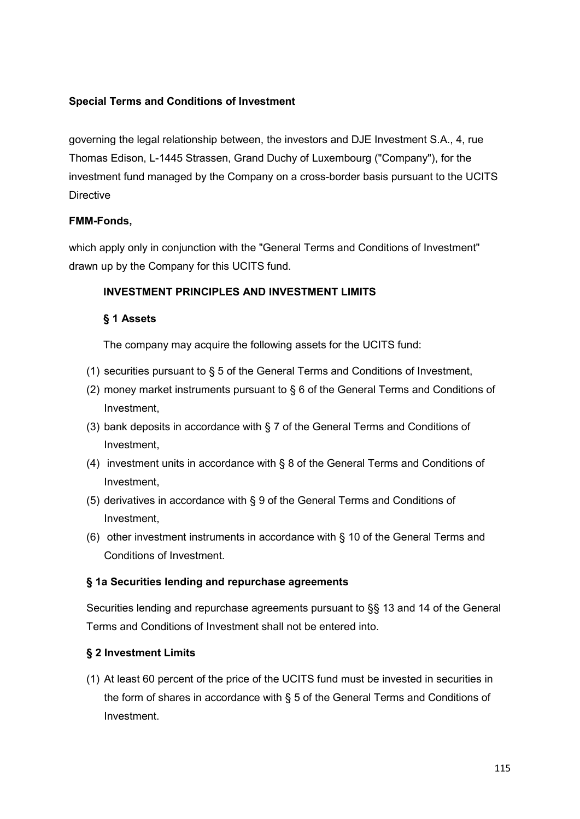## **Special Terms and Conditions of Investment**

governing the legal relationship between, the investors and DJE Investment S.A., 4, rue Thomas Edison, L-1445 Strassen, Grand Duchy of Luxembourg ("Company"), for the investment fund managed by the Company on a cross-border basis pursuant to the UCITS **Directive** 

## **FMM-Fonds,**

which apply only in conjunction with the "General Terms and Conditions of Investment" drawn up by the Company for this UCITS fund.

## **INVESTMENT PRINCIPLES AND INVESTMENT LIMITS**

#### **§ 1 Assets**

The company may acquire the following assets for the UCITS fund:

- (1) securities pursuant to § 5 of the General Terms and Conditions of Investment,
- (2) money market instruments pursuant to § 6 of the General Terms and Conditions of Investment,
- (3) bank deposits in accordance with § 7 of the General Terms and Conditions of Investment,
- (4) investment units in accordance with § 8 of the General Terms and Conditions of Investment,
- (5) derivatives in accordance with § 9 of the General Terms and Conditions of Investment,
- (6) other investment instruments in accordance with § 10 of the General Terms and Conditions of Investment.

#### **§ 1a Securities lending and repurchase agreements**

Securities lending and repurchase agreements pursuant to §§ 13 and 14 of the General Terms and Conditions of Investment shall not be entered into.

## **§ 2 Investment Limits**

(1) At least 60 percent of the price of the UCITS fund must be invested in securities in the form of shares in accordance with § 5 of the General Terms and Conditions of Investment.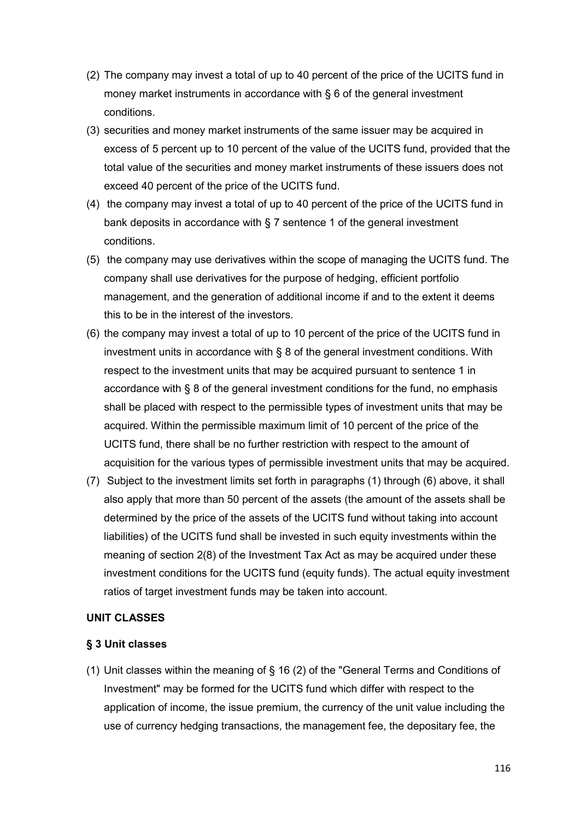- (2) The company may invest a total of up to 40 percent of the price of the UCITS fund in money market instruments in accordance with § 6 of the general investment conditions.
- (3) securities and money market instruments of the same issuer may be acquired in excess of 5 percent up to 10 percent of the value of the UCITS fund, provided that the total value of the securities and money market instruments of these issuers does not exceed 40 percent of the price of the UCITS fund.
- (4) the company may invest a total of up to 40 percent of the price of the UCITS fund in bank deposits in accordance with § 7 sentence 1 of the general investment conditions.
- (5) the company may use derivatives within the scope of managing the UCITS fund. The company shall use derivatives for the purpose of hedging, efficient portfolio management, and the generation of additional income if and to the extent it deems this to be in the interest of the investors.
- (6) the company may invest a total of up to 10 percent of the price of the UCITS fund in investment units in accordance with § 8 of the general investment conditions. With respect to the investment units that may be acquired pursuant to sentence 1 in accordance with § 8 of the general investment conditions for the fund, no emphasis shall be placed with respect to the permissible types of investment units that may be acquired. Within the permissible maximum limit of 10 percent of the price of the UCITS fund, there shall be no further restriction with respect to the amount of acquisition for the various types of permissible investment units that may be acquired.
- (7) Subject to the investment limits set forth in paragraphs (1) through (6) above, it shall also apply that more than 50 percent of the assets (the amount of the assets shall be determined by the price of the assets of the UCITS fund without taking into account liabilities) of the UCITS fund shall be invested in such equity investments within the meaning of section 2(8) of the Investment Tax Act as may be acquired under these investment conditions for the UCITS fund (equity funds). The actual equity investment ratios of target investment funds may be taken into account.

#### **UNIT CLASSES**

#### **§ 3 Unit classes**

(1) Unit classes within the meaning of § 16 (2) of the "General Terms and Conditions of Investment" may be formed for the UCITS fund which differ with respect to the application of income, the issue premium, the currency of the unit value including the use of currency hedging transactions, the management fee, the depositary fee, the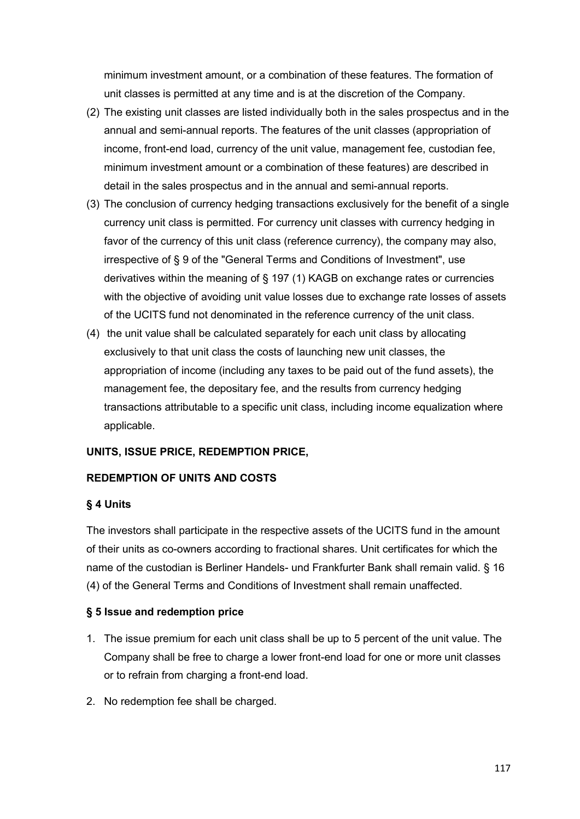minimum investment amount, or a combination of these features. The formation of unit classes is permitted at any time and is at the discretion of the Company.

- (2) The existing unit classes are listed individually both in the sales prospectus and in the annual and semi-annual reports. The features of the unit classes (appropriation of income, front-end load, currency of the unit value, management fee, custodian fee, minimum investment amount or a combination of these features) are described in detail in the sales prospectus and in the annual and semi-annual reports.
- (3) The conclusion of currency hedging transactions exclusively for the benefit of a single currency unit class is permitted. For currency unit classes with currency hedging in favor of the currency of this unit class (reference currency), the company may also, irrespective of § 9 of the "General Terms and Conditions of Investment", use derivatives within the meaning of § 197 (1) KAGB on exchange rates or currencies with the objective of avoiding unit value losses due to exchange rate losses of assets of the UCITS fund not denominated in the reference currency of the unit class.
- (4) the unit value shall be calculated separately for each unit class by allocating exclusively to that unit class the costs of launching new unit classes, the appropriation of income (including any taxes to be paid out of the fund assets), the management fee, the depositary fee, and the results from currency hedging transactions attributable to a specific unit class, including income equalization where applicable.

## **UNITS, ISSUE PRICE, REDEMPTION PRICE,**

### **REDEMPTION OF UNITS AND COSTS**

#### **§ 4 Units**

The investors shall participate in the respective assets of the UCITS fund in the amount of their units as co-owners according to fractional shares. Unit certificates for which the name of the custodian is Berliner Handels- und Frankfurter Bank shall remain valid. § 16 (4) of the General Terms and Conditions of Investment shall remain unaffected.

#### **§ 5 Issue and redemption price**

- 1. The issue premium for each unit class shall be up to 5 percent of the unit value. The Company shall be free to charge a lower front-end load for one or more unit classes or to refrain from charging a front-end load.
- 2. No redemption fee shall be charged.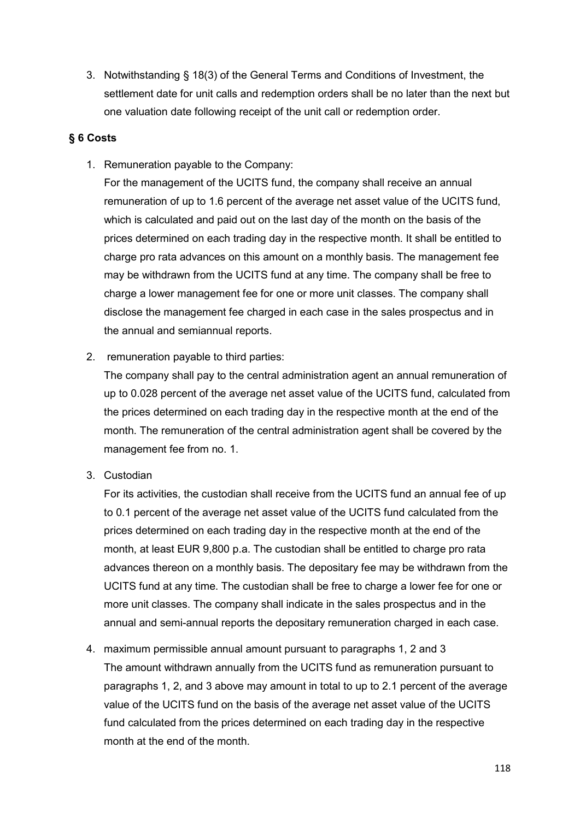3. Notwithstanding § 18(3) of the General Terms and Conditions of Investment, the settlement date for unit calls and redemption orders shall be no later than the next but one valuation date following receipt of the unit call or redemption order.

## **§ 6 Costs**

1. Remuneration payable to the Company:

For the management of the UCITS fund, the company shall receive an annual remuneration of up to 1.6 percent of the average net asset value of the UCITS fund, which is calculated and paid out on the last day of the month on the basis of the prices determined on each trading day in the respective month. It shall be entitled to charge pro rata advances on this amount on a monthly basis. The management fee may be withdrawn from the UCITS fund at any time. The company shall be free to charge a lower management fee for one or more unit classes. The company shall disclose the management fee charged in each case in the sales prospectus and in the annual and semiannual reports.

2. remuneration payable to third parties:

The company shall pay to the central administration agent an annual remuneration of up to 0.028 percent of the average net asset value of the UCITS fund, calculated from the prices determined on each trading day in the respective month at the end of the month. The remuneration of the central administration agent shall be covered by the management fee from no. 1.

3. Custodian

For its activities, the custodian shall receive from the UCITS fund an annual fee of up to 0.1 percent of the average net asset value of the UCITS fund calculated from the prices determined on each trading day in the respective month at the end of the month, at least EUR 9,800 p.a. The custodian shall be entitled to charge pro rata advances thereon on a monthly basis. The depositary fee may be withdrawn from the UCITS fund at any time. The custodian shall be free to charge a lower fee for one or more unit classes. The company shall indicate in the sales prospectus and in the annual and semi-annual reports the depositary remuneration charged in each case.

4. maximum permissible annual amount pursuant to paragraphs 1, 2 and 3 The amount withdrawn annually from the UCITS fund as remuneration pursuant to paragraphs 1, 2, and 3 above may amount in total to up to 2.1 percent of the average value of the UCITS fund on the basis of the average net asset value of the UCITS fund calculated from the prices determined on each trading day in the respective month at the end of the month.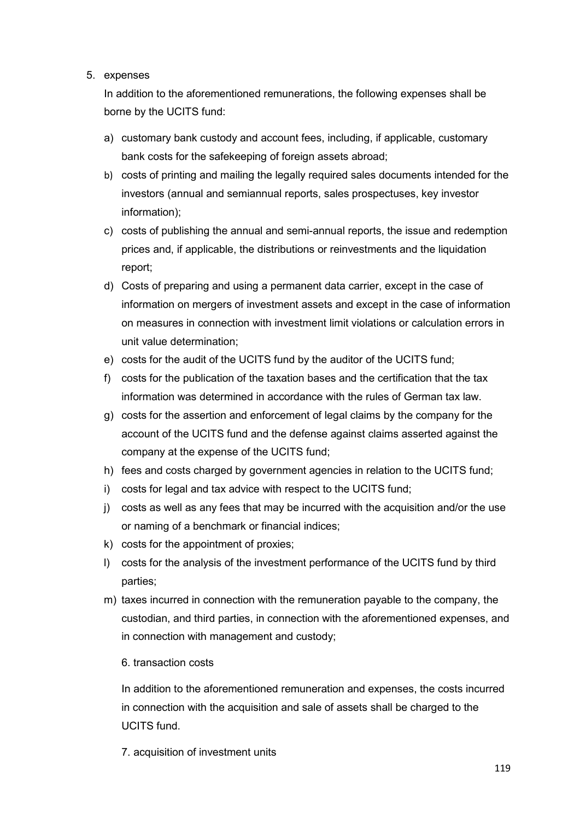### 5. expenses

In addition to the aforementioned remunerations, the following expenses shall be borne by the UCITS fund:

- a) customary bank custody and account fees, including, if applicable, customary bank costs for the safekeeping of foreign assets abroad;
- b) costs of printing and mailing the legally required sales documents intended for the investors (annual and semiannual reports, sales prospectuses, key investor information);
- c) costs of publishing the annual and semi-annual reports, the issue and redemption prices and, if applicable, the distributions or reinvestments and the liquidation report;
- d) Costs of preparing and using a permanent data carrier, except in the case of information on mergers of investment assets and except in the case of information on measures in connection with investment limit violations or calculation errors in unit value determination;
- e) costs for the audit of the UCITS fund by the auditor of the UCITS fund;
- f) costs for the publication of the taxation bases and the certification that the tax information was determined in accordance with the rules of German tax law.
- g) costs for the assertion and enforcement of legal claims by the company for the account of the UCITS fund and the defense against claims asserted against the company at the expense of the UCITS fund;
- h) fees and costs charged by government agencies in relation to the UCITS fund;
- i) costs for legal and tax advice with respect to the UCITS fund;
- j) costs as well as any fees that may be incurred with the acquisition and/or the use or naming of a benchmark or financial indices;
- k) costs for the appointment of proxies;
- l) costs for the analysis of the investment performance of the UCITS fund by third parties;
- m) taxes incurred in connection with the remuneration payable to the company, the custodian, and third parties, in connection with the aforementioned expenses, and in connection with management and custody;
	- 6. transaction costs

In addition to the aforementioned remuneration and expenses, the costs incurred in connection with the acquisition and sale of assets shall be charged to the UCITS fund.

7. acquisition of investment units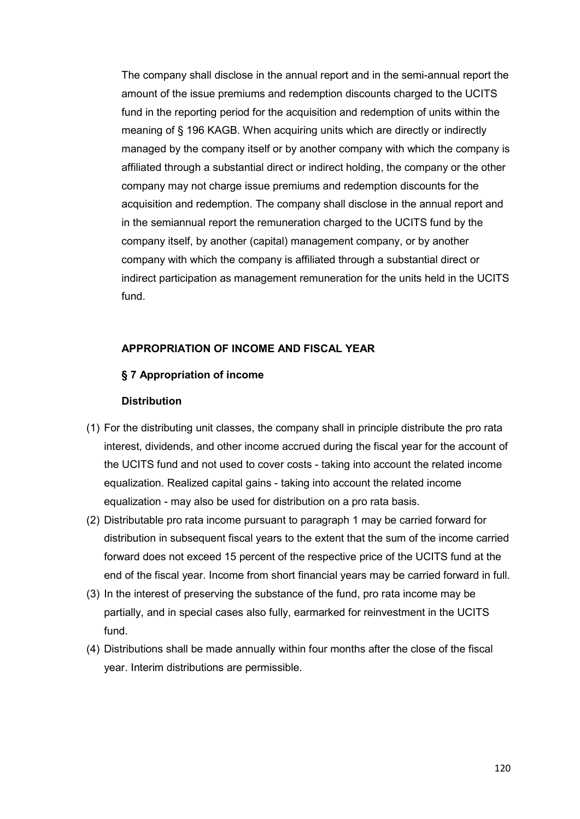The company shall disclose in the annual report and in the semi-annual report the amount of the issue premiums and redemption discounts charged to the UCITS fund in the reporting period for the acquisition and redemption of units within the meaning of § 196 KAGB. When acquiring units which are directly or indirectly managed by the company itself or by another company with which the company is affiliated through a substantial direct or indirect holding, the company or the other company may not charge issue premiums and redemption discounts for the acquisition and redemption. The company shall disclose in the annual report and in the semiannual report the remuneration charged to the UCITS fund by the company itself, by another (capital) management company, or by another company with which the company is affiliated through a substantial direct or indirect participation as management remuneration for the units held in the UCITS fund.

#### **APPROPRIATION OF INCOME AND FISCAL YEAR**

#### **§ 7 Appropriation of income**

#### **Distribution**

- (1) For the distributing unit classes, the company shall in principle distribute the pro rata interest, dividends, and other income accrued during the fiscal year for the account of the UCITS fund and not used to cover costs - taking into account the related income equalization. Realized capital gains - taking into account the related income equalization - may also be used for distribution on a pro rata basis.
- (2) Distributable pro rata income pursuant to paragraph 1 may be carried forward for distribution in subsequent fiscal years to the extent that the sum of the income carried forward does not exceed 15 percent of the respective price of the UCITS fund at the end of the fiscal year. Income from short financial years may be carried forward in full.
- (3) In the interest of preserving the substance of the fund, pro rata income may be partially, and in special cases also fully, earmarked for reinvestment in the UCITS fund.
- (4) Distributions shall be made annually within four months after the close of the fiscal year. Interim distributions are permissible.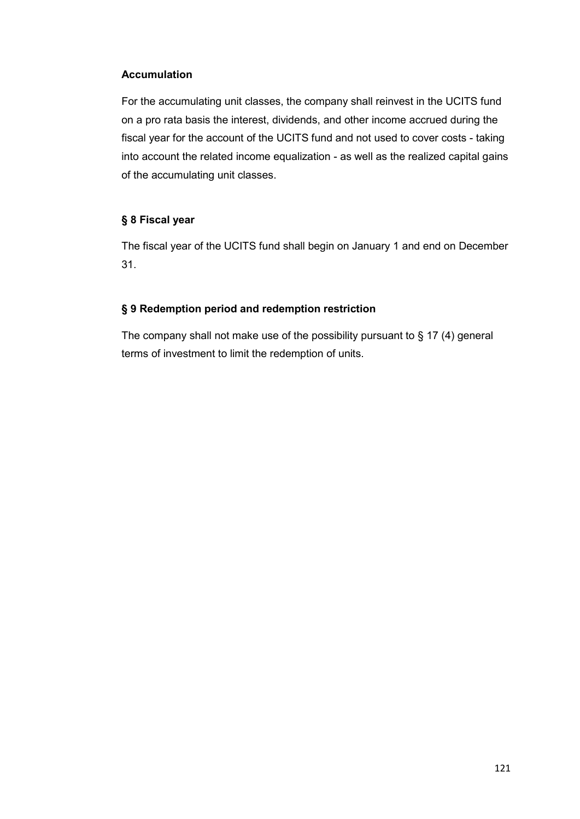## **Accumulation**

For the accumulating unit classes, the company shall reinvest in the UCITS fund on a pro rata basis the interest, dividends, and other income accrued during the fiscal year for the account of the UCITS fund and not used to cover costs - taking into account the related income equalization - as well as the realized capital gains of the accumulating unit classes.

## **§ 8 Fiscal year**

The fiscal year of the UCITS fund shall begin on January 1 and end on December 31.

# **§ 9 Redemption period and redemption restriction**

The company shall not make use of the possibility pursuant to  $\S$  17 (4) general terms of investment to limit the redemption of units.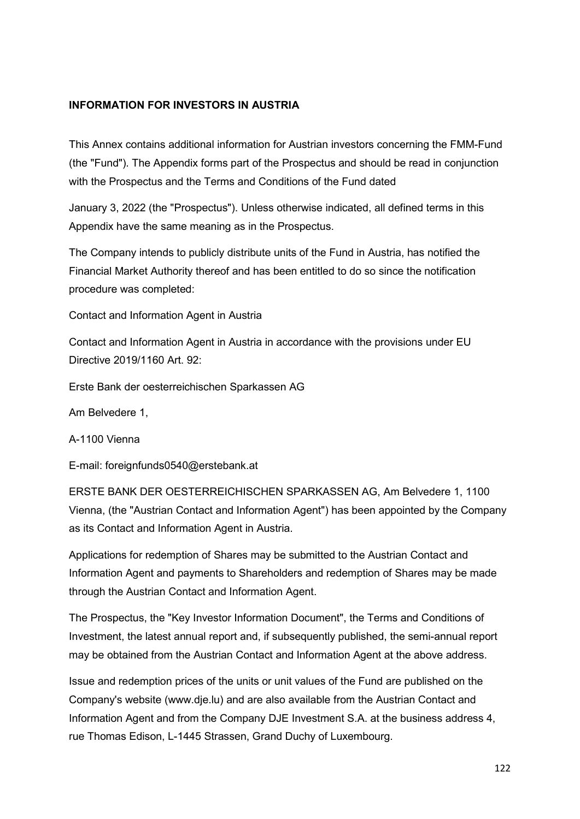### **INFORMATION FOR INVESTORS IN AUSTRIA**

This Annex contains additional information for Austrian investors concerning the FMM-Fund (the "Fund"). The Appendix forms part of the Prospectus and should be read in conjunction with the Prospectus and the Terms and Conditions of the Fund dated

January 3, 2022 (the "Prospectus"). Unless otherwise indicated, all defined terms in this Appendix have the same meaning as in the Prospectus.

The Company intends to publicly distribute units of the Fund in Austria, has notified the Financial Market Authority thereof and has been entitled to do so since the notification procedure was completed:

Contact and Information Agent in Austria

Contact and Information Agent in Austria in accordance with the provisions under EU Directive 2019/1160 Art. 92:

Erste Bank der oesterreichischen Sparkassen AG

Am Belvedere 1,

A-1100 Vienna

E-mail: foreignfunds0540@erstebank.at

ERSTE BANK DER OESTERREICHISCHEN SPARKASSEN AG, Am Belvedere 1, 1100 Vienna, (the "Austrian Contact and Information Agent") has been appointed by the Company as its Contact and Information Agent in Austria.

Applications for redemption of Shares may be submitted to the Austrian Contact and Information Agent and payments to Shareholders and redemption of Shares may be made through the Austrian Contact and Information Agent.

The Prospectus, the "Key Investor Information Document", the Terms and Conditions of Investment, the latest annual report and, if subsequently published, the semi-annual report may be obtained from the Austrian Contact and Information Agent at the above address.

Issue and redemption prices of the units or unit values of the Fund are published on the Company's website (www.dje.lu) and are also available from the Austrian Contact and Information Agent and from the Company DJE Investment S.A. at the business address 4, rue Thomas Edison, L-1445 Strassen, Grand Duchy of Luxembourg.